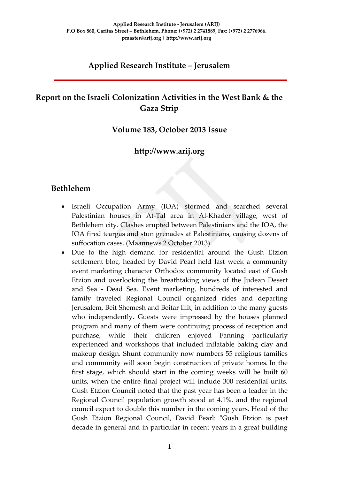### **Applied Research Institute – Jerusalem**

# **Report on the Israeli Colonization Activities in the West Bank & the Gaza Strip**

### **Volume 183, October 2013 Issue**

### **http://www.arij.org**

### **Bethlehem**

- Israeli Occupation Army (IOA) stormed and searched several Palestinian houses in At-Tal area in Al-Khader village, west of Bethlehem city. Clashes erupted between Palestinians and the IOA, the IOA fired teargas and stun grenades at Palestinians, causing dozens of suffocation cases. (Maannews 2 October 2013)
- Due to the high demand for residential around the Gush Etzion settlement bloc, headed by David Pearl held last week a community event marketing character Orthodox community located east of Gush Etzion and overlooking the breathtaking views of the Judean Desert and Sea - Dead Sea. Event marketing, hundreds of interested and family traveled Regional Council organized rides and departing Jerusalem, Beit Shemesh and Beitar Illit, in addition to the many guests who independently. Guests were impressed by the houses planned program and many of them were continuing process of reception and purchase, while their children enjoyed Fanning particularly experienced and workshops that included inflatable baking clay and makeup design. Shunt community now numbers 55 religious families and community will soon begin construction of private homes. In the first stage, which should start in the coming weeks will be built 60 units, when the entire final project will include 300 residential units. Gush Etzion Council noted that the past year has been a leader in the Regional Council population growth stood at 4.1%, and the regional council expect to double this number in the coming years. Head of the Gush Etzion Regional Council, David Pearl: "Gush Etzion is past decade in general and in particular in recent years in a great building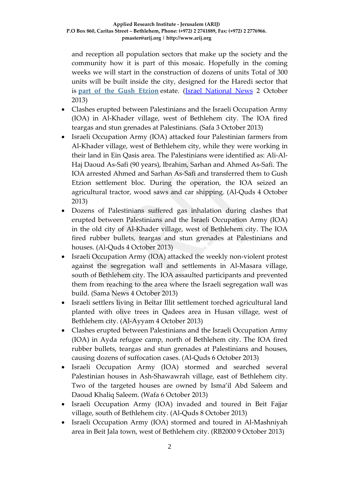and reception all population sectors that make up the society and the community how it is part of this mosaic. Hopefully in the coming weeks we will start in the construction of dozens of units Total of 300 units will be built inside the city, designed for the Haredi sector that is **[part of the Gush Etzion](http://www.inn.co.il/News/News.aspx/261447)** estate. [\(Israel National News](http://maannews.net/arb/ViewDetails.aspx?ID=635226) 2 October 2013)

- Clashes erupted between Palestinians and the Israeli Occupation Army (IOA) in Al-Khader village, west of Bethlehem city. The IOA fired teargas and stun grenades at Palestinians. (Safa 3 October 2013)
- Israeli Occupation Army (IOA) attacked four Palestinian farmers from Al-Khader village, west of Bethlehem city, while they were working in their land in Ein Qasis area. The Palestinians were identified as: Ali-Al-Haj Daoud As-Safi (90 years), Ibrahim, Sarhan and Ahmed As-Safi. The IOA arrested Ahmed and Sarhan As-Safi and transferred them to Gush Etzion settlement bloc. During the operation, the IOA seized an agricultural tractor, wood saws and car shipping. (Al-Quds 4 October 2013)
- Dozens of Palestinians suffered gas inhalation during clashes that erupted between Palestinians and the Israeli Occupation Army (IOA) in the old city of Al-Khader village, west of Bethlehem city. The IOA fired rubber bullets, teargas and stun grenades at Palestinians and houses. (Al-Quds 4 October 2013)
- Israeli Occupation Army (IOA) attacked the weekly non-violent protest against the segregation wall and settlements in Al-Masara village, south of Bethlehem city. The IOA assaulted participants and prevented them from reaching to the area where the Israeli segregation wall was build. (Sama News 4 October 2013)
- Israeli settlers living in Beitar Illit settlement torched agricultural land planted with olive trees in Qadees area in Husan village, west of Bethlehem city. (Al-Ayyam 4 October 2013)
- Clashes erupted between Palestinians and the Israeli Occupation Army (IOA) in Ayda refugee camp, north of Bethlehem city. The IOA fired rubber bullets, teargas and stun grenades at Palestinians and houses, causing dozens of suffocation cases. (Al-Quds 6 October 2013)
- Israeli Occupation Army (IOA) stormed and searched several Palestinian houses in Ash-Shawawrah village, east of Bethlehem city. Two of the targeted houses are owned by Isma'il Abd Saleem and Daoud Khaliq Saleem. (Wafa 6 October 2013)
- Israeli Occupation Army (IOA) invaded and toured in Beit Fajjar village, south of Bethlehem city. (Al-Quds 8 October 2013)
- Israeli Occupation Army (IOA) stormed and toured in Al-Mashniyah area in Beit Jala town, west of Bethlehem city. (RB2000 9 October 2013)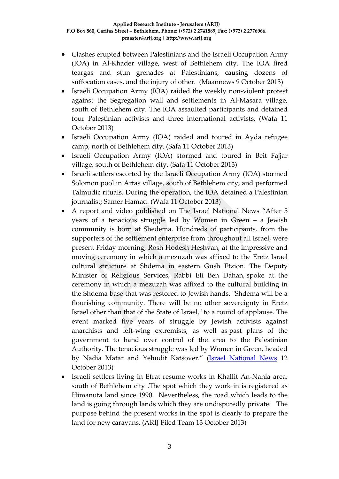- Clashes erupted between Palestinians and the Israeli Occupation Army (IOA) in Al-Khader village, west of Bethlehem city. The IOA fired teargas and stun grenades at Palestinians, causing dozens of suffocation cases, and the injury of other. (Maannews 9 October 2013)
- Israeli Occupation Army (IOA) raided the weekly non-violent protest against the Segregation wall and settlements in Al-Masara village, south of Bethlehem city. The IOA assaulted participants and detained four Palestinian activists and three international activists. (Wafa 11 October 2013)
- Israeli Occupation Army (IOA) raided and toured in Ayda refugee camp, north of Bethlehem city. (Safa 11 October 2013)
- Israeli Occupation Army (IOA) stormed and toured in Beit Fajjar village, south of Bethlehem city. (Safa 11 October 2013)
- Israeli settlers escorted by the Israeli Occupation Army (IOA) stormed Solomon pool in Artas village, south of Bethlehem city, and performed Talmudic rituals. During the operation, the IOA detained a Palestinian journalist; Samer Hamad. (Wafa 11 October 2013)
- A report and video published on The Israel National News "After 5 years of a tenacious struggle led by Women in Green – a Jewish community is born at Shedema. Hundreds of participants, from the supporters of the settlement enterprise from throughout all Israel, were present Friday morning, Rosh Hodesh Heshvan, [at the impressive and](http://www.israelnationalnews.com/News/News.aspx/172546)  [moving ceremony](http://www.israelnationalnews.com/News/News.aspx/172546) in which a mezuzah was affixed to the Eretz Israel cultural structure at Shdema in eastern Gush Etzion. The Deputy Minister of Religious Services, Rabbi Eli Ben Dahan, spoke at the ceremony in which a mezuzah was affixed to the cultural building in the Shdema base that was restored to Jewish hands. "Shdema will be a flourishing community. There will be no other sovereignty in Eretz Israel other than that of the State of Israel," to a round of applause. The event marked five years of struggle by Jewish activists against anarchists and left-wing extremists, as well as past plans of the government to hand over control of the area to the Palestinian Authority. The tenacious struggle was led by Women in Green, headed by Nadia Matar and Yehudit Katsover." [\(Israel National News](http://www.israelnationalnews.com/News/News.aspx/172714) 12 October 2013)
- Israeli settlers living in Efrat resume works in Khallit An-Nahla area, south of Bethlehem city .The spot which they work in is registered as Himanuta land since 1990. Nevertheless, the road which leads to the land is going through lands which they are undisputedly private. The purpose behind the present works in the spot is clearly to prepare the land for new caravans. (ARIJ Filed Team 13 October 2013)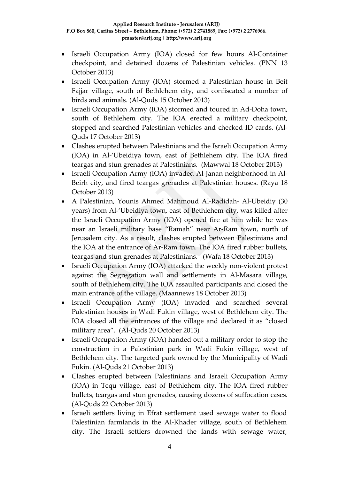- Israeli Occupation Army (IOA) closed for few hours Al-Container checkpoint, and detained dozens of Palestinian vehicles. (PNN 13 October 2013)
- Israeli Occupation Army (IOA) stormed a Palestinian house in Beit Fajjar village, south of Bethlehem city, and confiscated a number of birds and animals. (Al-Quds 15 October 2013)
- Israeli Occupation Army (IOA) stormed and toured in Ad-Doha town, south of Bethlehem city. The IOA erected a military checkpoint, stopped and searched Palestinian vehicles and checked ID cards. (Al-Quds 17 October 2013)
- Clashes erupted between Palestinians and the Israeli Occupation Army (IOA) in Al-'Ubeidiya town, east of Bethlehem city. The IOA fired teargas and stun grenades at Palestinians. (Mawwal 18 October 2013)
- Israeli Occupation Army (IOA) invaded Al-Janan neighborhood in Al-Beirh city, and fired teargas grenades at Palestinian houses. (Raya 18 October 2013)
- A Palestinian, Younis Ahmed Mahmoud Al-Radidah- Al-Ubeidiy (30 years) from Al-'Ubeidiya town, east of Bethlehem city, was killed after the Israeli Occupation Army (IOA) opened fire at him while he was near an Israeli military base "Ramah" near Ar-Ram town, north of Jerusalem city. As a result, clashes erupted between Palestinians and the IOA at the entrance of Ar-Ram town. The IOA fired rubber bullets, teargas and stun grenades at Palestinians. (Wafa 18 October 2013)
- Israeli Occupation Army (IOA) attacked the weekly non-violent protest against the Segregation wall and settlements in Al-Masara village, south of Bethlehem city. The IOA assaulted participants and closed the main entrance of the village. (Maannews 18 October 2013)
- Israeli Occupation Army (IOA) invaded and searched several Palestinian houses in Wadi Fukin village, west of Bethlehem city. The IOA closed all the entrances of the village and declared it as "closed military area". (Al-Quds 20 October 2013)
- Israeli Occupation Army (IOA) handed out a military order to stop the construction in a Palestinian park in Wadi Fukin village, west of Bethlehem city. The targeted park owned by the Municipality of Wadi Fukin. (Al-Quds 21 October 2013)
- Clashes erupted between Palestinians and Israeli Occupation Army (IOA) in Tequ village, east of Bethlehem city. The IOA fired rubber bullets, teargas and stun grenades, causing dozens of suffocation cases. (Al-Quds 22 October 2013)
- Israeli settlers living in Efrat settlement used sewage water to flood Palestinian farmlands in the Al-Khader village, south of Bethlehem city. The Israeli settlers drowned the lands with sewage water,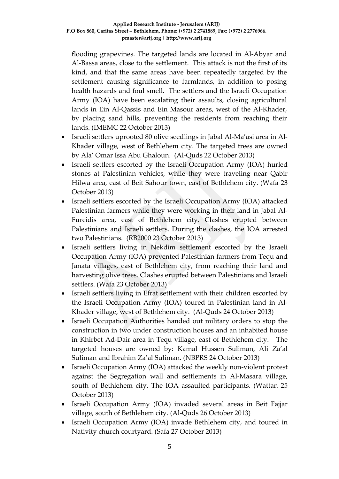flooding grapevines. The targeted lands are located in Al-Abyar and Al-Bassa areas, close to the settlement. This attack is not the first of its kind, and that the same areas have been repeatedly targeted by the settlement causing significance to farmlands, in addition to posing health hazards and foul smell. The settlers and the Israeli Occupation Army (IOA) have been escalating their assaults, closing agricultural lands in Ein Al-Qassis and Ein Masour areas, west of the Al-Khader, by placing sand hills, preventing the residents from reaching their lands. (IMEMC 22 October 2013)

- Israeli settlers uprooted 80 olive seedlings in Jabal Al-Ma'asi area in Al-Khader village, west of Bethlehem city. The targeted trees are owned by Ala' Omar Issa Abu Ghaloun. (Al-Quds 22 October 2013)
- Israeli settlers escorted by the Israeli Occupation Army (IOA) hurled stones at Palestinian vehicles, while they were traveling near Qabir Hilwa area, east of Beit Sahour town, east of Bethlehem city. (Wafa 23 October 2013)
- Israeli settlers escorted by the Israeli Occupation Army (IOA) attacked Palestinian farmers while they were working in their land in Jabal Al-Fureidis area, east of Bethlehem city. Clashes erupted between Palestinians and Israeli settlers. During the clashes, the IOA arrested two Palestinians. (RB2000 23 October 2013)
- Israeli settlers living in Nekdim settlement escorted by the Israeli Occupation Army (IOA) prevented Palestinian farmers from Tequ and Janata villages, east of Bethlehem city, from reaching their land and harvesting olive trees. Clashes erupted between Palestinians and Israeli settlers. (Wafa 23 October 2013)
- Israeli settlers living in Efrat settlement with their children escorted by the Israeli Occupation Army (IOA) toured in Palestinian land in Al-Khader village, west of Bethlehem city. (Al-Quds 24 October 2013)
- Israeli Occupation Authorities handed out military orders to stop the construction in two under construction houses and an inhabited house in Khirbet Ad-Dair area in Tequ village, east of Bethlehem city. The targeted houses are owned by: Kamal Hussen Suliman, Ali Za'al Suliman and Ibrahim Za'al Suliman. (NBPRS 24 October 2013)
- Israeli Occupation Army (IOA) attacked the weekly non-violent protest against the Segregation wall and settlements in Al-Masara village, south of Bethlehem city. The IOA assaulted participants. (Wattan 25 October 2013)
- Israeli Occupation Army (IOA) invaded several areas in Beit Fajjar village, south of Bethlehem city. (Al-Quds 26 October 2013)
- Israeli Occupation Army (IOA) invade Bethlehem city, and toured in Nativity church courtyard. (Safa 27 October 2013)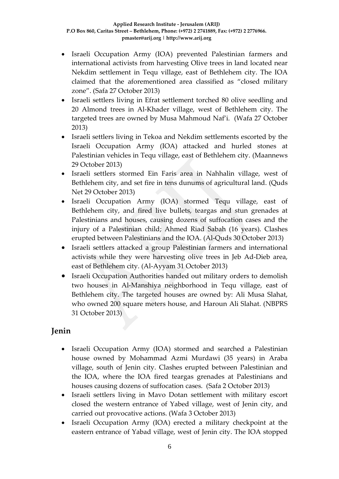- Israeli Occupation Army (IOA) prevented Palestinian farmers and international activists from harvesting Olive trees in land located near Nekdim settlement in Tequ village, east of Bethlehem city. The IOA claimed that the aforementioned area classified as "closed military zone". (Safa 27 October 2013)
- Israeli settlers living in Efrat settlement torched 80 olive seedling and 20 Almond trees in Al-Khader village, west of Bethlehem city. The targeted trees are owned by Musa Mahmoud Naf'i. (Wafa 27 October 2013)
- Israeli settlers living in Tekoa and Nekdim settlements escorted by the Israeli Occupation Army (IOA) attacked and hurled stones at Palestinian vehicles in Tequ village, east of Bethlehem city. (Maannews 29 October 2013)
- Israeli settlers stormed Ein Faris area in Nahhalin village, west of Bethlehem city, and set fire in tens dunums of agricultural land. (Quds Net 29 October 2013)
- Israeli Occupation Army (IOA) stormed Tequ village, east of Bethlehem city, and fired live bullets, teargas and stun grenades at Palestinians and houses, causing dozens of suffocation cases and the injury of a Palestinian child; Ahmed Riad Sabah (16 years). Clashes erupted between Palestinians and the IOA. (Al-Quds 30 October 2013)
- Israeli settlers attacked a group Palestinian farmers and international activists while they were harvesting olive trees in Jeb Ad-Dieb area, east of Bethlehem city. (Al-Ayyam 31 October 2013)
- Israeli Occupation Authorities handed out military orders to demolish two houses in Al-Manshiya neighborhood in Tequ village, east of Bethlehem city. The targeted houses are owned by: Ali Musa Slahat, who owned 200 square meters house, and Haroun Ali Slahat. (NBPRS 31 October 2013)

# **Jenin**

- Israeli Occupation Army (IOA) stormed and searched a Palestinian house owned by Mohammad Azmi Murdawi (35 years) in Araba village, south of Jenin city. Clashes erupted between Palestinian and the IOA, where the IOA fired teargas grenades at Palestinians and houses causing dozens of suffocation cases. (Safa 2 October 2013)
- Israeli settlers living in Mavo Dotan settlement with military escort closed the western entrance of Yabed village, west of Jenin city, and carried out provocative actions. (Wafa 3 October 2013)
- Israeli Occupation Army (IOA) erected a military checkpoint at the eastern entrance of Yabad village, west of Jenin city. The IOA stopped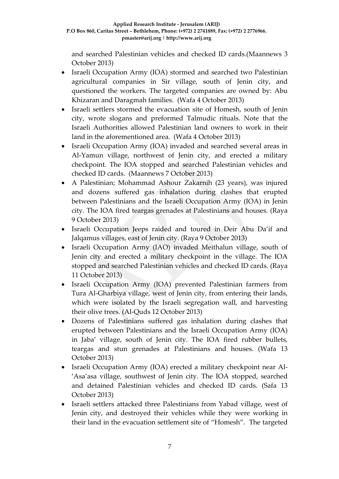and searched Palestinian vehicles and checked ID cards.(Maannews 3 October 2013)

- Israeli Occupation Army (IOA) stormed and searched two Palestinian agricultural companies in Sir village, south of Jenin city, and questioned the workers. The targeted companies are owned by: Abu Khizaran and Daragmah families. (Wafa 4 October 2013)
- Israeli settlers stormed the evacuation site of Homesh, south of Jenin city, wrote slogans and preformed Talmudic rituals. Note that the Israeli Authorities allowed Palestinian land owners to work in their land in the aforementioned area. (Wafa 4 October 2013)
- Israeli Occupation Army (IOA) invaded and searched several areas in Al-Yamun village, northwest of Jenin city, and erected a military checkpoint. The IOA stopped and searched Palestinian vehicles and checked ID cards. (Maannews 7 October 2013)
- A Palestinian; Mohammad Ashour Zakarnih (23 years), was injured and dozens suffered gas inhalation during clashes that erupted between Palestinians and the Israeli Occupation Army (IOA) in Jenin city. The IOA fired teargas grenades at Palestinians and houses. (Raya 9 October 2013)
- Israeli Occupation Jeeps raided and toured in Deir Abu Da'if and Jalqamus villages, east of Jenin city. (Raya 9 October 2013)
- Israeli Occupation Army (IAO) invaded Meithalun village, south of Jenin city and erected a military checkpoint in the village. The IOA stopped and searched Palestinian vehicles and checked ID cards. (Raya 11 October 2013)
- Israeli Occupation Army (IOA) prevented Palestinian farmers from Tura Al-Gharbiya village, west of Jenin city, from entering their lands, which were isolated by the Israeli segregation wall, and harvesting their olive trees. (Al-Quds 12 October 2013)
- Dozens of Palestinians suffered gas inhalation during clashes that erupted between Palestinians and the Israeli Occupation Army (IOA) in Jaba' village, south of Jenin city. The IOA fired rubber bullets, teargas and stun grenades at Palestinians and houses. (Wafa 13 October 2013)
- Israeli Occupation Army (IOA) erected a military checkpoint near Al- 'Asa'asa village, southwest of Jenin city. The IOA stopped, searched and detained Palestinian vehicles and checked ID cards. (Safa 13 October 2013)
- Israeli settlers attacked three Palestinians from Yabad village, west of Jenin city, and destroyed their vehicles while they were working in their land in the evacuation settlement site of "Homesh". The targeted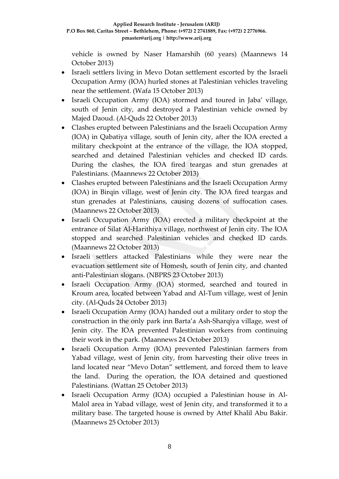vehicle is owned by Naser Hamarshih (60 years) (Maannews 14 October 2013)

- Israeli settlers living in Mevo Dotan settlement escorted by the Israeli Occupation Army (IOA) hurled stones at Palestinian vehicles traveling near the settlement. (Wafa 15 October 2013)
- Israeli Occupation Army (IOA) stormed and toured in Jaba' village, south of Jenin city, and destroyed a Palestinian vehicle owned by Majed Daoud. (Al-Quds 22 October 2013)
- Clashes erupted between Palestinians and the Israeli Occupation Army (IOA) in Qabatiya village, south of Jenin city, after the IOA erected a military checkpoint at the entrance of the village, the IOA stopped, searched and detained Palestinian vehicles and checked ID cards. During the clashes, the IOA fired teargas and stun grenades at Palestinians. (Maannews 22 October 2013)
- Clashes erupted between Palestinians and the Israeli Occupation Army (IOA) in Birqin village, west of Jenin city. The IOA fired teargas and stun grenades at Palestinians, causing dozens of suffocation cases. (Maannews 22 October 2013)
- Israeli Occupation Army (IOA) erected a military checkpoint at the entrance of Silat Al-Harithiya village, northwest of Jenin city. The IOA stopped and searched Palestinian vehicles and checked ID cards. (Maannews 22 October 2013)
- Israeli settlers attacked Palestinians while they were near the evacuation settlement site of Homesh, south of Jenin city, and chanted anti-Palestinian slogans. (NBPRS 23 October 2013)
- Israeli Occupation Army (IOA) stormed, searched and toured in Kroum area, located between Yabad and Al-Tum village, west of Jenin city. (Al-Quds 24 October 2013)
- Israeli Occupation Army (IOA) handed out a military order to stop the construction in the only park inn Barta'a Ash-Sharqiya village, west of Jenin city. The IOA prevented Palestinian workers from continuing their work in the park. (Maannews 24 October 2013)
- Israeli Occupation Army (IOA) prevented Palestinian farmers from Yabad village, west of Jenin city, from harvesting their olive trees in land located near "Mevo Dotan" settlement, and forced them to leave the land. During the operation, the IOA detained and questioned Palestinians. (Wattan 25 October 2013)
- Israeli Occupation Army (IOA) occupied a Palestinian house in Al-Malol area in Yabad village, west of Jenin city, and transformed it to a military base. The targeted house is owned by Attef Khalil Abu Bakir. (Maannews 25 October 2013)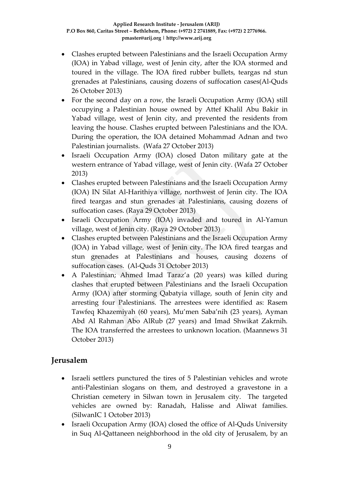- Clashes erupted between Palestinians and the Israeli Occupation Army (IOA) in Yabad village, west of Jenin city, after the IOA stormed and toured in the village. The IOA fired rubber bullets, teargas nd stun grenades at Palestinians, causing dozens of suffocation cases(Al-Quds 26 October 2013)
- For the second day on a row, the Israeli Occupation Army (IOA) still occupying a Palestinian house owned by Attef Khalil Abu Bakir in Yabad village, west of Jenin city, and prevented the residents from leaving the house. Clashes erupted between Palestinians and the IOA. During the operation, the IOA detained Mohammad Adnan and two Palestinian journalists. (Wafa 27 October 2013)
- Israeli Occupation Army (IOA) closed Daton military gate at the western entrance of Yabad village, west of Jenin city. (Wafa 27 October 2013)
- Clashes erupted between Palestinians and the Israeli Occupation Army (IOA) IN Silat Al-Harithiya village, northwest of Jenin city. The IOA fired teargas and stun grenades at Palestinians, causing dozens of suffocation cases. (Raya 29 October 2013)
- Israeli Occupation Army (IOA) invaded and toured in Al-Yamun village, west of Jenin city. (Raya 29 October 2013)
- Clashes erupted between Palestinians and the Israeli Occupation Army (IOA) in Yabad village, west of Jenin city. The IOA fired teargas and stun grenades at Palestinians and houses, causing dozens of suffocation cases. (Al-Quds 31 October 2013)
- A Palestinian; Ahmed Imad Taraz'a (20 years) was killed during clashes that erupted between Palestinians and the Israeli Occupation Army (IOA) after storming Qabatyia village, south of Jenin city and arresting four Palestinians. The arrestees were identified as: Rasem Tawfeq Khazemiyah (60 years), Mu'men Saba'nih (23 years), Ayman Abd Al Rahman Abo AlRub (27 years) and Imad Shwikat Zakrnih. The IOA transferred the arrestees to unknown location. (Maannews 31 October 2013)

# **Jerusalem**

- Israeli settlers punctured the tires of 5 Palestinian vehicles and wrote anti-Palestinian slogans on them, and destroyed a gravestone in a Christian cemetery in Silwan town in Jerusalem city. The targeted vehicles are owned by: Ranadah, Halisse and Aliwat families. (SilwanIC 1 October 2013)
- Israeli Occupation Army (IOA) closed the office of Al-Quds University in Suq Al-Qattaneen neighborhood in the old city of Jerusalem, by an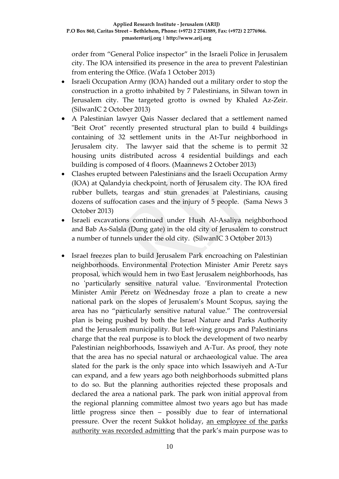order from "General Police inspector" in the Israeli Police in Jerusalem city. The IOA intensified its presence in the area to prevent Palestinian from entering the Office. (Wafa 1 October 2013)

- Israeli Occupation Army (IOA) handed out a military order to stop the construction in a grotto inhabited by 7 Palestinians, in Silwan town in Jerusalem city. The targeted grotto is owned by Khaled Az-Zeir. (SilwanIC 2 October 2013)
- A Palestinian lawyer Qais Nasser declared that a settlement named "Beit Orot" recently presented structural plan to build 4 buildings containing of 32 settlement units in the At-Tur neighborhood in Jerusalem city. The lawyer said that the scheme is to permit 32 housing units distributed across 4 residential buildings and each building is composed of 4 floors. (Maannews 2 October 2013)
- Clashes erupted between Palestinians and the Israeli Occupation Army (IOA) at Qalandyia checkpoint, north of Jerusalem city. The IOA fired rubber bullets, teargas and stun grenades at Palestinians, causing dozens of suffocation cases and the injury of 5 people. (Sama News 3 October 2013)
- Israeli excavations continued under Hush Al-Asaliya neighborhood and Bab As-Salsla (Dung gate) in the old city of Jerusalem to construct a number of tunnels under the old city. (SilwanIC 3 October 2013)
- Israel freezes plan to build Jerusalem Park encroaching on Palestinian neighborhoods. Environmental Protection Minister Amir Peretz says proposal, which would hem in two East Jerusalem neighborhoods, has no 'particularly sensitive natural value. 'Environmental Protection Minister Amir Peretz on Wednesday froze a plan to create a new national park on the slopes of Jerusalem's Mount Scopus, saying the area has no "particularly sensitive natural value." The controversial plan is being pushed by both the Israel Nature and Parks Authority and the Jerusalem municipality. But left-wing groups and Palestinians charge that the real purpose is to block the development of two nearby Palestinian neighborhoods, Issawiyeh and A-Tur. As proof, they note that the area has no special natural or archaeological value. The area slated for the park is the only space into which Issawiyeh and A-Tur can expand, and a few years ago both neighborhoods submitted plans to do so. But the planning authorities rejected these proposals and declared the area a national park. The park won initial approval from the regional planning committee almost two years ago but has made little progress since then – possibly due to fear of international pressure. Over the recent Sukkot holiday, [an employee of the parks](http://www.haaretz.com/news/diplomacy-defense/.premium-1.549586)  [authority was recorded admitting](http://www.haaretz.com/news/diplomacy-defense/.premium-1.549586) that the park's main purpose was to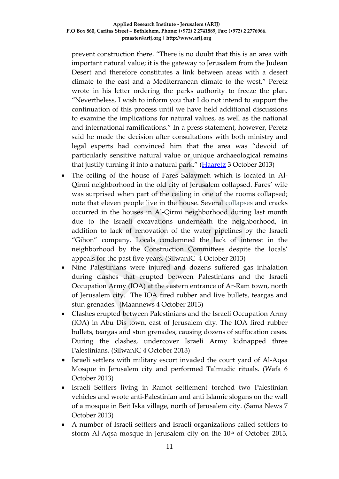prevent construction there. "There is no doubt that this is an area with important natural value; it is the gateway to Jerusalem from the Judean Desert and therefore constitutes a link between areas with a desert climate to the east and a Mediterranean climate to the west," Peretz wrote in his letter ordering the parks authority to freeze the plan. "Nevertheless, I wish to inform you that I do not intend to support the continuation of this process until we have held additional discussions to examine the implications for natural values, as well as the national and international ramifications." In a press statement, however, Peretz said he made the decision after consultations with both ministry and legal experts had convinced him that the area was "devoid of particularly sensitive natural value or unique archaeological remains that justify turning it into a natural park." [\(Haaretz](http://www.haaretz.com/news/national/.premium-1.550233) 3 October 2013)

- The ceiling of the house of Fares Salaymeh which is located in Al-Qirmi neighborhood in the old city of Jerusalem collapsed. Fares' wife was surprised when part of the ceiling in one of the rooms collapsed; note that eleven people live in the house. Several [collapses](http://silwanic.net/?tag=collapses) and cracks occurred in the houses in Al-Qirmi neighborhood during last month due to the Israeli excavations underneath the neighborhood, in addition to lack of renovation of the water pipelines by the Israeli "Gihon" company. Locals condemned the lack of interest in the neighborhood by the Construction Committees despite the locals' appeals for the past five years. (SilwanIC 4 October 2013)
- Nine Palestinians were injured and dozens suffered gas inhalation during clashes that erupted between Palestinians and the Israeli Occupation Army (IOA) at the eastern entrance of Ar-Ram town, north of Jerusalem city. The IOA fired rubber and live bullets, teargas and stun grenades. (Maannews 4 October 2013)
- Clashes erupted between Palestinians and the Israeli Occupation Army (IOA) in Abu Dis town, east of Jerusalem city. The IOA fired rubber bullets, teargas and stun grenades, causing dozens of suffocation cases. During the clashes, undercover Israeli Army kidnapped three Palestinians. (SilwanIC 4 October 2013)
- Israeli settlers with military escort invaded the court yard of Al-Aqsa Mosque in Jerusalem city and performed Talmudic rituals. (Wafa 6 October 2013)
- Israeli Settlers living in Ramot settlement torched two Palestinian vehicles and wrote anti-Palestinian and anti Islamic slogans on the wall of a mosque in Beit Iska village, north of Jerusalem city. (Sama News 7 October 2013)
- A number of Israeli settlers and Israeli organizations called settlers to storm Al-Aqsa mosque in Jerusalem city on the  $10<sup>th</sup>$  of October 2013,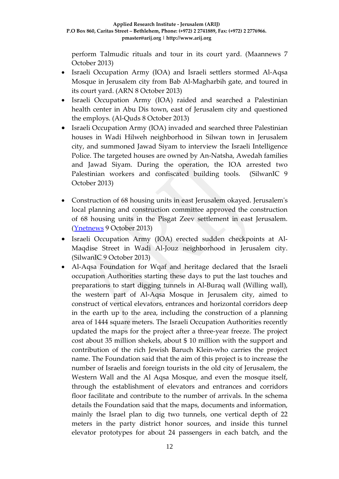perform Talmudic rituals and tour in its court yard. (Maannews 7 October 2013)

- Israeli Occupation Army (IOA) and Israeli settlers stormed Al-Aqsa Mosque in Jerusalem city from Bab Al-Magharbih gate, and toured in its court yard. (ARN 8 October 2013)
- Israeli Occupation Army (IOA) raided and searched a Palestinian health center in Abu Dis town, east of Jerusalem city and questioned the employs. (Al-Quds 8 October 2013)
- Israeli Occupation Army (IOA) invaded and searched three Palestinian houses in Wadi Hilweh neighborhood in Silwan town in Jerusalem city, and summoned Jawad Siyam to interview the Israeli Intelligence Police. The targeted houses are owned by An-Natsha, Awedah families and Jawad Siyam. During the operation, the IOA arrested two Palestinian workers and confiscated building tools. (SilwanIC 9 October 2013)
- Construction of 68 housing units in east Jerusalem okayed. Jerusalem's local planning and construction committee approved the construction of 68 housing units in the Pisgat Zeev settlement in east Jerusalem. [\(Ynetnews](http://www.ynetnews.com/articles/0,7340,L-4438546,00.html) 9 October 2013)
- Israeli Occupation Army (IOA) erected sudden checkpoints at Al-Maqdise Street in Wadi Al-Jouz neighborhood in Jerusalem city. (SilwanIC 9 October 2013)
- Al-Aqsa Foundation for Wqaf and heritage declared that the Israeli occupation Authorities starting these days to put the last touches and preparations to start digging tunnels in Al-Buraq wall (Willing wall), the western part of Al-Aqsa Mosque in Jerusalem city, aimed to construct of vertical elevators, entrances and horizontal corridors deep in the earth up to the area, including the construction of a planning area of 1444 square meters. The Israeli Occupation Authorities recently updated the maps for the project after a three-year freeze. The project cost about 35 million shekels, about \$ 10 million with the support and contribution of the rich Jewish Baruch Klein-who carries the project name. The Foundation said that the aim of this project is to increase the number of Israelis and foreign tourists in the old city of Jerusalem, the Western Wall and the Al Aqsa Mosque, and even the mosque itself, through the establishment of elevators and entrances and corridors floor facilitate and contribute to the number of arrivals. In the schema details the Foundation said that the maps, documents and information, mainly the Israel plan to dig two tunnels, one vertical depth of 22 meters in the party district honor sources, and inside this tunnel elevator prototypes for about 24 passengers in each batch, and the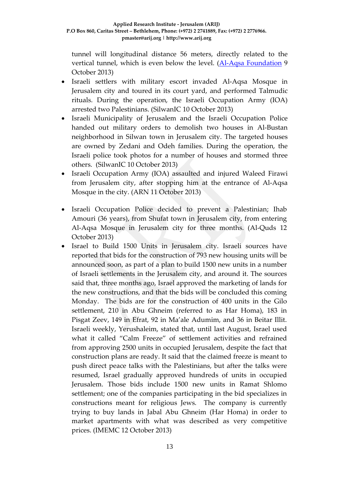tunnel will longitudinal distance 56 meters, directly related to the vertical tunnel, which is even below the level. [\(Al-Aqsa Foundation](http://www.iaqsa.com/%d8%a7%d9%84%d8%a7%d8%ad%d8%aa%d9%84%d8%a7%d9%84-%d8%a7%d9%84%d8%a7%d8%b3%d8%b1%d8%a7%d8%a6%d9%8a%d9%84%d9%8a-%d9%8a%d8%b6%d8%b9-%d8%a7%d9%84%d9%84%d9%85%d8%b3%d8%a7%d8%aa-%d8%a7%d9%84%d8%a3%d8%ae/) 9 October 2013)

- Israeli settlers with military escort invaded Al-Aqsa Mosque in Jerusalem city and toured in its court yard, and performed Talmudic rituals. During the operation, the Israeli Occupation Army (IOA) arrested two Palestinians. (SilwanIC 10 October 2013)
- Israeli Municipality of Jerusalem and the Israeli Occupation Police handed out military orders to demolish two houses in Al-Bustan neighborhood in Silwan town in Jerusalem city. The targeted houses are owned by Zedani and Odeh families. During the operation, the Israeli police took photos for a number of houses and stormed three others. (SilwanIC 10 October 2013)
- Israeli Occupation Army (IOA) assaulted and injured Waleed Firawi from Jerusalem city, after stopping him at the entrance of Al-Aqsa Mosque in the city. (ARN 11 October 2013)
- Israeli Occupation Police decided to prevent a Palestinian; Ihab Amouri (36 years), from Shufat town in Jerusalem city, from entering Al-Aqsa Mosque in Jerusalem city for three months. (Al-Quds 12 October 2013)
- Israel to Build 1500 Units in Jerusalem city. Israeli sources have reported that bids for the construction of 793 new housing units will be announced soon, as part of a plan to build 1500 new units in a number of Israeli settlements in the Jerusalem city, and around it. The sources said that, three months ago, Israel approved the marketing of lands for the new constructions, and that the bids will be concluded this coming Monday. The bids are for the construction of 400 units in the Gilo settlement, 210 in Abu Ghneim (referred to as Har Homa), 183 in Pisgat Zeev, 149 in Efrat, 92 in Ma'ale Adumim, and 36 in Beitar Illit. Israeli weekly, Yerushaleim, stated that, until last August, Israel used what it called "Calm Freeze" of settlement activities and refrained from approving 2500 units in occupied Jerusalem, despite the fact that construction plans are ready. It said that the claimed freeze is meant to push direct peace talks with the Palestinians, but after the talks were resumed, Israel gradually approved hundreds of units in occupied Jerusalem. Those bids include 1500 new units in Ramat Shlomo settlement; one of the companies participating in the bid specializes in constructions meant for religious Jews. The company is currently trying to buy lands in Jabal Abu Ghneim (Har Homa) in order to market apartments with what was described as very competitive prices. (IMEMC 12 October 2013)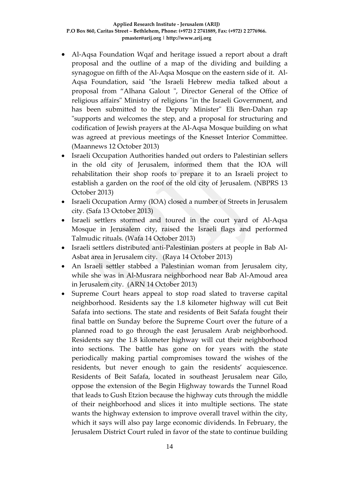- Al-Aqsa Foundation Wqaf and heritage issued a report about a draft proposal and the outline of a map of the dividing and building a synagogue on fifth of the Al-Aqsa Mosque on the eastern side of it. Al-Aqsa Foundation, said "the Israeli Hebrew media talked about a proposal from "Alhana Galout ", Director General of the Office of religious affairs" Ministry of religions "in the Israeli Government, and has been submitted to the Deputy Minister" Eli Ben-Dahan rap "supports and welcomes the step, and a proposal for structuring and codification of Jewish prayers at the Al-Aqsa Mosque building on what was agreed at previous meetings of the Knesset Interior Committee. (Maannews 12 October 2013)
- Israeli Occupation Authorities handed out orders to Palestinian sellers in the old city of Jerusalem, informed them that the IOA will rehabilitation their shop roofs to prepare it to an Israeli project to establish a garden on the roof of the old city of Jerusalem. (NBPRS 13 October 2013)
- Israeli Occupation Army (IOA) closed a number of Streets in Jerusalem city. (Safa 13 October 2013)
- Israeli settlers stormed and toured in the court yard of Al-Aqsa Mosque in Jerusalem city, raised the Israeli flags and performed Talmudic rituals. (Wafa 14 October 2013)
- Israeli settlers distributed anti-Palestinian posters at people in Bab Al-Asbat area in Jerusalem city. (Raya 14 October 2013)
- An Israeli settler stabbed a Palestinian woman from Jerusalem city, while she was in Al-Musrara neighborhood near Bab Al-Amoud area in Jerusalem city. (ARN 14 October 2013)
- Supreme Court hears appeal to stop road slated to traverse capital neighborhood. Residents say the 1.8 kilometer highway will cut Beit Safafa into sections. The state and residents of Beit Safafa fought their final battle on Sunday before the Supreme Court over the future of a planned road to go through the east Jerusalem Arab neighborhood. Residents say the 1.8 kilometer highway will cut their neighborhood into sections. The battle has gone on for years with the state periodically making partial compromises toward the wishes of the residents, but never enough to gain the residents' acquiescence. Residents of Beit Safafa, located in southeast Jerusalem near Gilo, oppose the extension of the Begin Highway towards the Tunnel Road that leads to Gush Etzion because the highway cuts through the middle of their neighborhood and slices it into multiple sections. The state wants the highway extension to improve overall travel within the city, which it says will also pay large economic dividends. In February, the Jerusalem District Court ruled in favor of the state to continue building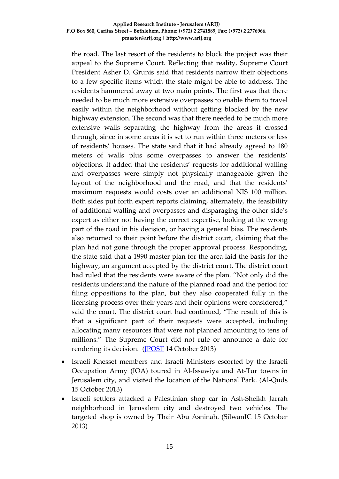#### **Applied Research Institute - Jerusalem (ARIJ) P.O Box 860, Caritas Street – Bethlehem, Phone: (+972) 2 2741889, Fax: (+972) 2 2776966. pmaster@arij.org | http://www.arij.org**

the road. The last resort of the residents to block the project was their appeal to the Supreme Court. Reflecting that reality, Supreme Court President Asher D. Grunis said that residents narrow their objections to a few specific items which the state might be able to address. The residents hammered away at two main points. The first was that there needed to be much more extensive overpasses to enable them to travel easily within the neighborhood without getting blocked by the new highway extension. The second was that there needed to be much more extensive walls separating the highway from the areas it crossed through, since in some areas it is set to run within three meters or less of residents' houses. The state said that it had already agreed to 180 meters of walls plus some overpasses to answer the residents' objections. It added that the residents' requests for additional walling and overpasses were simply not physically manageable given the layout of the neighborhood and the road, and that the residents' maximum requests would costs over an additional NIS 100 million. Both sides put forth expert reports claiming, alternately, the feasibility of additional walling and overpasses and disparaging the other side's expert as either not having the correct expertise, looking at the wrong part of the road in his decision, or having a general bias. The residents also returned to their point before the district court, claiming that the plan had not gone through the proper approval process. Responding, the state said that a 1990 master plan for the area laid the basis for the highway, an argument accepted by the district court. The district court had ruled that the residents were aware of the plan. "Not only did the residents understand the nature of the planned road and the period for filing oppositions to the plan, but they also cooperated fully in the licensing process over their years and their opinions were considered," said the court. The district court had continued, "The result of this is that a significant part of their requests were accepted, including allocating many resources that were not planned amounting to tens of millions." The Supreme Court did not rule or announce a date for rendering its decision. [\(JPOST](http://www.jpost.com/National-News/Supreme-Court-hears-appeal-to-stop-road-slated-to-traverse-capital-neighborhood-328646) 14 October 2013)

- Israeli Knesset members and Israeli Ministers escorted by the Israeli Occupation Army (IOA) toured in Al-Issawiya and At-Tur towns in Jerusalem city, and visited the location of the National Park. (Al-Quds 15 October 2013)
- Israeli settlers attacked a Palestinian shop car in Ash-Sheikh Jarrah neighborhood in Jerusalem city and destroyed two vehicles. The targeted shop is owned by Thair Abu Asninah. (SilwanIC 15 October 2013)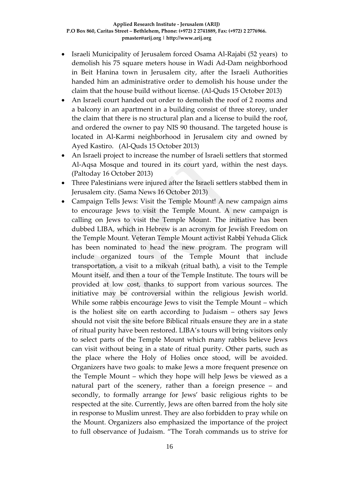- Israeli Municipality of Jerusalem forced Osama Al-Rajabi (52 years) to demolish his 75 square meters house in Wadi Ad-Dam neighborhood in Beit Hanina town in Jerusalem city, after the Israeli Authorities handed him an administrative order to demolish his house under the claim that the house build without license. (Al-Quds 15 October 2013)
- An Israeli court handed out order to demolish the roof of 2 rooms and a balcony in an apartment in a building consist of three storey, under the claim that there is no structural plan and a license to build the roof, and ordered the owner to pay NIS 90 thousand. The targeted house is located in Al-Karmi neighborhood in Jerusalem city and owned by Ayed Kastiro. (Al-Quds 15 October 2013)
- An Israeli project to increase the number of Israeli settlers that stormed Al-Aqsa Mosque and toured in its court yard, within the nest days. (Paltoday 16 October 2013)
- Three Palestinians were injured after the Israeli settlers stabbed them in Jerusalem city. (Sama News 16 October 2013)
- Campaign Tells Jews: Visit the Temple Mount! A new campaign aims to encourage Jews to visit the Temple Mount. A new campaign is calling on Jews to visit the Temple Mount. The initiative has been dubbed LIBA, which in Hebrew is an acronym for Jewish Freedom on the Temple Mount. Veteran Temple Mount activist Rabbi Yehuda Glick has been nominated to head the new program. The program will include organized tours of the Temple Mount that include transportation, a visit to a mikvah (ritual bath), a visit to the Temple Mount itself, and then a tour of the Temple Institute. The tours will be provided at low cost, thanks to support from various sources. The initiative may be controversial within the religious Jewish world. While some rabbis [encourage Jews to visit](http://www.israelnationalnews.com/News/News.aspx/153496_MJtJ8n0Q) the Temple Mount – which is the holiest site on earth according to Judaism – others say [Jews](http://www.israelnationalnews.com/News/News.aspx/153493_MI9J8n0Q)  [should not visit the site](http://www.israelnationalnews.com/News/News.aspx/153493_MI9J8n0Q) before Biblical rituals ensure they are in a state of ritual purity have been restored. LIBA's tours will bring visitors only to select parts of the Temple Mount which many rabbis believe Jews can visit without being in a state of ritual purity. Other parts, such as the place where the Holy of Holies once stood, will be avoided. Organizers have two goals: to make Jews a more frequent presence on the Temple Mount – which they hope will help Jews be viewed as a natural part of the scenery, rather than a foreign presence – and secondly, to formally arrange for Jews' basic religious rights to be respected at the site. Currently, Jews are often [barred from the holy site](http://www.israelnationalnews.com/News/News.aspx/172181_Lk9J8n0Q) in response to Muslim unrest. They are also [forbidden to pray](http://www.israelnationalnews.com/News/News.aspx/172825_Li9J8n0Q) while on the Mount. Organizers also emphasized the importance of the project to full observance of Judaism. "The Torah commands us to strive for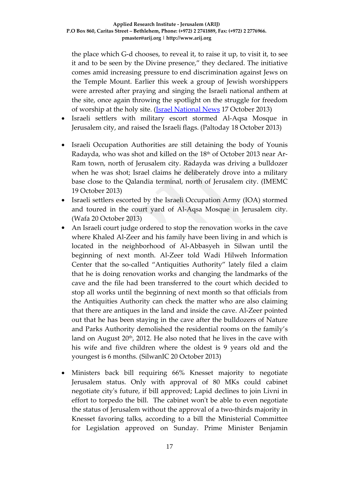the place which G-d chooses, to reveal it, to raise it up, to visit it, to see it and to be seen by the Divine presence," they declared. The initiative comes amid increasing pressure to end discrimination against Jews on the Temple Mount. Earlier this week a group of [Jewish worshippers](http://www.israelnationalnews.com/News/News.aspx/172825_Pk1DI2cA)  [were arrested](http://www.israelnationalnews.com/News/News.aspx/172825_Pk1DI2cA) after praying and singing the Israeli national anthem at the site, once again throwing the spotlight on the struggle for freedom of worship at the holy site. [\(Israel National News](http://www.israelnationalnews.com/News/News.aspx/172922) 17 October 2013)

- Israeli settlers with military escort stormed Al-Aqsa Mosque in Jerusalem city, and raised the Israeli flags. (Paltoday 18 October 2013)
- Israeli Occupation Authorities are still detaining the body of Younis Radayda, who was shot and killed on the 18<sup>th</sup> of October 2013 near Ar-Ram town, north of Jerusalem city. Radayda was driving a bulldozer when he was shot; Israel claims he deliberately drove into a military base close to the Qalandia terminal, north of Jerusalem city. (IMEMC 19 October 2013)
- Israeli settlers escorted by the Israeli Occupation Army (IOA) stormed and toured in the court yard of Al-Aqsa Mosque in Jerusalem city. (Wafa 20 October 2013)
- An [Israeli court](http://silwanic.net/?tag=israeli-magistrate-court) judge ordered to stop the renovation works in the cave where Khaled Al-Zeer and his family have been living in and which is located in the neighborhood of Al-Abbasyeh in Silwan until the beginning of next month. Al-Zeer told Wadi Hilweh Information Center that the so-called "Antiquities Authority" lately filed a claim that he is doing renovation works and changing the landmarks of the cave and the file had been transferred to the court which decided to stop all works until the beginning of next month so that officials from the Antiquities Authority can check the matter who are also claiming that there are antiques in the land and inside the cave. Al-Zeer pointed out that he has been staying in the cave after the bulldozers of Nature and Parks Authority demolished the residential rooms on the family's land on August 20<sup>th</sup>, 2012. He also noted that he lives in the cave with his wife and five children where the oldest is 9 years old and the youngest is 6 months. (SilwanIC 20 October 2013)
- Ministers back bill requiring 66% Knesset majority to negotiate Jerusalem status. Only with approval of 80 MKs could cabinet negotiate city's future, if bill approved; Lapid declines to join Livni in effort to torpedo the bill. The cabinet won't be able to even negotiate the status of Jerusalem without the approval of a two-thirds majority in Knesset favoring talks, according to a bill the Ministerial Committee for Legislation approved on Sunday. Prime Minister Benjamin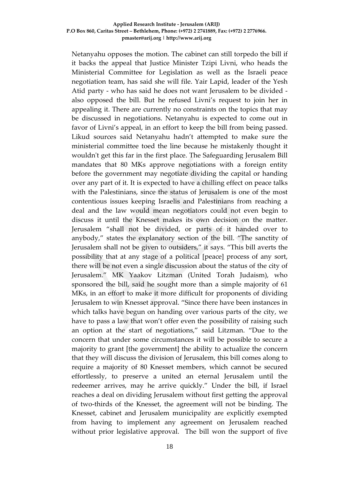#### **Applied Research Institute - Jerusalem (ARIJ) P.O Box 860, Caritas Street – Bethlehem, Phone: (+972) 2 2741889, Fax: (+972) 2 2776966. pmaster@arij.org | http://www.arij.org**

Netanyahu opposes the motion. The cabinet can still torpedo the bill if it backs the appeal that Justice Minister Tzipi Livni, who heads the Ministerial Committee for Legislation as well as the Israeli peace negotiation team, has said she will file. Yair Lapid, leader of the Yesh Atid party - who has said he does not want Jerusalem to be divided also opposed the bill. But he refused Livni's request to join her in appealing it. There are currently no constraints on the topics that may be discussed in negotiations. Netanyahu is expected to come out in favor of Livni's appeal, in an effort to keep the bill from being passed. Likud sources said Netanyahu hadn't attempted to make sure the ministerial committee toed the line because he mistakenly thought it wouldn't get this far in the first place. The Safeguarding Jerusalem Bill mandates that 80 MKs approve negotiations with a foreign entity before the government may negotiate dividing the capital or handing over any part of it. It is expected to have a chilling effect on peace talks with the Palestinians, since the status of Jerusalem is one of the most contentious issues keeping Israelis and Palestinians from reaching a deal and the law would mean negotiators could not even begin to discuss it until the Knesset makes its own decision on the matter. Jerusalem "shall not be divided, or parts of it handed over to anybody," states the explanatory section of the bill. "The sanctity of Jerusalem shall not be given to outsiders," it says. "This bill averts the possibility that at any stage of a political [peace] process of any sort, there will be not even a single discussion about the status of the city of Jerusalem." MK Yaakov Litzman (United Torah Judaism), who sponsored the bill, said he sought more than a simple majority of 61 MKs, in an effort to make it more difficult for proponents of dividing Jerusalem to win Knesset approval. "Since there have been instances in which talks have begun on handing over various parts of the city, we have to pass a law that won't offer even the possibility of raising such an option at the start of negotiations," said Litzman. "Due to the concern that under some circumstances it will be possible to secure a majority to grant [the government] the ability to actualize the concern that they will discuss the division of Jerusalem, this bill comes along to require a majority of 80 Knesset members, which cannot be secured effortlessly, to preserve a united an eternal Jerusalem until the redeemer arrives, may he arrive quickly." Under the bill, if Israel reaches a deal on dividing Jerusalem without first getting the approval of two-thirds of the Knesset, the agreement will not be binding. The Knesset, cabinet and Jerusalem municipality are explicitly exempted from having to implement any agreement on Jerusalem reached without prior legislative approval. The bill won the support of five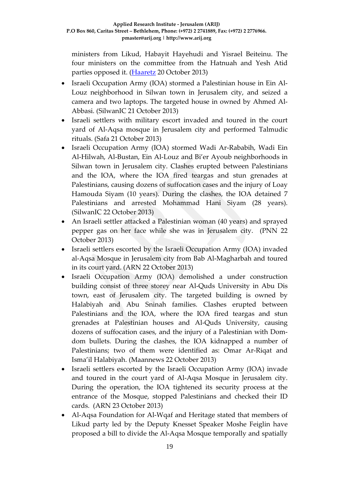ministers from Likud, Habayit Hayehudi and Yisrael Beiteinu. The four ministers on the committee from the Hatnuah and Yesh Atid parties opposed it. [\(Haaretz](http://www.haaretz.com/news/diplomacy-defense/.premium-1.553465) 20 October 2013)

- Israeli Occupation Army (IOA) stormed a Palestinian house in Ein Al-Louz neighborhood in Silwan town in Jerusalem city, and seized a camera and two laptops. The targeted house in owned by Ahmed Al-Abbasi. (SilwanIC 21 October 2013)
- Israeli settlers with military escort invaded and toured in the court yard of Al-Aqsa mosque in Jerusalem city and performed Talmudic rituals. (Safa 21 October 2013)
- Israeli Occupation Army (IOA) stormed Wadi Ar-Rababih, Wadi Ein Al-Hilwah, Al-Bustan, Ein Al-Louz and Bi'er Ayoub neighborhoods in Silwan town in Jerusalem city. Clashes erupted between Palestinians and the IOA, where the IOA fired teargas and stun grenades at Palestinians, causing dozens of suffocation cases and the injury of Loay Hamouda Siyam (10 years). During the clashes, the IOA detained 7 Palestinians and arrested Mohammad Hani Siyam (28 years). (SilwanIC 22 October 2013)
- An Israeli settler attacked a Palestinian woman (40 years) and sprayed pepper gas on her face while she was in Jerusalem city. (PNN 22 October 2013)
- Israeli settlers escorted by the Israeli Occupation Army (IOA) invaded al-Aqsa Mosque in Jerusalem city from Bab Al-Magharbah and toured in its court yard. (ARN 22 October 2013)
- Israeli Occupation Army (IOA) demolished a under construction building consist of three storey near Al-Quds University in Abu Dis town, east of Jerusalem city. The targeted building is owned by Halabiyah and Abu Sninah families. Clashes erupted between Palestinians and the IOA, where the IOA fired teargas and stun grenades at Palestinian houses and Al-Quds University, causing dozens of suffocation cases, and the injury of a Palestinian with Domdom bullets. During the clashes, the IOA kidnapped a number of Palestinians; two of them were identified as: Omar Ar-Riqat and Isma'il Halabiyah. (Maannews 22 October 2013)
- Israeli settlers escorted by the Israeli Occupation Army (IOA) invade and toured in the court yard of Al-Aqsa Mosque in Jerusalem city. During the operation, the IOA tightened its security process at the entrance of the Mosque, stopped Palestinians and checked their ID cards. (ARN 23 October 2013)
- Al-Aqsa Foundation for Al-Wqaf and Heritage stated that members of Likud party led by the Deputy Knesset Speaker Moshe Feiglin have proposed a bill to divide the Al-Aqsa Mosque temporally and spatially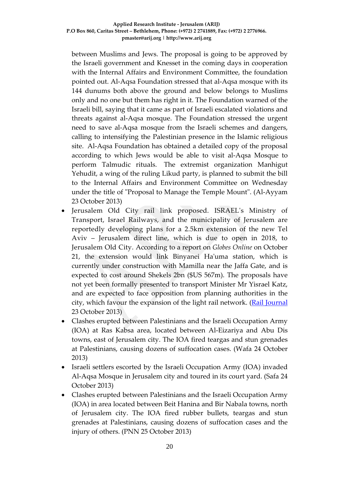between Muslims and Jews. The proposal is going to be approved by the Israeli government and Knesset in the coming days in cooperation with the Internal Affairs and Environment Committee, the foundation pointed out. Al-Aqsa Foundation stressed that al-Aqsa mosque with its 144 dunums both above the ground and below belongs to Muslims only and no one but them has right in it. The Foundation warned of the Israeli bill, saying that it came as part of Israeli escalated violations and threats against al-Aqsa mosque. The Foundation stressed the urgent need to save al-Aqsa mosque from the Israeli schemes and dangers, calling to intensifying the Palestinian presence in the Islamic religious site. Al-Aqsa Foundation has obtained a detailed copy of the proposal according to which Jews would be able to visit al-Aqsa Mosque to perform Talmudic rituals. The extremist organization Manhigut Yehudit, a wing of the ruling Likud party, is planned to submit the bill to the Internal Affairs and Environment Committee on Wednesday under the title of "Proposal to Manage the Temple Mount". (Al-Ayyam 23 October 2013)

- Jerusalem Old City rail link proposed. ISRAEL's Ministry of Transport, Israel Railways, and the municipality of Jerusalem are reportedly developing plans for a 2.5km extension of the new Tel Aviv – Jerusalem direct line, which is due to open in 2018, to Jerusalem Old City. According to a report on *Globes Online* on October 21, the extension would link Binyanei Ha'uma station, which is currently under construction with Mamilla near the Jaffa Gate, and is expected to cost around Shekels 2bn (\$US 567m). The proposals have not yet been formally presented to transport Minister Mr Yisrael Katz, and are expected to face opposition from planning authorities in the city, which favour the expansion of the light rail network. [\(Rail Journal](http://www.railjournal.com/index.php/middle-east/jerusalem-old-city-rail-link-proposed.html) 23 October 2013)
- Clashes erupted between Palestinians and the Israeli Occupation Army (IOA) at Ras Kabsa area, located between Al-Eizariya and Abu Dis towns, east of Jerusalem city. The IOA fired teargas and stun grenades at Palestinians, causing dozens of suffocation cases. (Wafa 24 October 2013)
- Israeli settlers escorted by the Israeli Occupation Army (IOA) invaded Al-Aqsa Mosque in Jerusalem city and toured in its court yard. (Safa 24 October 2013)
- Clashes erupted between Palestinians and the Israeli Occupation Army (IOA) in area located between Beit Hanina and Bir Nabala towns, north of Jerusalem city. The IOA fired rubber bullets, teargas and stun grenades at Palestinians, causing dozens of suffocation cases and the injury of others. (PNN 25 October 2013)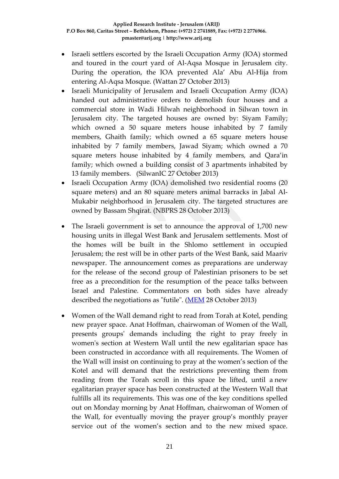- Israeli settlers escorted by the Israeli Occupation Army (IOA) stormed and toured in the court yard of Al-Aqsa Mosque in Jerusalem city. During the operation, the IOA prevented Ala' Abu Al-Hija from entering Al-Aqsa Mosque. (Wattan 27 October 2013)
- Israeli Municipality of Jerusalem and Israeli Occupation Army (IOA) handed out administrative orders to demolish four houses and a commercial store in Wadi Hilwah neighborhood in Silwan town in Jerusalem city. The targeted houses are owned by: Siyam Family; which owned a 50 square meters house inhabited by 7 family members, Ghaith family; which owned a 65 square meters house inhabited by 7 family members, Jawad Siyam; which owned a 70 square meters house inhabited by 4 family members, and Qara'in family; which owned a building consist of 3 apartments inhabited by 13 family members. (SilwanIC 27 October 2013)
- Israeli Occupation Army (IOA) demolished two residential rooms (20 square meters) and an 80 square meters animal barracks in Jabal Al-Mukabir neighborhood in Jerusalem city. The targeted structures are owned by Bassam Shqirat. (NBPRS 28 October 2013)
- The Israeli government is set to announce the approval of 1,700 new housing units in illegal West Bank and Jerusalem settlements. Most of the homes will be built in the Shlomo settlement in occupied Jerusalem; the rest will be in other parts of the West Bank, said Maariv newspaper. The announcement comes as preparations are underway for the release of the second group of Palestinian prisoners to be set free as a precondition for the resumption of the peace talks between Israel and Palestine. Commentators on both sides have already described the negotiations as "futile". [\(MEM](http://www.middleeastmonitor.com/news/middle-east/7997-israeli-government-approves-1700-new-units-in-west-bank-and-jerusalem-settlements) 28 October 2013)
- Women of the Wall demand right to read from Torah at Kotel, pending new prayer space. Anat Hoffman, chairwoman of Women of the Wall, presents groups' demands including the right to pray freely in women's section at Western Wall until the new egalitarian space has been constructed in accordance with all requirements. The Women of the Wall will insist on continuing to pray at the women's section of the Kotel and will demand that the restrictions preventing them from reading from the Torah scroll in this space be lifted, until a [new](http://www.haaretz.com/jewish-world/jewish-world-news/.premium-1.554726)  [egalitarian prayer space](http://www.haaretz.com/jewish-world/jewish-world-news/.premium-1.554726) has been constructed at the Western Wall that fulfills all its requirements. This was one of the key conditions spelled out on Monday morning by Anat Hoffman, chairwoman of Women of the Wall, for eventually moving the prayer group's monthly prayer service out of the women's section and to the new mixed space.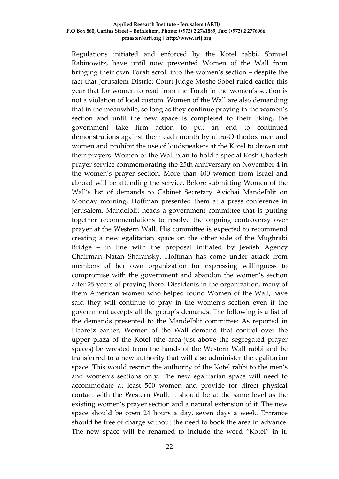#### **Applied Research Institute - Jerusalem (ARIJ) P.O Box 860, Caritas Street – Bethlehem, Phone: (+972) 2 2741889, Fax: (+972) 2 2776966. pmaster@arij.org | http://www.arij.org**

Regulations initiated and enforced by the Kotel rabbi, Shmuel Rabinowitz, have until now prevented Women of the Wall from bringing their own Torah scroll into the women's section – despite the fact that Jerusalem District Court Judge Moshe Sobel ruled earlier this year that for women to read from the Torah in the women's section is not a violation of local custom. Women of the Wall are also demanding that in the meanwhile, so long as they continue praying in the women's section and until the new space is completed to their liking, the government take firm action to put an end to continued demonstrations against them each month by ultra-Orthodox men and women and prohibit the use of loudspeakers at the Kotel to drown out their prayers. Women of the Wall plan to hold a special Rosh Chodesh prayer service commemorating the 25th anniversary on November 4 in the women's prayer section. More than 400 women from Israel and abroad will be attending the service. Before submitting Women of the Wall's list of demands to Cabinet Secretary Avichai Mandelblit on Monday morning, Hoffman presented them at a press conference in Jerusalem. Mandelblit heads a government committee that is putting together recommendations to resolve the ongoing controversy over prayer at the Western Wall. His committee is expected to recommend creating a new egalitarian space on the other side of the Mughrabi Bridge – in line with the proposal initiated by Jewish Agency Chairman Natan Sharansky. Hoffman has come under attack from members of her own organization for expressing willingness to compromise with the government and abandon the women's section after 25 years of praying there. Dissidents in the organization, many of them American women who helped found Women of the Wall, have said they will continue to pray in the women's section even if the government accepts all the group's demands. The following is a list of the demands presented to the Mandelblit committee: As reported in Haaretz earlier, Women of the Wall demand that control over the upper plaza of the Kotel (the area just above the segregated prayer spaces) be wrested from the hands of the Western Wall rabbi and be transferred to a new authority that will also administer the egalitarian space. This would restrict the authority of the Kotel rabbi to the men's and women's sections only. The new egalitarian space will need to accommodate at least 500 women and provide for direct physical contact with the Western Wall. It should be at the same level as the existing women's prayer section and a natural extension of it. The new space should be open 24 hours a day, seven days a week. Entrance should be free of charge without the need to book the area in advance. The new space will be renamed to include the word "Kotel" in it.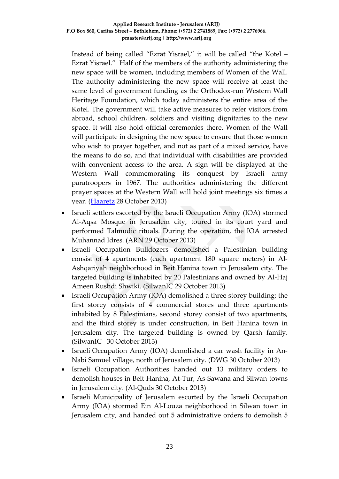#### **Applied Research Institute - Jerusalem (ARIJ) P.O Box 860, Caritas Street – Bethlehem, Phone: (+972) 2 2741889, Fax: (+972) 2 2776966. pmaster@arij.org | http://www.arij.org**

Instead of being called "Ezrat Yisrael," it will be called "the Kotel – Ezrat Yisrael." Half of the members of the authority administering the new space will be women, including members of Women of the Wall. The authority administering the new space will receive at least the same level of government funding as the Orthodox-run Western Wall Heritage Foundation, which today administers the entire area of the Kotel. The government will take active measures to refer visitors from abroad, school children, soldiers and visiting dignitaries to the new space. It will also hold official ceremonies there. Women of the Wall will participate in designing the new space to ensure that those women who wish to prayer together, and not as part of a mixed service, have the means to do so, and that individual with disabilities are provided with convenient access to the area. A sign will be displayed at the Western Wall commemorating its conquest by Israeli army paratroopers in 1967. The authorities administering the different prayer spaces at the Western Wall will hold joint meetings six times a year. [\(Haaretz](http://www.haaretz.com/jewish-world/jewish-world-news/.premium-1.554726) 28 October 2013)

- Israeli settlers escorted by the Israeli Occupation Army (IOA) stormed Al-Aqsa Mosque in Jerusalem city, toured in its court yard and performed Talmudic rituals. During the operation, the IOA arrested Muhannad Idres. (ARN 29 October 2013)
- Israeli Occupation Bulldozers demolished a Palestinian building consist of 4 apartments (each apartment 180 square meters) in Al-Ashqariyah neighborhood in Beit Hanina town in Jerusalem city. The targeted building is inhabited by 20 Palestinians and owned by Al-Haj Ameen Rushdi Shwiki. (SilwanIC 29 October 2013)
- Israeli Occupation Army (IOA) demolished a three storey building; the first storey consists of 4 commercial stores and three apartments inhabited by 8 Palestinians, second storey consist of two apartments, and the third storey is under construction, in Beit Hanina town in Jerusalem city. The targeted building is owned by Qarsh family. (SilwanIC 30 October 2013)
- Israeli Occupation Army (IOA) demolished a car wash facility in An-Nabi Samuel village, north of Jerusalem city. (DWG 30 October 2013)
- Israeli Occupation Authorities handed out 13 military orders to demolish houses in Beit Hanina, At-Tur, As-Sawana and Silwan towns in Jerusalem city. (Al-Quds 30 October 2013)
- Israeli Municipality of Jerusalem escorted by the Israeli Occupation Army (IOA) stormed Ein Al-Louza neighborhood in Silwan town in Jerusalem city, and handed out 5 administrative orders to demolish 5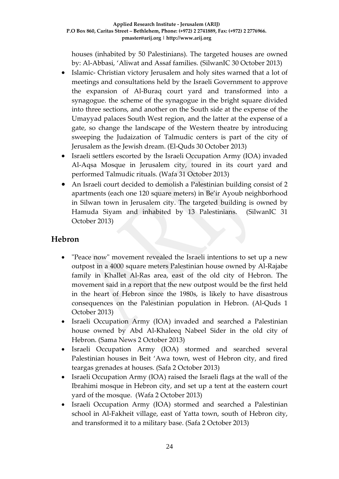houses (inhabited by 50 Palestinians). The targeted houses are owned by: Al-Abbasi, 'Aliwat and Assaf families. (SilwanIC 30 October 2013)

- Islamic- Christian victory Jerusalem and holy sites warned that a lot of meetings and consultations held by the Israeli Government to approve the expansion of Al-Buraq court yard and transformed into a synagogue. the scheme of the synagogue in the bright square divided into three sections, and another on the South side at the expense of the Umayyad palaces South West region, and the latter at the expense of a gate, so change the landscape of the Western theatre by introducing sweeping the Judaization of Talmudic centers is part of the city of Jerusalem as the Jewish dream. (El-Quds 30 October 2013)
- Israeli settlers escorted by the Israeli Occupation Army (IOA) invaded Al-Aqsa Mosque in Jerusalem city, toured in its court yard and performed Talmudic rituals. (Wafa 31 October 2013)
- An Israeli court decided to demolish a Palestinian building consist of 2 apartments (each one 120 square meters) in Be'ir Ayoub neighborhood in Silwan town in Jerusalem city. The targeted building is owned by Hamuda Siyam and inhabited by 13 Palestinians. (SilwanIC 31 October 2013)

### **Hebron**

- "Peace now" movement revealed the Israeli intentions to set up a new outpost in a 4000 square meters Palestinian house owned by Al-Rajabe family in Khallet Al-Ras area, east of the old city of Hebron. The movement said in a report that the new outpost would be the first held in the heart of Hebron since the 1980s, is likely to have disastrous consequences on the Palestinian population in Hebron. (Al-Quds 1 October 2013)
- Israeli Occupation Army (IOA) invaded and searched a Palestinian house owned by Abd Al-Khaleeq Nabeel Sider in the old city of Hebron. (Sama News 2 October 2013)
- Israeli Occupation Army (IOA) stormed and searched several Palestinian houses in Beit 'Awa town, west of Hebron city, and fired teargas grenades at houses. (Safa 2 October 2013)
- Israeli Occupation Army (IOA) raised the Israeli flags at the wall of the Ibrahimi mosque in Hebron city, and set up a tent at the eastern court yard of the mosque. (Wafa 2 October 2013)
- Israeli Occupation Army (IOA) stormed and searched a Palestinian school in Al-Fakheit village, east of Yatta town, south of Hebron city, and transformed it to a military base. (Safa 2 October 2013)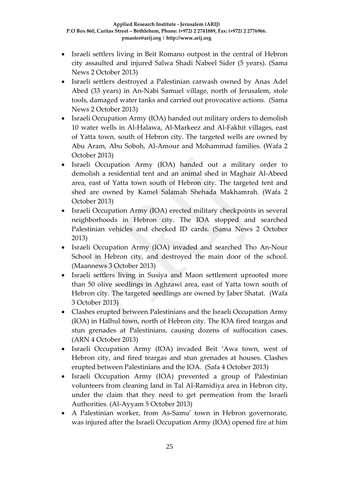- Israeli settlers living in Beit Romano outpost in the central of Hebron city assaulted and injured Salwa Shadi Nabeel Sider (5 years). (Sama News 2 October 2013)
- Israeli settlers destroyed a Palestinian carwash owned by Anas Adel Abed (33 years) in An-Nabi Samuel village, north of Jerusalem, stole tools, damaged water tanks and carried out provocative actions. (Sama News 2 October 2013)
- Israeli Occupation Army (IOA) handed out military orders to demolish 10 water wells in Al-Halawa, Al-Markeez and Al-Fakhit villages, east of Yatta town, south of Hebron city. The targeted wells are owned by Abu Aram, Abu Soboh, Al-Amour and Mohammad families. (Wafa 2 October 2013)
- Israeli Occupation Army (IOA) handed out a military order to demolish a residential tent and an animal shed in Maghair Al-Abeed area, east of Yatta town south of Hebron city. The targeted tent and shed are owned by Kamel Salamah Shehada Makhamrah. (Wafa 2 October 2013)
- Israeli Occupation Army (IOA) erected military checkpoints in several neighborhoods in Hebron city. The IOA stopped and searched Palestinian vehicles and checked ID cards. (Sama News 2 October 2013)
- Israeli Occupation Army (IOA) invaded and searched Tho An-Nour School in Hebron city, and destroyed the main door of the school. (Maannews 3 October 2013)
- Israeli settlers living in Susiya and Maon settlement uprooted more than 50 olive seedlings in Aghzawi area, east of Yatta town south of Hebron city. The targeted seedlings are owned by Jaber Shatat. (Wafa 3 October 2013)
- Clashes erupted between Palestinians and the Israeli Occupation Army (IOA) in Halhul town, north of Hebron city. The IOA fired teargas and stun grenades at Palestinians, causing dozens of suffocation cases. (ARN 4 October 2013)
- Israeli Occupation Army (IOA) invaded Beit 'Awa town, west of Hebron city, and fired teargas and stun grenades at houses. Clashes erupted between Palestinians and the IOA. (Safa 4 October 2013)
- Israeli Occupation Army (IOA) prevented a group of Palestinian volunteers from cleaning land in Tal Al-Ramidiya area in Hebron city, under the claim that they need to get permeation from the Israeli Authorities. (Al-Ayyam 5 October 2013)
- A Palestinian worker, from As-Samu' town in Hebron governorate, was injured after the Israeli Occupation Army (IOA) opened fire at him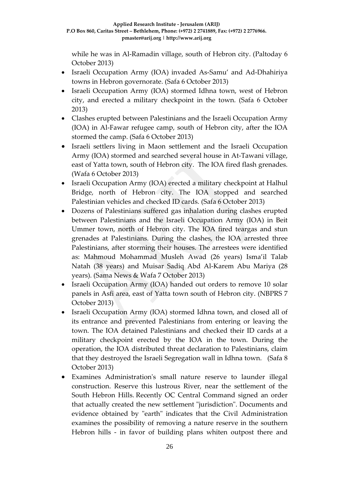while he was in Al-Ramadin village, south of Hebron city. (Paltoday 6 October 2013)

- Israeli Occupation Army (IOA) invaded As-Samu' and Ad-Dhahiriya towns in Hebron governorate. (Safa 6 October 2013)
- Israeli Occupation Army (IOA) stormed Idhna town, west of Hebron city, and erected a military checkpoint in the town. (Safa 6 October 2013)
- Clashes erupted between Palestinians and the Israeli Occupation Army (IOA) in Al-Fawar refugee camp, south of Hebron city, after the IOA stormed the camp. (Safa 6 October 2013)
- Israeli settlers living in Maon settlement and the Israeli Occupation Army (IOA) stormed and searched several house in At-Tawani village, east of Yatta town, south of Hebron city. The IOA fired flash grenades. (Wafa 6 October 2013)
- Israeli Occupation Army (IOA) erected a military checkpoint at Halhul Bridge, north of Hebron city. The IOA stopped and searched Palestinian vehicles and checked ID cards. (Safa 6 October 2013)
- Dozens of Palestinians suffered gas inhalation during clashes erupted between Palestinians and the Israeli Occupation Army (IOA) in Beit Ummer town, north of Hebron city. The IOA fired teargas and stun grenades at Palestinians. During the clashes, the IOA arrested three Palestinians, after storming their houses. The arrestees were identified as: Mahmoud Mohammad Musleh Awad (26 years) Isma'il Talab Natah (38 years) and Muisar Sadiq Abd Al-Karem Abu Mariya (28 years). (Sama News & Wafa 7 October 2013)
- Israeli Occupation Army (IOA) handed out orders to remove 10 solar panels in Asfi area, east of Yatta town south of Hebron city. (NBPRS 7 October 2013)
- Israeli Occupation Army (IOA) stormed Idhna town, and closed all of its entrance and prevented Palestinians from entering or leaving the town. The IOA detained Palestinians and checked their ID cards at a military checkpoint erected by the IOA in the town. During the operation, the IOA distributed threat declaration to Palestinians, claim that they destroyed the Israeli Segregation wall in Idhna town. (Safa 8 October 2013)
- Examines Administration's small nature reserve to launder illegal construction. Reserve this lustrous River, near the settlement of the South Hebron Hills. Recently OC Central Command signed an order that actually created the new settlement "jurisdiction". Documents and evidence obtained by "earth" indicates that the Civil Administration examines the possibility of removing a nature reserve in the southern Hebron hills - in favor of building plans whiten outpost there and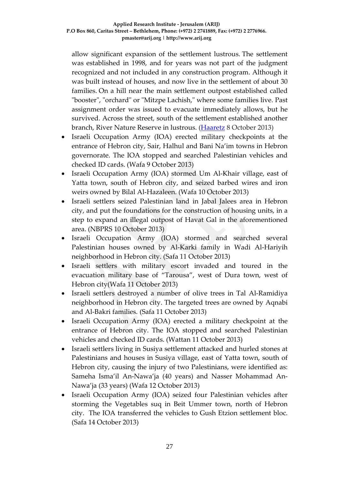allow significant expansion of the settlement lustrous. The settlement was established in 1998, and for years was not part of the judgment recognized and not included in any construction program. Although it was built instead of houses, and now live in the settlement of about 30 families. On a hill near the main settlement outpost established called "booster", "orchard" or "Mitzpe Lachish," where some families live. Past assignment order was issued to evacuate immediately allows, but he survived. Across the street, south of the settlement established another branch, River Nature Reserve in lustrous. [\(Haaretz](http://www.haaretz.co.il/news/politics/.premium-1.2134912) 8 October 2013)

- Israeli Occupation Army (IOA) erected military checkpoints at the entrance of Hebron city, Sair, Halhul and Bani Na'im towns in Hebron governorate. The IOA stopped and searched Palestinian vehicles and checked ID cards. (Wafa 9 October 2013)
- Israeli Occupation Army (IOA) stormed Um Al-Khair village, east of Yatta town, south of Hebron city, and seized barbed wires and iron weirs owned by Bilal Al-Hazaleen. (Wafa 10 October 2013)
- Israeli settlers seized Palestinian land in Jabal Jalees area in Hebron city, and put the foundations for the construction of housing units, in a step to expand an illegal outpost of Havat Gal in the aforementioned area. (NBPRS 10 October 2013)
- Israeli Occupation Army (IOA) stormed and searched several Palestinian houses owned by Al-Karki family in Wadi Al-Hariyih neighborhood in Hebron city. (Safa 11 October 2013)
- Israeli settlers with military escort invaded and toured in the evacuation military base of "Tarousa", west of Dura town, west of Hebron city(Wafa 11 October 2013)
- Israeli settlers destroyed a number of olive trees in Tal Al-Ramidiya neighborhood in Hebron city. The targeted trees are owned by Aqnabi and Al-Bakri families. (Safa 11 October 2013)
- Israeli Occupation Army (IOA) erected a military checkpoint at the entrance of Hebron city. The IOA stopped and searched Palestinian vehicles and checked ID cards. (Wattan 11 October 2013)
- Israeli settlers living in Susiya settlement attacked and hurled stones at Palestinians and houses in Susiya village, east of Yatta town, south of Hebron city, causing the injury of two Palestinians, were identified as: Sameha Isma'il An-Nawa'ja (40 years) and Nasser Mohammad An-Nawa'ja (33 years) (Wafa 12 October 2013)
- Israeli Occupation Army (IOA) seized four Palestinian vehicles after storming the Vegetables suq in Beit Ummer town, north of Hebron city. The IOA transferred the vehicles to Gush Etzion settlement bloc. (Safa 14 October 2013)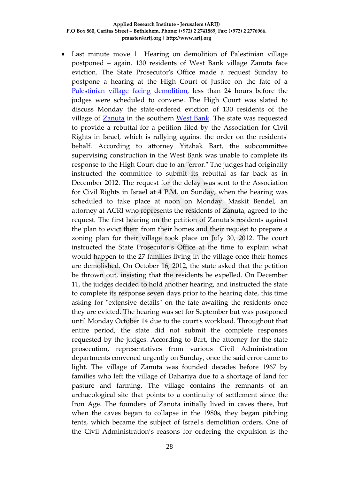• Last minute move || Hearing on demolition of Palestinian village postponed – again. 130 residents of West Bank village Zanuta face eviction. The State Prosecutor's Office made a request Sunday to postpone a hearing at the High Court of Justice on the fate of a [Palestinian village facing demolition,](http://www.haaretz.com/news/diplomacy-defense/.premium-1.552054) less than 24 hours before the judges were scheduled to convene. The High Court was slated to discuss Monday the state-ordered eviction of 130 residents of the village of **Zanuta** in the southern [West Bank.](http://www.haaretz.com/misc/tags/West%20Bank-1.477132) The state was requested to provide a rebuttal for a petition filed by the Association for Civil Rights in Israel, which is rallying against the order on the residents' behalf. According to attorney Yitzhak Bart, the subcommittee supervising construction in the West Bank was unable to complete its response to the High Court due to an "error." The judges had originally instructed the committee to submit its rebuttal as far back as in December 2012. The request for the delay was sent to the Association for Civil Rights in Israel at 4 P.M. on Sunday, when the hearing was scheduled to take place at noon on Monday. Maskit Bendel, an attorney at ACRI who represents the residents of Zanuta, agreed to the request. The first hearing on the petition of Zanuta's residents against the plan to evict them from their homes and their request to prepare a zoning plan for their village took place on July 30, 2012. The court instructed the State Prosecutor's Office at the time to explain what would happen to the 27 families living in the village once their homes are demolished. On October 16, 2012, the state asked that the petition be thrown out, insisting that the residents be expelled. On December 11, the judges decided to hold another hearing, and instructed the state to complete its response seven days prior to the hearing date, this time asking for "extensive details" on the fate awaiting the residents once they are evicted. The hearing was set for September but was postponed until Monday October 14 due to the court's workload. Throughout that entire period, the state did not submit the complete responses requested by the judges. According to Bart, the attorney for the state prosecution, representatives from various Civil Administration departments convened urgently on Sunday, once the said error came to light. The village of Zanuta was founded decades before 1967 by families who left the village of Dahariya due to a shortage of land for pasture and farming. The village contains the remnants of an archaeological site that points to a continuity of settlement since the Iron Age. The founders of Zanuta initially lived in caves there, but when the caves began to collapse in the 1980s, they began pitching tents, which became the subject of Israel's demolition orders. One of the Civil Administration's reasons for ordering the expulsion is the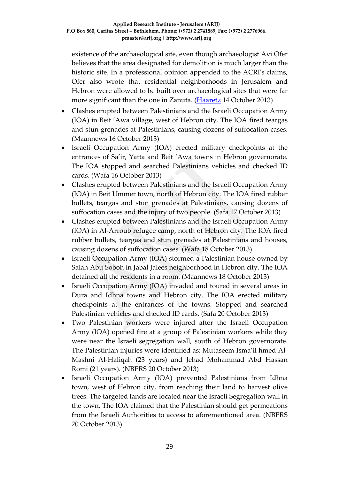existence of the archaeological site, even though archaeologist Avi Ofer believes that the area designated for demolition is much larger than the historic site. In a professional opinion appended to the ACRI's claims, Ofer also wrote that residential neighborhoods in Jerusalem and Hebron were allowed to be built over archaeological sites that were far more significant than the one in Zanuta. [\(Haaretz](http://www.haaretz.com/news/diplomacy-defense/.premium-1.552297) 14 October 2013)

- Clashes erupted between Palestinians and the Israeli Occupation Army (IOA) in Beit 'Awa village, west of Hebron city. The IOA fired teargas and stun grenades at Palestinians, causing dozens of suffocation cases. (Maannews 16 October 2013)
- Israeli Occupation Army (IOA) erected military checkpoints at the entrances of Sa'ir, Yatta and Beit 'Awa towns in Hebron governorate. The IOA stopped and searched Palestinians vehicles and checked ID cards. (Wafa 16 October 2013)
- Clashes erupted between Palestinians and the Israeli Occupation Army (IOA) in Beit Ummer town, north of Hebron city. The IOA fired rubber bullets, teargas and stun grenades at Palestinians, causing dozens of suffocation cases and the injury of two people. (Safa 17 October 2013)
- Clashes erupted between Palestinians and the Israeli Occupation Army (IOA) in Al-Arroub refugee camp, north of Hebron city. The IOA fired rubber bullets, teargas and stun grenades at Palestinians and houses, causing dozens of suffocation cases. (Wafa 18 October 2013)
- Israeli Occupation Army (IOA) stormed a Palestinian house owned by Salah Abu Soboh in Jabal Jalees neighborhood in Hebron city. The IOA detained all the residents in a room. (Maannews 18 October 2013)
- Israeli Occupation Army (IOA) invaded and toured in several areas in Dura and Idhna towns and Hebron city. The IOA erected military checkpoints at the entrances of the towns. Stopped and searched Palestinian vehicles and checked ID cards. (Safa 20 October 2013)
- Two Palestinian workers were injured after the Israeli Occupation Army (IOA) opened fire at a group of Palestinian workers while they were near the Israeli segregation wall, south of Hebron governorate. The Palestinian injuries were identified as: Mutaseem Isma'il hmed Al-Mashni Al-Haliqah (23 years) and Jehad Mohammad Abd Hassan Romi (21 years). (NBPRS 20 October 2013)
- Israeli Occupation Army (IOA) prevented Palestinians from Idhna town, west of Hebron city, from reaching their land to harvest olive trees. The targeted lands are located near the Israeli Segregation wall in the town. The IOA claimed that the Palestinian should get permeations from the Israeli Authorities to access to aforementioned area. (NBPRS 20 October 2013)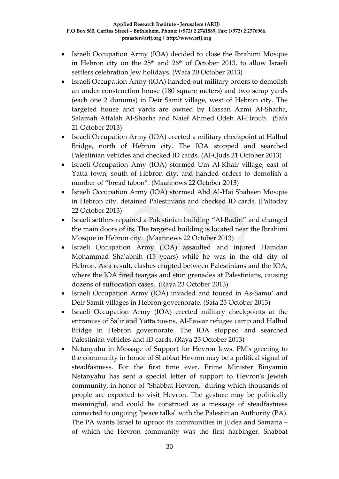- Israeli Occupation Army (IOA) decided to close the Ibrahimi Mosque in Hebron city on the 25<sup>th</sup> and 26<sup>th</sup> of October 2013, to allow Israeli settlers celebration Jew holidays. (Wafa 20 October 2013)
- Israeli Occupation Army (IOA) handed out military orders to demolish an under construction house (180 square meters) and two scrap yards (each one 2 dunums) in Deir Samit village, west of Hebron city. The targeted house and yards are owned by Hassan Azmi Al-Sharha, Salamah Attalah Al-Sharha and Naief Ahmed Odeh Al-Hroub. (Safa 21 October 2013)
- Israeli Occupation Army (IOA) erected a military checkpoint at Halhul Bridge, north of Hebron city. The IOA stopped and searched Palestinian vehicles and checked ID cards. (Al-Quds 21 October 2013)
- Israeli Occupation Amy (IOA) stormed Um Al-Khair village, east of Yatta town, south of Hebron city, and handed orders to demolish a number of "bread tabon". (Maannews 22 October 2013)
- Israeli Occupation Army (IOA) stormed Abd Al-Hai Shaheen Mosque in Hebron city, detained Palestinians and checked ID cards. (Paltoday 22 October 2013)
- Israeli settlers repaired a Palestinian building "Al-Badiri" and changed the main doors of its. The targeted building is located near the Ibrahimi Mosque in Hebron city. (Maannews 22 October 2013)
- Israeli Occupation Army (IOA) assaulted and injured Hamdan Mohammad Sha'abnih (15 years) while he was in the old city of Hebron. As a result, clashes erupted between Palestinians and the IOA, where the IOA fired teargas and stun grenades at Palestinians, causing dozens of suffocation cases. (Raya 23 October 2013)
- Israeli Occupation Army (IOA) invaded and toured in As-Samu' and Deir Samit villages in Hebron governorate. (Safa 23 October 2013)
- Israeli Occupation Army (IOA) erected military checkpoints at the entrances of Sa'ir and Yatta towns, Al-Fawar refugee camp and Halhul Bridge in Hebron governorate. The IOA stopped and searched Palestinian vehicles and ID cards. (Raya 23 October 2013)
- Netanyahu in Message of Support for Hevron Jews. PM's greeting to the community in honor of Shabbat Hevron may be a political signal of steadfastness. For the first time ever, Prime Minister Binyamin Netanyahu has sent a special letter of support to Hevron's Jewish community, in honor of "Shabbat Hevron," during which thousands of people are expected to visit Hevron. The gesture may be politically meaningful, and could be construed as a message of steadfastness connected to ongoing "peace talks" with the Palestinian Authority (PA). The PA wants Israel to uproot its communities in Judea and Samaria – of which the Hevron community was the first harbinger. Shabbat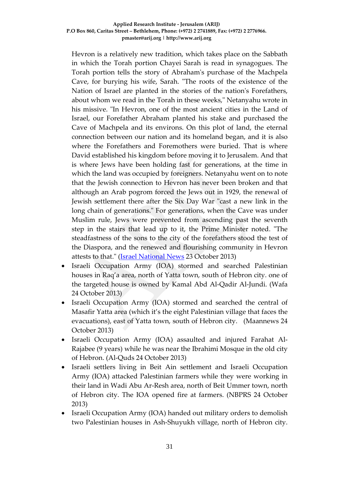#### **Applied Research Institute - Jerusalem (ARIJ) P.O Box 860, Caritas Street – Bethlehem, Phone: (+972) 2 2741889, Fax: (+972) 2 2776966. pmaster@arij.org | http://www.arij.org**

Hevron is a relatively new tradition, which takes place on the Sabbath in which the Torah portion Chayei Sarah is read in synagogues. The Torah portion tells the story of Abraham's purchase of the Machpela Cave, for burying his wife, Sarah. "The roots of the existence of the Nation of Israel are planted in the stories of the nation's Forefathers, about whom we read in the Torah in these weeks," Netanyahu wrote in his missive. "In Hevron, one of the most ancient cities in the Land of Israel, our Forefather Abraham planted his stake and purchased the Cave of Machpela and its environs. On this plot of land, the eternal connection between our nation and its homeland began, and it is also where the Forefathers and Foremothers were buried. That is where David established his kingdom before moving it to Jerusalem. And that is where Jews have been holding fast for generations, at the time in which the land was occupied by foreigners. Netanyahu went on to note that the Jewish connection to Hevron has never been broken and that although an Arab pogrom forced the Jews out in 1929, the renewal of Jewish settlement there after the Six Day War "cast a new link in the long chain of generations." For generations, when the Cave was under Muslim rule, Jews were prevented from ascending past the seventh step in the stairs that lead up to it, the Prime Minister noted. "The steadfastness of the sons to the city of the forefathers stood the test of the Diaspora, and the renewed and flourishing community in Hevron attests to that." [\(Israel National News](http://www.israelnationalnews.com/News/News.aspx/173131) 23 October 2013)

- Israeli Occupation Army (IOA) stormed and searched Palestinian houses in Raq'a area, north of Yatta town, south of Hebron city. one of the targeted house is owned by Kamal Abd Al-Qadir Al-Jundi. (Wafa 24 October 2013)
- Israeli Occupation Army (IOA) stormed and searched the central of Masafir Yatta area (which it's the eight Palestinian village that faces the evacuations), east of Yatta town, south of Hebron city. (Maannews 24 October 2013)
- Israeli Occupation Army (IOA) assaulted and injured Farahat Al-Rajabee (9 years) while he was near the Ibrahimi Mosque in the old city of Hebron. (Al-Quds 24 October 2013)
- Israeli settlers living in Beit Ain settlement and Israeli Occupation Army (IOA) attacked Palestinian farmers while they were working in their land in Wadi Abu Ar-Resh area, north of Beit Ummer town, north of Hebron city. The IOA opened fire at farmers. (NBPRS 24 October 2013)
- Israeli Occupation Army (IOA) handed out military orders to demolish two Palestinian houses in Ash-Shuyukh village, north of Hebron city.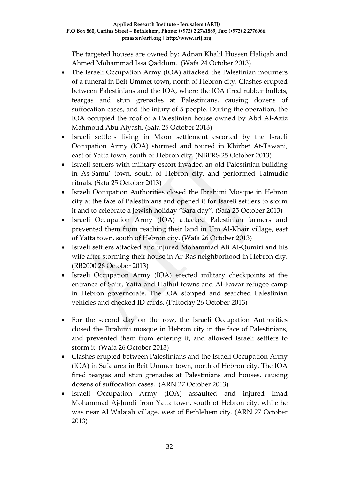The targeted houses are owned by: Adnan Khalil Hussen Haliqah and Ahmed Mohammad Issa Qaddum. (Wafa 24 October 2013)

- The Israeli Occupation Army (IOA) attacked the Palestinian mourners of a funeral in Beit Ummet town, north of Hebron city. Clashes erupted between Palestinians and the IOA, where the IOA fired rubber bullets, teargas and stun grenades at Palestinians, causing dozens of suffocation cases, and the injury of 5 people. During the operation, the IOA occupied the roof of a Palestinian house owned by Abd Al-Aziz Mahmoud Abu Aiyash. (Safa 25 October 2013)
- Israeli settlers living in Maon settlement escorted by the Israeli Occupation Army (IOA) stormed and toured in Khirbet At-Tawani, east of Yatta town, south of Hebron city. (NBPRS 25 October 2013)
- Israeli settlers with military escort invaded an old Palestinian building in As-Samu' town, south of Hebron city, and performed Talmudic rituals. (Safa 25 October 2013)
- Israeli Occupation Authorities closed the Ibrahimi Mosque in Hebron city at the face of Palestinians and opened it for Isareli settlers to storm it and to celebrate a Jewish holiday "Sara day". (Safa 25 October 2013)
- Israeli Occupation Army (IOA) attacked Palestinian farmers and prevented them from reaching their land in Um Al-Khair village, east of Yatta town, south of Hebron city. (Wafa 26 October 2013)
- Israeli settlers attacked and injured Mohammad Ali Al-Qumiri and his wife after storming their house in Ar-Ras neighborhood in Hebron city. (RB2000 26 October 2013)
- Israeli Occupation Army (IOA) erected military checkpoints at the entrance of Sa'ir, Yatta and Halhul towns and Al-Fawar refugee camp in Hebron governorate. The IOA stopped and searched Palestinian vehicles and checked ID cards. (Paltoday 26 October 2013)
- For the second day on the row, the Israeli Occupation Authorities closed the Ibrahimi mosque in Hebron city in the face of Palestinians, and prevented them from entering it, and allowed Israeli settlers to storm it. (Wafa 26 October 2013)
- Clashes erupted between Palestinians and the Israeli Occupation Army (IOA) in Safa area in Beit Ummer town, north of Hebron city. The IOA fired teargas and stun grenades at Palestinians and houses, causing dozens of suffocation cases. (ARN 27 October 2013)
- Israeli Occupation Army (IOA) assaulted and injured Imad Mohammad Aj-Jundi from Yatta town, south of Hebron city, while he was near Al Walajah village, west of Bethlehem city. (ARN 27 October 2013)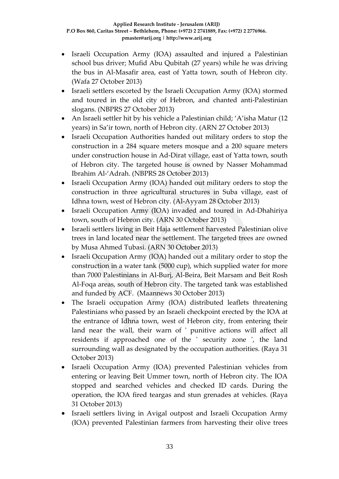- Israeli Occupation Army (IOA) assaulted and injured a Palestinian school bus driver; Mufid Abu Qubitah (27 years) while he was driving the bus in Al-Masafir area, east of Yatta town, south of Hebron city. (Wafa 27 October 2013)
- Israeli settlers escorted by the Israeli Occupation Army (IOA) stormed and toured in the old city of Hebron, and chanted anti-Palestinian slogans. (NBPRS 27 October 2013)
- An Israeli settler hit by his vehicle a Palestinian child; 'A'isha Matur (12 years) in Sa'ir town, north of Hebron city. (ARN 27 October 2013)
- Israeli Occupation Authorities handed out military orders to stop the construction in a 284 square meters mosque and a 200 square meters under construction house in Ad-Dirat village, east of Yatta town, south of Hebron city. The targeted house is owned by Nasser Mohammad Ibrahim Al-'Adrah. (NBPRS 28 October 2013)
- Israeli Occupation Army (IOA) handed out military orders to stop the construction in three agricultural structures in Suba village, east of Idhna town, west of Hebron city. (Al-Ayyam 28 October 2013)
- Israeli Occupation Army (IOA) invaded and toured in Ad-Dhahiriya town, south of Hebron city. (ARN 30 October 2013)
- Israeli settlers living in Beit Haja settlement harvested Palestinian olive trees in land located near the settlement. The targeted trees are owned by Musa Ahmed Tubasi. (ARN 30 October 2013)
- Israeli Occupation Army (IOA) handed out a military order to stop the construction in a water tank (5000 cup), which supplied water for more than 7000 Palestinians in Al-Burj, Al-Beira, Beit Marsam and Beit Rosh Al-Foqa areas, south of Hebron city. The targeted tank was established and funded by ACF. (Maannews 30 October 2013)
- The Israeli occupation Army (IOA) distributed leaflets threatening Palestinians who passed by an Israeli checkpoint erected by the IOA at the entrance of Idhna town, west of Hebron city, from entering their land near the wall, their warn of ' punitive actions will affect all residents if approached one of the ' security zone ', the land surrounding wall as designated by the occupation authorities. (Raya 31 October 2013)
- Israeli Occupation Army (IOA) prevented Palestinian vehicles from entering or leaving Beit Ummer town, north of Hebron city. The IOA stopped and searched vehicles and checked ID cards. During the operation, the IOA fired teargas and stun grenades at vehicles. (Raya 31 October 2013)
- Israeli settlers living in Avigal outpost and Israeli Occupation Army (IOA) prevented Palestinian farmers from harvesting their olive trees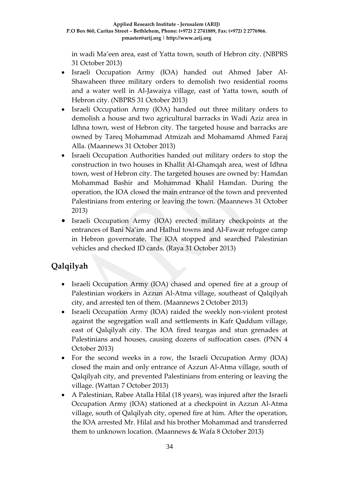in wadi Ma'een area, east of Yatta town, south of Hebron city. (NBPRS 31 October 2013)

- Israeli Occupation Army (IOA) handed out Ahmed Jaber Al-Shawaheen three military orders to demolish two residential rooms and a water well in Al-Jawaiya village, east of Yatta town, south of Hebron city. (NBPRS 31 October 2013)
- Israeli Occupation Army (IOA) handed out three military orders to demolish a house and two agricultural barracks in Wadi Aziz area in Idhna town, west of Hebron city. The targeted house and barracks are owned by Tareq Mohammad Atmizah and Mohamamd Ahmed Faraj Alla. (Maannews 31 October 2013)
- Israeli Occupation Authorities handed out military orders to stop the construction in two houses in Khallit Al-Ghamqah area, west of Idhna town, west of Hebron city. The targeted houses are owned by: Hamdan Mohammad Bashir and Mohammad Khalil Hamdan. During the operation, the IOA closed the main entrance of the town and prevented Palestinians from entering or leaving the town. (Maannews 31 October 2013)
- Israeli Occupation Army (IOA) erected military checkpoints at the entrances of Bani Na'im and Halhul towns and Al-Fawar refugee camp in Hebron governorate. The IOA stopped and searched Palestinian vehicles and checked ID cards. (Raya 31 October 2013)

# **Qalqilyah**

- Israeli Occupation Army (IOA) chased and opened fire at a group of Palestinian workers in Azzun Al-Atma village, southeast of Qalqilyah city, and arrested ten of them. (Maannews 2 October 2013)
- Israeli Occupation Army (IOA) raided the weekly non-violent protest against the segregation wall and settlements in Kafr Qaddum village, east of Qalqilyah city. The IOA fired teargas and stun grenades at Palestinians and houses, causing dozens of suffocation cases. (PNN 4 October 2013)
- For the second weeks in a row, the Israeli Occupation Army (IOA) closed the main and only entrance of Azzun Al-Atma village, south of Qalqilyah city, and prevented Palestinians from entering or leaving the village. (Wattan 7 October 2013)
- A Palestinian, Rabee Atalla Hilal (18 years), was injured after the Israeli Occupation Army (IOA) stationed at a checkpoint in Azzun Al-Atma village, south of Qalqilyah city, opened fire at him. After the operation, the IOA arrested Mr. Hilal and his brother Mohammad and transferred them to unknown location. (Maannews & Wafa 8 October 2013)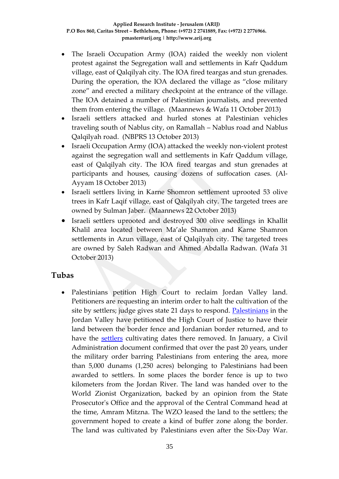- The Israeli Occupation Army (IOA) raided the weekly non violent protest against the Segregation wall and settlements in Kafr Qaddum village, east of Qalqilyah city. The IOA fired teargas and stun grenades. During the operation, the IOA declared the village as "close military zone" and erected a military checkpoint at the entrance of the village. The IOA detained a number of Palestinian journalists, and prevented them from entering the village. (Maannews & Wafa 11 October 2013)
- Israeli settlers attacked and hurled stones at Palestinian vehicles traveling south of Nablus city, on Ramallah – Nablus road and Nablus Qalqilyah road. (NBPRS 13 October 2013)
- Israeli Occupation Army (IOA) attacked the weekly non-violent protest against the segregation wall and settlements in Kafr Qaddum village, east of Qalqilyah city. The IOA fired teargas and stun grenades at participants and houses, causing dozens of suffocation cases. (Al-Ayyam 18 October 2013)
- Israeli settlers living in Karne Shomron settlement uprooted 53 olive trees in Kafr Laqif village, east of Qalqilyah city. The targeted trees are owned by Sulman Jaber. (Maannews 22 October 2013)
- Israeli settlers uprooted and destroyed 300 olive seedlings in Khallit Khalil area located between Ma'ale Shamron and Karne Shamron settlements in Azun village, east of Qalqilyah city. The targeted trees are owned by Saleh Radwan and Ahmed Abdalla Radwan. (Wafa 31 October 2013)

### **Tubas**

• Palestinians petition High Court to reclaim Jordan Valley land. Petitioners are requesting an interim order to halt the cultivation of the site by settlers; judge gives state 21 days to respond. [Palestinians](http://www.haaretz.com/misc/tags/Palestinians-1.477125) in the Jordan Valley have petitioned the High Court of Justice to have their land between the border fence and Jordanian border returned, and to have the [settlers](http://www.haaretz.com/misc/tags/Israel%20settlers-1.477057) cultivating dates there removed. In January, a Civil Administration document confirmed that over the past 20 years, under the military order barring Palestinians from entering the area, more than 5,000 dunams (1,250 acres) belonging to Palestinians had been awarded to settlers. In some places the border fence is up to two kilometers from the Jordan River. The land was handed over to the World Zionist Organization, backed by an opinion from the State Prosecutor's Office and the approval of the Central Command head at the time, Amram Mitzna. The WZO leased the land to the settlers; the government hoped to create a kind of buffer zone along the border. The land was cultivated by Palestinians even after the Six-Day War.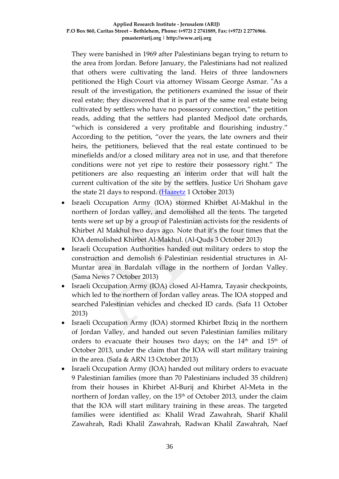They were banished in 1969 after Palestinians began trying to return to the area from Jordan. Before January, the Palestinians had not realized that others were cultivating the land. Heirs of three landowners petitioned the High Court via attorney Wissam George Asmar. "As a result of the investigation, the petitioners examined the issue of their real estate; they discovered that it is part of the same real estate being cultivated by settlers who have no possessory connection," the petition reads, adding that the settlers had planted Medjool date orchards, "which is considered a very profitable and flourishing industry." According to the petition, "over the years, the late owners and their heirs, the petitioners, believed that the real estate continued to be minefields and/or a closed military area not in use, and that therefore conditions were not yet ripe to restore their possessory right." The petitioners are also requesting an interim order that will halt the current cultivation of the site by the settlers. Justice Uri Shoham gave the state 21 days to respond. [\(Haaretz](http://www.haaretz.com/news/national/.premium-1.549925) 1 October 2013)

- Israeli Occupation Army (IOA) stormed Khirbet Al-Makhul in the northern of Jordan valley, and demolished all the tents. The targeted tents were set up by a group of Palestinian activists for the residents of Khirbet Al Makhul two days ago. Note that it's the four times that the IOA demolished Khirbet Al-Makhul. (Al-Quds 3 October 2013)
- Israeli Occupation Authorities handed out military orders to stop the construction and demolish 6 Palestinian residential structures in Al-Muntar area in Bardalah village in the northern of Jordan Valley. (Sama News 7 October 2013)
- Israeli Occupation Army (IOA) closed Al-Hamra, Tayasir checkpoints, which led to the northern of Jordan valley areas. The IOA stopped and searched Palestinian vehicles and checked ID cards. (Safa 11 October 2013)
- Israeli Occupation Army (IOA) stormed Khirbet Ibziq in the northern of Jordan Valley, and handed out seven Palestinian families military orders to evacuate their houses two days; on the 14<sup>th</sup> and 15<sup>th</sup> of October 2013, under the claim that the IOA will start military training in the area. (Safa & ARN 13 October 2013)
- Israeli Occupation Army (IOA) handed out military orders to evacuate 9 Palestinian families (more than 70 Palestinians included 35 children) from their houses in Khirbet Al-Burij and Khirbet Al-Meta in the northern of Jordan valley, on the 15<sup>th</sup> of October 2013, under the claim that the IOA will start military training in these areas. The targeted families were identified as: Khalil Wrad Zawahrah, Sharif Khalil Zawahrah, Radi Khalil Zawahrah, Radwan Khalil Zawahrah, Naef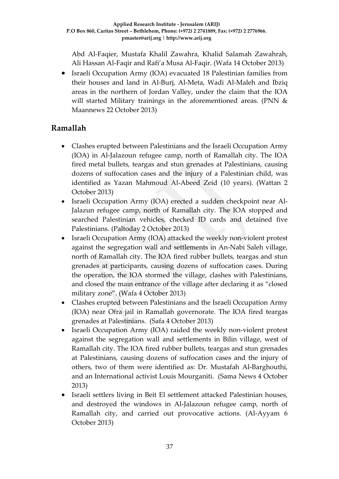Abd Al-Faqier, Mustafa Khalil Zawahra, Khalid Salamah Zawahrah, Ali Hassan Al-Faqir and Rafi'a Musa Al-Faqir. (Wafa 14 October 2013)

• Israeli Occupation Army (IOA) evacuated 18 Palestinian families from their houses and land in Al-Burj, Al-Meta, Wadi Al-Maleh and Ibziq areas in the northern of Jordan Valley, under the claim that the IOA will started Military trainings in the aforementioned areas. (PNN & Maannews 22 October 2013)

## **Ramallah**

- Clashes erupted between Palestinians and the Israeli Occupation Army (IOA) in Al-Jalazoun refugee camp, north of Ramallah city. The IOA fired metal bullets, teargas and stun grenades at Palestinians, causing dozens of suffocation cases and the injury of a Palestinian child, was identified as Yazan Mahmoud Al-Abeed Zeid (10 years). (Wattan 2 October 2013)
- Israeli Occupation Army (IOA) erected a sudden checkpoint near Al-Jalazun refugee camp, north of Ramallah city. The IOA stopped and searched Palestinian vehicles, checked ID cards and detained five Palestinians. (Paltoday 2 October 2013)
- Israeli Occupation Army (IOA) attacked the weekly non-violent protest against the segregation wall and settlements in An-Nabi Saleh village, north of Ramallah city. The IOA fired rubber bullets, teargas and stun grenades at participants, causing dozens of suffocation cases. During the operation, the IOA stormed the village, clashes with Palestinians, and closed the main entrance of the village after declaring it as "closed military zone". (Wafa 4 October 2013)
- Clashes erupted between Palestinians and the Israeli Occupation Army (IOA) near Ofra jail in Ramallah governorate. The IOA fired teargas grenades at Palestinians. (Safa 4 October 2013)
- Israeli Occupation Army (IOA) raided the weekly non-violent protest against the segregation wall and settlements in Bilin village, west of Ramallah city. The IOA fired rubber bullets, teargas and stun grenades at Palestinians, causing dozens of suffocation cases and the injury of others, two of them were identified as: Dr. Mustafah Al-Barghouthi, and an International activist Louis Mourganiti. (Sama News 4 October 2013)
- Israeli settlers living in Beit El settlement attacked Palestinian houses, and destroyed the windows in Al-Jalazoun refugee camp, north of Ramallah city, and carried out provocative actions. (Al-Ayyam 6 October 2013)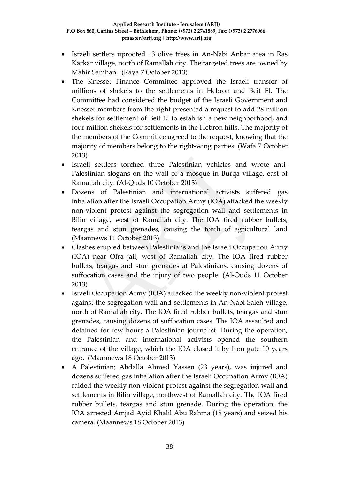- Israeli settlers uprooted 13 olive trees in An-Nabi Anbar area in Ras Karkar village, north of Ramallah city. The targeted trees are owned by Mahir Samhan. (Raya 7 October 2013)
- The Knesset Finance Committee approved the Israeli transfer of millions of shekels to the settlements in Hebron and Beit El. The Committee had considered the budget of the Israeli Government and Knesset members from the right presented a request to add 28 million shekels for settlement of Beit El to establish a new neighborhood, and four million shekels for settlements in the Hebron hills. The majority of the members of the Committee agreed to the request, knowing that the majority of members belong to the right-wing parties. (Wafa 7 October 2013)
- Israeli settlers torched three Palestinian vehicles and wrote anti-Palestinian slogans on the wall of a mosque in Burqa village, east of Ramallah city. (Al-Quds 10 October 2013)
- Dozens of Palestinian and international activists suffered gas inhalation after the Israeli Occupation Army (IOA) attacked the weekly non-violent protest against the segregation wall and settlements in Bilin village, west of Ramallah city. The IOA fired rubber bullets, teargas and stun grenades, causing the torch of agricultural land (Maannews 11 October 2013)
- Clashes erupted between Palestinians and the Israeli Occupation Army (IOA) near Ofra jail, west of Ramallah city. The IOA fired rubber bullets, teargas and stun grenades at Palestinians, causing dozens of suffocation cases and the injury of two people. (Al-Quds 11 October 2013)
- Israeli Occupation Army (IOA) attacked the weekly non-violent protest against the segregation wall and settlements in An-Nabi Saleh village, north of Ramallah city. The IOA fired rubber bullets, teargas and stun grenades, causing dozens of suffocation cases. The IOA assaulted and detained for few hours a Palestinian journalist. During the operation, the Palestinian and international activists opened the southern entrance of the village, which the IOA closed it by Iron gate 10 years ago. (Maannews 18 October 2013)
- A Palestinian; Abdalla Ahmed Yassen (23 years), was injured and dozens suffered gas inhalation after the Israeli Occupation Army (IOA) raided the weekly non-violent protest against the segregation wall and settlements in Bilin village, northwest of Ramallah city. The IOA fired rubber bullets, teargas and stun grenade. During the operation, the IOA arrested Amjad Ayid Khalil Abu Rahma (18 years) and seized his camera. (Maannews 18 October 2013)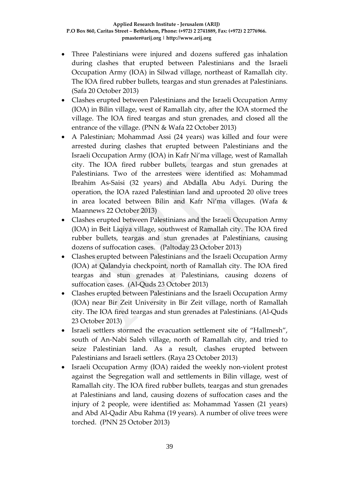- Three Palestinians were injured and dozens suffered gas inhalation during clashes that erupted between Palestinians and the Israeli Occupation Army (IOA) in Silwad village, northeast of Ramallah city. The IOA fired rubber bullets, teargas and stun grenades at Palestinians. (Safa 20 October 2013)
- Clashes erupted between Palestinians and the Israeli Occupation Army (IOA) in Bilin village, west of Ramallah city, after the IOA stormed the village. The IOA fired teargas and stun grenades, and closed all the entrance of the village. (PNN & Wafa 22 October 2013)
- A Palestinian; Mohammad Assi (24 years) was killed and four were arrested during clashes that erupted between Palestinians and the Israeli Occupation Army (IOA) in Kafr Ni'ma village, west of Ramallah city. The IOA fired rubber bullets, teargas and stun grenades at Palestinians. Two of the arrestees were identified as: Mohammad Ibrahim As-Saisi (32 years) and Abdalla Abu Adyi. During the operation, the IOA razed Palestinian land and uprooted 20 olive trees in area located between Bilin and Kafr Ni'ma villages. (Wafa & Maannews 22 October 2013)
- Clashes erupted between Palestinians and the Israeli Occupation Army (IOA) in Beit Liqiya village, southwest of Ramallah city. The IOA fired rubber bullets, teargas and stun grenades at Palestinians, causing dozens of suffocation cases. (Paltoday 23 October 2013)
- Clashes erupted between Palestinians and the Israeli Occupation Army (IOA) at Qalandyia checkpoint, north of Ramallah city. The IOA fired teargas and stun grenades at Palestinians, causing dozens of suffocation cases. (Al-Quds 23 October 2013)
- Clashes erupted between Palestinians and the Israeli Occupation Army (IOA) near Bir Zeit University in Bir Zeit village, north of Ramallah city. The IOA fired teargas and stun grenades at Palestinians. (Al-Quds 23 October 2013)
- Israeli settlers stormed the evacuation settlement site of "Hallmesh", south of An-Nabi Saleh village, north of Ramallah city, and tried to seize Palestinian land. As a result, clashes erupted between Palestinians and Israeli settlers. (Raya 23 October 2013)
- Israeli Occupation Army (IOA) raided the weekly non-violent protest against the Segregation wall and settlements in Bilin village, west of Ramallah city. The IOA fired rubber bullets, teargas and stun grenades at Palestinians and land, causing dozens of suffocation cases and the injury of 2 people, were identified as: Mohammad Yassen (21 years) and Abd Al-Qadir Abu Rahma (19 years). A number of olive trees were torched. (PNN 25 October 2013)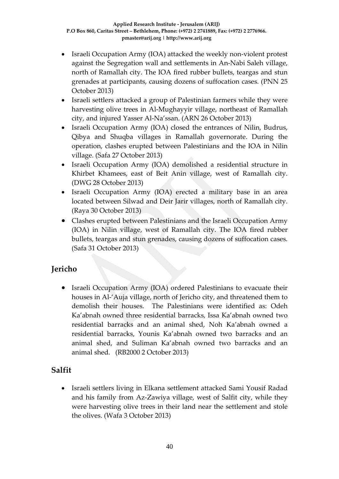- Israeli Occupation Army (IOA) attacked the weekly non-violent protest against the Segregation wall and settlements in An-Nabi Saleh village, north of Ramallah city. The IOA fired rubber bullets, teargas and stun grenades at participants, causing dozens of suffocation cases. (PNN 25 October 2013)
- Israeli settlers attacked a group of Palestinian farmers while they were harvesting olive trees in Al-Mughayyir village, northeast of Ramallah city, and injured Yasser Al-Na'ssan. (ARN 26 October 2013)
- Israeli Occupation Army (IOA) closed the entrances of Nilin, Budrus, Qibya and Shuqba villages in Ramallah governorate. During the operation, clashes erupted between Palestinians and the IOA in Nilin village. (Safa 27 October 2013)
- Israeli Occupation Army (IOA) demolished a residential structure in Khirbet Khamees, east of Beit Anin village, west of Ramallah city. (DWG 28 October 2013)
- Israeli Occupation Army (IOA) erected a military base in an area located between Silwad and Deir Jarir villages, north of Ramallah city. (Raya 30 October 2013)
- Clashes erupted between Palestinians and the Israeli Occupation Army (IOA) in Nilin village, west of Ramallah city. The IOA fired rubber bullets, teargas and stun grenades, causing dozens of suffocation cases. (Safa 31 October 2013)

# **Jericho**

• Israeli Occupation Army (IOA) ordered Palestinians to evacuate their houses in Al-'Auja village, north of Jericho city, and threatened them to demolish their houses. The Palestinians were identified as: Odeh Ka'abnah owned three residential barracks, Issa Ka'abnah owned two residential barracks and an animal shed, Noh Ka'abnah owned a residential barracks, Younis Ka'abnah owned two barracks and an animal shed, and Suliman Ka'abnah owned two barracks and an animal shed. (RB2000 2 October 2013)

## **Salfit**

• Israeli settlers living in Elkana settlement attacked Sami Yousif Radad and his family from Az-Zawiya village, west of Salfit city, while they were harvesting olive trees in their land near the settlement and stole the olives. (Wafa 3 October 2013)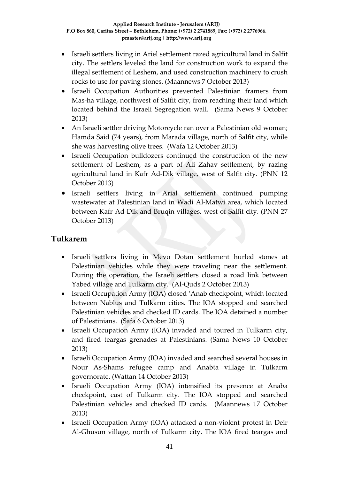- Israeli settlers living in Ariel settlement razed agricultural land in Salfit city. The settlers leveled the land for construction work to expand the illegal settlement of Leshem, and used construction machinery to crush rocks to use for paving stones. (Maannews 7 October 2013)
- Israeli Occupation Authorities prevented Palestinian framers from Mas-ha village, northwest of Salfit city, from reaching their land which located behind the Israeli Segregation wall. (Sama News 9 October 2013)
- An Israeli settler driving Motorcycle ran over a Palestinian old woman; Hamda Said (74 years), from Marada village, north of Salfit city, while she was harvesting olive trees. (Wafa 12 October 2013)
- Israeli Occupation bulldozers continued the construction of the new settlement of Leshem, as a part of Ali Zahav settlement, by razing agricultural land in Kafr Ad-Dik village, west of Salfit city. (PNN 12 October 2013)
- Israeli settlers living in Arial settlement continued pumping wastewater at Palestinian land in Wadi Al-Matwi area, which located between Kafr Ad-Dik and Bruqin villages, west of Salfit city. (PNN 27 October 2013)

## **Tulkarem**

- Israeli settlers living in Mevo Dotan settlement hurled stones at Palestinian vehicles while they were traveling near the settlement. During the operation, the Israeli settlers closed a road link between Yabed village and Tulkarm city. (Al-Quds 2 October 2013)
- Israeli Occupation Army (IOA) closed 'Anab checkpoint, which located between Nablus and Tulkarm cities. The IOA stopped and searched Palestinian vehicles and checked ID cards. The IOA detained a number of Palestinians. (Safa 6 October 2013)
- Israeli Occupation Army (IOA) invaded and toured in Tulkarm city, and fired teargas grenades at Palestinians. (Sama News 10 October 2013)
- Israeli Occupation Army (IOA) invaded and searched several houses in Nour As-Shams refugee camp and Anabta village in Tulkarm governorate. (Wattan 14 October 2013)
- Israeli Occupation Army (IOA) intensified its presence at Anaba checkpoint, east of Tulkarm city. The IOA stopped and searched Palestinian vehicles and checked ID cards. (Maannews 17 October 2013)
- Israeli Occupation Army (IOA) attacked a non-violent protest in Deir Al-Ghusun village, north of Tulkarm city. The IOA fired teargas and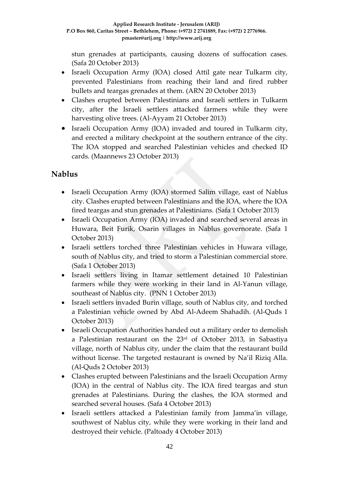stun grenades at participants, causing dozens of suffocation cases. (Safa 20 October 2013)

- Israeli Occupation Army (IOA) closed Attil gate near Tulkarm city, prevented Palestinians from reaching their land and fired rubber bullets and teargas grenades at them. (ARN 20 October 2013)
- Clashes erupted between Palestinians and Israeli settlers in Tulkarm city, after the Israeli settlers attacked farmers while they were harvesting olive trees. (Al-Ayyam 21 October 2013)
- Israeli Occupation Army (IOA) invaded and toured in Tulkarm city, and erected a military checkpoint at the southern entrance of the city. The IOA stopped and searched Palestinian vehicles and checked ID cards. (Maannews 23 October 2013)

# **Nablus**

- Israeli Occupation Army (IOA) stormed Salim village, east of Nablus city. Clashes erupted between Palestinians and the IOA, where the IOA fired teargas and stun grenades at Palestinians. (Safa 1 October 2013)
- Israeli Occupation Army (IOA) invaded and searched several areas in Huwara, Beit Furik, Osarin villages in Nablus governorate. (Safa 1 October 2013)
- Israeli settlers torched three Palestinian vehicles in Huwara village, south of Nablus city, and tried to storm a Palestinian commercial store. (Safa 1 October 2013)
- Israeli settlers living in Itamar settlement detained 10 Palestinian farmers while they were working in their land in Al-Yanun village, southeast of Nablus city. (PNN 1 October 2013)
- Israeli settlers invaded Burin village, south of Nablus city, and torched a Palestinian vehicle owned by Abd Al-Adeem Shahadih. (Al-Quds 1 October 2013)
- Israeli Occupation Authorities handed out a military order to demolish a Palestinian restaurant on the 23rd of October 2013, in Sabastiya village, north of Nablus city, under the claim that the restaurant build without license. The targeted restaurant is owned by Na'il Riziq Alla. (Al-Quds 2 October 2013)
- Clashes erupted between Palestinians and the Israeli Occupation Army (IOA) in the central of Nablus city. The IOA fired teargas and stun grenades at Palestinians. During the clashes, the IOA stormed and searched several houses. (Safa 4 October 2013)
- Israeli settlers attacked a Palestinian family from Jamma'in village, southwest of Nablus city, while they were working in their land and destroyed their vehicle. (Paltoady 4 October 2013)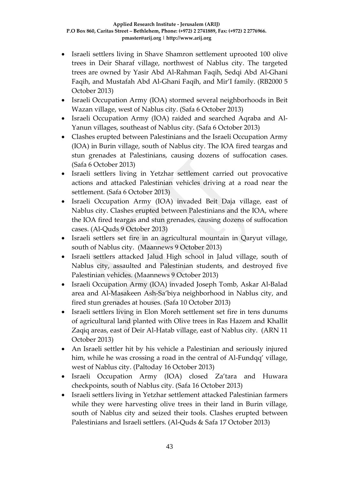- Israeli settlers living in Shave Shamron settlement uprooted 100 olive trees in Deir Sharaf village, northwest of Nablus city. The targeted trees are owned by Yasir Abd Al-Rahman Faqih, Sedqi Abd Al-Ghani Faqih, and Mustafah Abd Al-Ghani Faqih, and Mir'I family. (RB2000 5 October 2013)
- Israeli Occupation Army (IOA) stormed several neighborhoods in Beit Wazan village, west of Nablus city. (Safa 6 October 2013)
- Israeli Occupation Army (IOA) raided and searched Aqraba and Al-Yanun villages, southeast of Nablus city. (Safa 6 October 2013)
- Clashes erupted between Palestinians and the Israeli Occupation Army (IOA) in Burin village, south of Nablus city. The IOA fired teargas and stun grenades at Palestinians, causing dozens of suffocation cases. (Safa 6 October 2013)
- Israeli settlers living in Yetzhar settlement carried out provocative actions and attacked Palestinian vehicles driving at a road near the settlement. (Safa 6 October 2013)
- Israeli Occupation Army (IOA) invaded Beit Daja village, east of Nablus city. Clashes erupted between Palestinians and the IOA, where the IOA fired teargas and stun grenades, causing dozens of suffocation cases. (Al-Quds 9 October 2013)
- Israeli settlers set fire in an agricultural mountain in Qaryut village, south of Nablus city. (Maannews 9 October 2013)
- Israeli settlers attacked Jalud High school in Jalud village, south of Nablus city, assaulted and Palestinian students, and destroyed five Palestinian vehicles. (Maannews 9 October 2013)
- Israeli Occupation Army (IOA) invaded Joseph Tomb, Askar Al-Balad area and Al-Masakeen Ash-Sa'biya neighborhood in Nablus city, and fired stun grenades at houses. (Safa 10 October 2013)
- Israeli settlers living in Elon Moreh settlement set fire in tens dunums of agricultural land planted with Olive trees in Ras Hazem and Khallit Zaqiq areas, east of Deir Al-Hatab village, east of Nablus city. (ARN 11 October 2013)
- An Israeli settler hit by his vehicle a Palestinian and seriously injured him, while he was crossing a road in the central of Al-Fundqq' village, west of Nablus city. (Paltoday 16 October 2013)
- Israeli Occupation Army (IOA) closed Za'tara and Huwara checkpoints, south of Nablus city. (Safa 16 October 2013)
- Israeli settlers living in Yetzhar settlement attacked Palestinian farmers while they were harvesting olive trees in their land in Burin village, south of Nablus city and seized their tools. Clashes erupted between Palestinians and Israeli settlers. (Al-Quds & Safa 17 October 2013)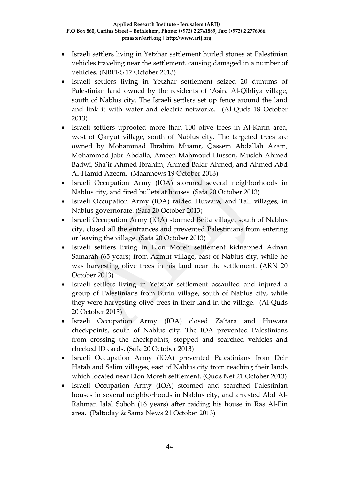- Israeli settlers living in Yetzhar settlement hurled stones at Palestinian vehicles traveling near the settlement, causing damaged in a number of vehicles. (NBPRS 17 October 2013)
- Israeli settlers living in Yetzhar settlement seized 20 dunums of Palestinian land owned by the residents of 'Asira Al-Qibliya village, south of Nablus city. The Israeli settlers set up fence around the land and link it with water and electric networks. (Al-Quds 18 October 2013)
- Israeli settlers uprooted more than 100 olive trees in Al-Karm area, west of Qaryut village, south of Nablus city. The targeted trees are owned by Mohammad Ibrahim Muamr, Qassem Abdallah Azam, Mohammad Jabr Abdalla, Ameen Mahmoud Hussen, Musleh Ahmed Badwi, Sha'ir Ahmed Ibrahim, Ahmed Bakir Ahmed, and Ahmed Abd Al-Hamid Azeem. (Maannews 19 October 2013)
- Israeli Occupation Army (IOA) stormed several neighborhoods in Nablus city, and fired bullets at houses. (Safa 20 October 2013)
- Israeli Occupation Army (IOA) raided Huwara, and Tall villages, in Nablus governorate. (Safa 20 October 2013)
- Israeli Occupation Army (IOA) stormed Beita village, south of Nablus city, closed all the entrances and prevented Palestinians from entering or leaving the village. (Safa 20 October 2013)
- Israeli settlers living in Elon Moreh settlement kidnapped Adnan Samarah (65 years) from Azmut village, east of Nablus city, while he was harvesting olive trees in his land near the settlement. (ARN 20 October 2013)
- Israeli settlers living in Yetzhar settlement assaulted and injured a group of Palestinians from Burin village, south of Nablus city, while they were harvesting olive trees in their land in the village. (Al-Quds 20 October 2013)
- Israeli Occupation Army (IOA) closed Za'tara and Huwara checkpoints, south of Nablus city. The IOA prevented Palestinians from crossing the checkpoints, stopped and searched vehicles and checked ID cards. (Safa 20 October 2013)
- Israeli Occupation Army (IOA) prevented Palestinians from Deir Hatab and Salim villages, east of Nablus city from reaching their lands which located near Elon Moreh settlement. (Quds Net 21 October 2013)
- Israeli Occupation Army (IOA) stormed and searched Palestinian houses in several neighborhoods in Nablus city, and arrested Abd Al-Rahman Jalal Soboh (16 years) after raiding his house in Ras Al-Ein area. (Paltoday & Sama News 21 October 2013)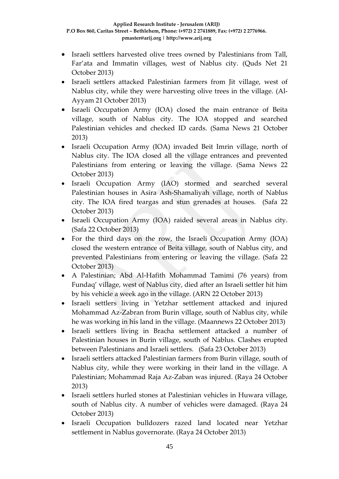- Israeli settlers harvested olive trees owned by Palestinians from Tall, Far'ata and Immatin villages, west of Nablus city. (Quds Net 21 October 2013)
- Israeli settlers attacked Palestinian farmers from Jit village, west of Nablus city, while they were harvesting olive trees in the village. (Al-Ayyam 21 October 2013)
- Israeli Occupation Army (IOA) closed the main entrance of Beita village, south of Nablus city. The IOA stopped and searched Palestinian vehicles and checked ID cards. (Sama News 21 October 2013)
- Israeli Occupation Army (IOA) invaded Beit Imrin village, north of Nablus city. The IOA closed all the village entrances and prevented Palestinians from entering or leaving the village. (Sama News 22 October 2013)
- Israeli Occupation Army (IAO) stormed and searched several Palestinian houses in Asira Ash-Shamaliyah village, north of Nablus city. The IOA fired teargas and stun grenades at houses. (Safa 22 October 2013)
- Israeli Occupation Army (IOA) raided several areas in Nablus city. (Safa 22 October 2013)
- For the third days on the row, the Israeli Occupation Army (IOA) closed the western entrance of Beita village, south of Nablus city, and prevented Palestinians from entering or leaving the village. (Safa 22 October 2013)
- A Palestinian; Abd Al-Hafith Mohammad Tamimi (76 years) from Fundaq' village, west of Nablus city, died after an Israeli settler hit him by his vehicle a week ago in the village. (ARN 22 October 2013)
- Israeli settlers living in Yetzhar settlement attacked and injured Mohammad Az-Zabran from Burin village, south of Nablus city, while he was working in his land in the village. (Maannews 22 October 2013)
- Israeli settlers living in Bracha settlement attacked a number of Palestinian houses in Burin village, south of Nablus. Clashes erupted between Palestinians and Israeli settlers. (Safa 23 October 2013)
- Israeli settlers attacked Palestinian farmers from Burin village, south of Nablus city, while they were working in their land in the village. A Palestinian; Mohammad Raja Az-Zaban was injured. (Raya 24 October 2013)
- Israeli settlers hurled stones at Palestinian vehicles in Huwara village, south of Nablus city. A number of vehicles were damaged. (Raya 24 October 2013)
- Israeli Occupation bulldozers razed land located near Yetzhar settlement in Nablus governorate. (Raya 24 October 2013)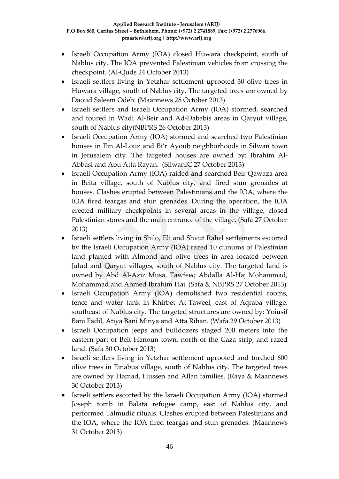- Israeli Occupation Army (IOA) closed Huwara checkpoint, south of Nablus city. The IOA prevented Palestinian vehicles from crossing the checkpoint. (Al-Quds 24 October 2013)
- Israeli settlers living in Yetzhar settlement uprooted 30 olive trees in Huwara village, south of Nablus city. The targeted trees are owned by Daoud Saleem Odeh. (Maannews 25 October 2013)
- Israeli settlers and Israeli Occupation Army (IOA) stormed, searched and toured in Wadi Al-Beir and Ad-Dababis areas in Qaryut village, south of Nablus city(NBPRS 26 October 2013)
- Israeli Occupation Army (IOA) stormed and searched two Palestinian houses in Ein Al-Louz and Bi'r Ayoub neighborhoods in Silwan town in Jerusalem city. The targeted houses are owned by: Ibrahim Al-Abbasi and Abu Atta Rayan. (SilwanIC 27 October 2013)
- Israeli Occupation Army (IOA) raided and searched Beir Qawaza area in Beita village, south of Nablus city, and fired stun grenades at houses. Clashes erupted between Palestinians and the IOA, where the IOA fired teargas and stun grenades. During the operation, the IOA erected military checkpoints in several areas in the village, closed Palestinian stores and the main entrance of the village. (Safa 27 October 2013)
- Israeli settlers living in Shilo, Eli and Shvut Rahel settlements escorted by the Israeli Occupation Army (IOA) razed 10 dunums of Palestinian land planted with Almond and olive trees in area located between Jalud and Qaryut villages, south of Nablus city. The targeted land is owned by Abd Al-Aziz Musa, Tawfeeq Abdalla Al-Haj Mohammad, Mohammad and Ahmed Ibrahim Haj. (Safa & NBPRS 27 October 2013)
- Israeli Occupation Army (IOA) demolished two residential rooms, fence and water tank in Khirbet At-Taweel, east of Aqraba village, southeast of Nablus city. The targeted structures are owned by: Yoiusif Bani Fadil, Atiya Bani Minya and Atta Rihan. (Wafa 29 October 2013)
- Israeli Occupation jeeps and bulldozers staged 200 meters into the eastern part of Beit Hanoun town, north of the Gaza strip, and razed land. (Safa 30 October 2013)
- Israeli settlers living in Yetzhar settlement uprooted and torched 600 olive trees in Einabus village, south of Nablus city. The targeted trees are owned by Hamad, Hussen and Allan families. (Raya & Maannews 30 October 2013)
- Israeli settlers escorted by the Israeli Occupation Army (IOA) stormed Joseph tomb in Balata refugee camp, east of Nablus city, and performed Talmudic rituals. Clashes erupted between Palestinians and the IOA, where the IOA fired teargas and stun grenades. (Maannews 31 October 2013)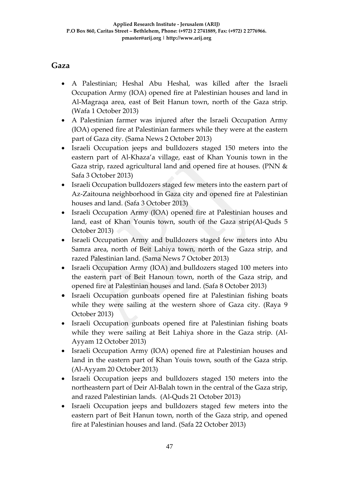### **Gaza**

- A Palestinian; Heshal Abu Heshal, was killed after the Israeli Occupation Army (IOA) opened fire at Palestinian houses and land in Al-Magraqa area, east of Beit Hanun town, north of the Gaza strip. (Wafa 1 October 2013)
- A Palestinian farmer was injured after the Israeli Occupation Army (IOA) opened fire at Palestinian farmers while they were at the eastern part of Gaza city. (Sama News 2 October 2013)
- Israeli Occupation jeeps and bulldozers staged 150 meters into the eastern part of Al-Khaza'a village, east of Khan Younis town in the Gaza strip, razed agricultural land and opened fire at houses. (PNN & Safa 3 October 2013)
- Israeli Occupation bulldozers staged few meters into the eastern part of Az-Zaitouna neighborhood in Gaza city and opened fire at Palestinian houses and land. (Safa 3 October 2013)
- Israeli Occupation Army (IOA) opened fire at Palestinian houses and land, east of Khan Younis town, south of the Gaza strip(Al-Quds 5 October 2013)
- Israeli Occupation Army and bulldozers staged few meters into Abu Samra area, north of Beit Lahiya town, north of the Gaza strip, and razed Palestinian land. (Sama News 7 October 2013)
- Israeli Occupation Army (IOA) and bulldozers staged 100 meters into the eastern part of Beit Hanoun town, north of the Gaza strip, and opened fire at Palestinian houses and land. (Safa 8 October 2013)
- Israeli Occupation gunboats opened fire at Palestinian fishing boats while they were sailing at the western shore of Gaza city. (Raya 9 October 2013)
- Israeli Occupation gunboats opened fire at Palestinian fishing boats while they were sailing at Beit Lahiya shore in the Gaza strip. (Al-Ayyam 12 October 2013)
- Israeli Occupation Army (IOA) opened fire at Palestinian houses and land in the eastern part of Khan Youis town, south of the Gaza strip. (Al-Ayyam 20 October 2013)
- Israeli Occupation jeeps and bulldozers staged 150 meters into the northeastern part of Deir Al-Balah town in the central of the Gaza strip, and razed Palestinian lands. (Al-Quds 21 October 2013)
- Israeli Occupation jeeps and bulldozers staged few meters into the eastern part of Beit Hanun town, north of the Gaza strip, and opened fire at Palestinian houses and land. (Safa 22 October 2013)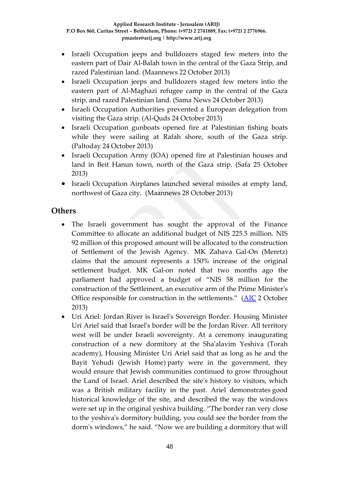- Israeli Occupation jeeps and bulldozers staged few meters into the eastern part of Dair Al-Balah town in the central of the Gaza Strip, and razed Palestinian land. (Maannews 22 October 2013)
- Israeli Occupation jeeps and bulldozers staged few meters intio the eastern part of Al-Maghazi refugee camp in the central of the Gaza strip, and razed Palestinian land. (Sama News 24 October 2013)
- Israeli Occupation Authorities prevented a European delegation from visiting the Gaza strip. (Al-Quds 24 October 2013)
- Israeli Occupation gunboats opened fire at Palestinian fishing boats while they were sailing at Rafah shore, south of the Gaza strip. (Paltoday 24 October 2013)
- Israeli Occupation Army (IOA) opened fire at Palestinian houses and land in Beit Hanun town, north of the Gaza strip. (Safa 25 October 2013)
- Israeli Occupation Airplanes launched several missiles at empty land, northwest of Gaza city. (Maannews 28 October 2013)

### **Others**

- The Israeli government has sought the approval of the Finance Committee to allocate an additional budget of NIS 225.5 million. NIS 92 million of this proposed amount will be allocated to the construction of Settlement of the Jewish Agency. MK Zahava Gal-On (Meretz) claims that the amount represents a 150% increase of the original settlement budget. MK Gal-on noted that two months ago the parliament had approved a budget of "NIS 58 million for the construction of the Settlement, an executive arm of the Prime Minister's Office responsible for construction in the settlements." [\(AIC](https://www.google.ps/?gws_rd=cr&ei=-hdMUvX5Dqml4ASt8YDoBQ%23q=Haaretz/+Israeli+government+seeks+additional+budget+for+settlements&spell=1) 2 October 2013)
- Uri Ariel: Jordan River is Israel's Sovereign Border. Housing Minister Uri Ariel said that Israel's border will be the Jordan River. All territory west will be under Israeli sovereignty. At a ceremony inaugurating construction of a new dormitory at the Sha'alavim Yeshiva (Torah academy), Housing Minister Uri Ariel said that as long as he and the Bayit Yehudi (Jewish Home) party were in the government, they would ensure that Jewish communities continued to grow throughout the Land of Israel. Ariel described the site's history to visitors, which was a British military facility in the past. Ariel demonstrates good historical knowledge of the site, and described the way the windows were set up in the original yeshiva building. "The border ran very close to the yeshiva's dormitory building, you could see the border from the dorm's windows," he said. "Now we are building a dormitory that will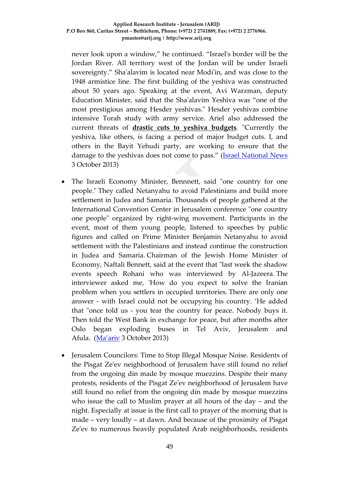never look upon a window," he continued. "Israel's border will be the Jordan River. All territory west of the Jordan will be under Israeli sovereignty." Sha'alavim is located near Modi'in, and was close to the 1948 armistice line. The first building of the yeshiva was constructed about 50 years ago. Speaking at the event, Avi Warzman, deputy Education Minister, said that the Sha'alavim Yeshiva was "one of the most prestigious among Hesder yeshivas." Hesder yeshivas combine intensive Torah study with army service. Ariel also addressed the current threats of **[drastic cuts to yeshiva budgets](http://www.israelnationalnews.com/News/News.aspx/172429)**. "Currently the yeshiva, like others, is facing a period of major budget cuts. I, and others in the Bayit Yehudi party, are working to ensure that the damage to the yeshivas does not come to pass." [\(Israel National News](http://www.israelnationalnews.com/News/News.aspx/172446) 3 October 2013)

- The Israeli Economy Minister, Bennnett, said "one country for one people." They called Netanyahu to avoid Palestinians and build more settlement in Judea and Samaria. Thousands of people gathered at the International Convention Center in Jerusalem conference "one country one people" organized by right-wing movement. Participants in the event, most of them young people, listened to speeches by public figures and called on Prime Minister Benjamin Netanyahu to avoid settlement with the Palestinians and instead continue the construction in Judea and Samaria. Chairman of the Jewish Home Minister of Economy, Naftali Bennett, said at the event that "last week the shadow events speech Rohani who was interviewed by Al-Jazeera. The interviewer asked me, 'How do you expect to solve the Iranian problem when you settlers in occupied territories. There are only one answer - with Israel could not be occupying his country. 'He added that "once told us - you tear the country for peace. Nobody buys it. Then told the West Bank in exchange for peace, but after months after Oslo began exploding buses in Tel Aviv, Jerusalem and Afula. [\(Ma'ariv](http://www.nrg.co.il/online/1/ART2/510/799.html?hp=1&cat=404) 3 October 2013)
- Jerusalem Councilors: Time to Stop Illegal Mosque Noise. Residents of the Pisgat Ze'ev neighborhood of Jerusalem have still found no relief from the ongoing din made by mosque muezzins. Despite their many protests, residents of the Pisgat Ze'ev neighborhood of Jerusalem have still found no relief from the ongoing din made by mosque muezzins who issue the call to Muslim prayer at all hours of the day – and the night. Especially at issue is the first call to prayer of the morning that is made – very loudly – at dawn. And because of the proximity of Pisgat Ze'ev to numerous heavily populated Arab neighborhoods, residents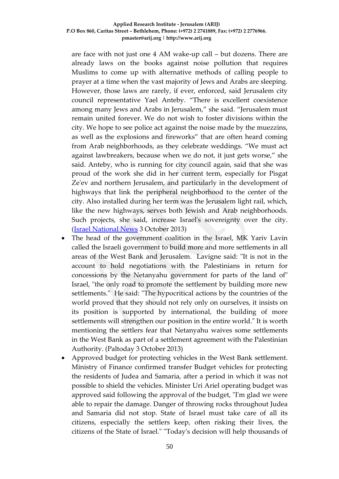are face with not just one 4 AM wake-up call – but dozens. There are already laws on the books against noise pollution that requires Muslims to come up with alternative methods of calling people to prayer at a time when the vast majority of Jews and Arabs are sleeping. However, those laws are rarely, if ever, enforced, said Jerusalem city council representative Yael Anteby. "There is excellent coexistence among many Jews and Arabs in Jerusalem," she said. "Jerusalem must remain united forever. We do not wish to foster divisions within the city. We hope to see police act against the noise made by the muezzins, as well as the explosions and fireworks" that are often heard coming from Arab neighborhoods, as they celebrate weddings. "We must act against lawbreakers, because when we do not, it just gets worse," she said. Anteby, who is running for city council again, said that she was proud of the work she did in her current term, especially for Pisgat Ze'ev and northern Jerusalem, and particularly in the development of highways that link the peripheral neighborhood to the center of the city. Also installed during her term was the Jerusalem light rail, which, like the new highways, serves both Jewish and Arab neighborhoods. Such projects, she said, increase Israel's sovereignty over the city. [\(Israel National News](http://www.israelnationalnews.com/News/News.aspx/172442) 3 October 2013)

- The head of the government coalition in the Israel, MK Yariv Lavin called the Israeli government to build more and more settlements in all areas of the West Bank and Jerusalem. Lavigne said: "It is not in the account to hold negotiations with the Palestinians in return for concessions by the Netanyahu government for parts of the land of" Israel, "the only road to promote the settlement by building more new settlements." He said: "The hypocritical actions by the countries of the world proved that they should not rely only on ourselves, it insists on its position is supported by international, the building of more settlements will strengthen our position in the entire world." It is worth mentioning the settlers fear that Netanyahu waives some settlements in the West Bank as part of a settlement agreement with the Palestinian Authority. (Paltoday 3 October 2013)
- Approved budget for protecting vehicles in the West Bank settlement. Ministry of Finance confirmed transfer Budget vehicles for protecting the residents of Judea and Samaria, after a period in which it was not possible to shield the vehicles. Minister Uri Ariel operating budget was approved said following the approval of the budget, "I'm glad we were able to repair the damage. Danger of throwing rocks throughout Judea and Samaria did not stop. State of Israel must take care of all its citizens, especially the settlers keep, often risking their lives, the citizens of the State of Israel." "Today's decision will help thousands of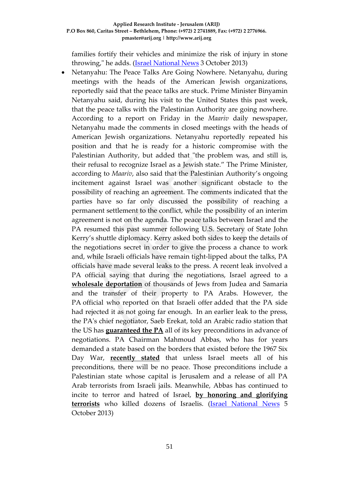families fortify their vehicles and minimize the risk of injury in stone throwing," he adds. (**Israel National News** 3 October 2013)

• Netanyahu: The Peace Talks Are Going Nowhere. Netanyahu, during meetings with the heads of the American Jewish organizations, reportedly said that the peace talks are stuck. Prime Minister Binyamin Netanyahu said, during his visit to the United States this past week, that the peace talks with the Palestinian Authority are going nowhere. According to a report on Friday in the *Maariv* daily newspaper, Netanyahu made the comments in closed meetings with the heads of American Jewish organizations. Netanyahu reportedly repeated his position and that he is ready for a historic compromise with the Palestinian Authority, but added that "the problem was, and still is, their refusal to recognize Israel as a Jewish state." The Prime Minister, according to *Maariv*, also said that the Palestinian Authority's ongoing incitement against Israel was another significant obstacle to the possibility of reaching an agreement. The comments indicated that the parties have so far only discussed the possibility of reaching a permanent settlement to the conflict, while the possibility of an interim agreement is not on the agenda. The peace talks between Israel and the PA resumed this past summer following U.S. Secretary of State John Kerry's shuttle diplomacy. Kerry asked both sides to keep the details of the negotiations secret in order to give the process a chance to work and, while Israeli officials have remain tight-lipped about the talks, PA officials have made several leaks to the press. A recent leak involved a PA official saying that during the negotiations, Israel agreed to a **[wholesale deportation](http://www.israelnationalnews.com/News/News.aspx/171644)** of thousands of Jews from Judea and Samaria and the transfer of their property to PA Arabs. However, the PA official who reported on that Israeli offer added that the PA side had rejected it as not going far enough. In an earlier leak to the press, the PA's chief negotiator, Saeb Erekat, told an Arabic radio station that the US has **[guaranteed the PA](http://www.israelnationalnews.com/News/News.aspx/171136)** all of its key preconditions in advance of negotiations. PA Chairman Mahmoud Abbas, who has for years demanded a state based on the borders that existed before the 1967 Six Day War, **[recently stated](http://www.israelnationalnews.com/News/News.aspx/171955)** that unless Israel meets all of his preconditions, there will be no peace. Those preconditions include a Palestinian state whose capital is Jerusalem and a release of all PA Arab terrorists from Israeli jails. Meanwhile, Abbas has continued to incite to terror and hatred of Israel, **[by honoring and glorifying](http://www.israelnationalnews.com/News/News.aspx/172461)  [terrorists](http://www.israelnationalnews.com/News/News.aspx/172461)** who killed dozens of Israelis. [\(Israel National News](http://www.israelnationalnews.com/News/News.aspx/172521) 5 October 2013)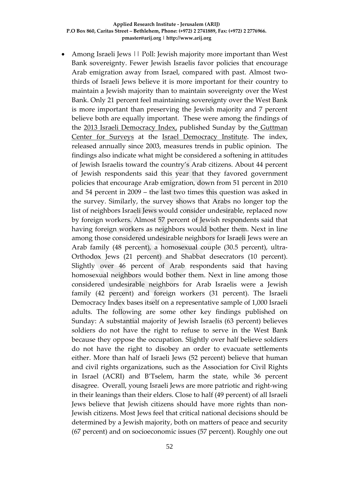• Among Israeli Jews || Poll: Jewish majority more important than West Bank sovereignty. Fewer Jewish Israelis favor policies that encourage Arab emigration away from Israel, compared with past. Almost twothirds of Israeli Jews believe it is more important for their country to maintain a Jewish majority than to maintain sovereignty over the West Bank. Only 21 percent feel maintaining sovereignty over the West Bank is more important than preserving the Jewish majority and 7 percent believe both are equally important. These were among the findings of the [2013 Israeli Democracy Index,](http://en.idi.org.il/events/democracy-index/presentation-of-the-2013-israeli-democracy-index) published Sunday by the [Guttman](http://en.idi.org.il/tools-and-data/guttman-center-for-surveys/about-the-guttman-center)  [Center for Surveys](http://en.idi.org.il/tools-and-data/guttman-center-for-surveys/about-the-guttman-center) at the [Israel Democracy Institute.](http://en.idi.org.il/) The index, released annually since 2003, measures trends in public opinion. The findings also indicate what might be considered a softening in attitudes of Jewish Israelis toward the country's Arab citizens. About 44 percent of Jewish respondents said this year that they favored government policies that encourage Arab emigration, down from 51 percent in 2010 and 54 percent in 2009 – the last two times this question was asked in the survey. Similarly, the survey shows that Arabs no longer top the list of neighbors Israeli Jews would consider undesirable, replaced now by foreign workers. Almost 57 percent of Jewish respondents said that having foreign workers as neighbors would bother them. Next in line among those considered undesirable neighbors for Israeli Jews were an Arab family (48 percent), a homosexual couple (30.5 percent), ultra-Orthodox Jews (21 percent) and Shabbat desecrators (10 percent). Slightly over 46 percent of Arab respondents said that having homosexual neighbors would bother them. Next in line among those considered undesirable neighbors for Arab Israelis were a Jewish family (42 percent) and foreign workers (31 percent). The Israeli Democracy Index bases itself on a representative sample of 1,000 Israeli adults. The following are some other key findings published on Sunday: A substantial majority of Jewish Israelis (63 percent) believes soldiers do not have the right to refuse to serve in the West Bank because they oppose the occupation. Slightly over half believe soldiers do not have the right to disobey an order to evacuate settlements either. More than half of Israeli Jews (52 percent) believe that human and civil rights organizations, such as the Association for Civil Rights in Israel (ACRI) and B'Tselem, harm the state, while 36 percent disagree. Overall, young Israeli Jews are more patriotic and right-wing in their leanings than their elders. Close to half (49 percent) of all Israeli Jews believe that Jewish citizens should have more rights than non-Jewish citizens. Most Jews feel that critical national decisions should be determined by a Jewish majority, both on matters of peace and security (67 percent) and on socioeconomic issues (57 percent). Roughly one out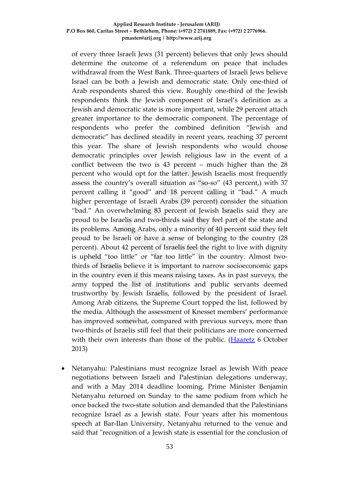of every three Israeli Jews (31 percent) believes that only Jews should determine the outcome of a referendum on peace that includes withdrawal from the West Bank. Three-quarters of Israeli Jews believe Israel can be both a Jewish and democratic state. Only one-third of Arab respondents shared this view. Roughly one-third of the Jewish respondents think the Jewish component of Israel's definition as a Jewish and democratic state is more important, while 29 percent attach greater importance to the democratic component. The percentage of respondents who prefer the combined definition "Jewish and democratic" has declined steadily in recent years, reaching 37 percent this year. The share of Jewish respondents who would choose democratic principles over Jewish religious law in the event of a conflict between the two is 43 percent – much higher than the 28 percent who would opt for the latter. Jewish Israelis most frequently assess the country's overall situation as "so-so" (43 percent,) with 37 percent calling it "good" and 18 percent calling it "bad." A much higher percentage of Israeli Arabs (39 percent) consider the situation "bad." An overwhelming 83 percent of Jewish Israelis said they are proud to be Israelis and two-thirds said they feel part of the state and its problems. Among Arabs, only a minority of 40 percent said they felt proud to be Israeli or have a sense of belonging to the country (28 percent). About 42 percent of Israelis feel the right to live with dignity is upheld "too little" or "far too little" in the country. Almost twothirds of Israelis believe it is important to narrow socioeconomic gaps in the country even if this means raising taxes. As in past surveys, the army topped the list of institutions and public servants deemed trustworthy by Jewish Israelis, followed by the president of Israel. Among Arab citizens, the Supreme Court topped the list, followed by the media. Although the assessment of Knesset members' performance has improved somewhat, compared with previous surveys, more than two-thirds of Israelis still feel that their politicians are more concerned with their own interests than those of the public. [\(Haaretz](http://www.haaretz.com/news/national/.premium-1.550838) 6 October 2013)

• Netanyahu: Palestinians must recognize Israel as Jewish With peace negotiations between Israeli and Palestinian delegations underway, and with a May 2014 deadline looming, Prime Minister Benjamin Netanyahu returned on Sunday to the same podium from which he once backed the two-state solution and demanded that the Palestinians recognize Israel as a Jewish state. Four years after his momentous speech at Bar-Ilan University, Netanyahu returned to the venue and said that "recognition of a Jewish state is essential for the conclusion of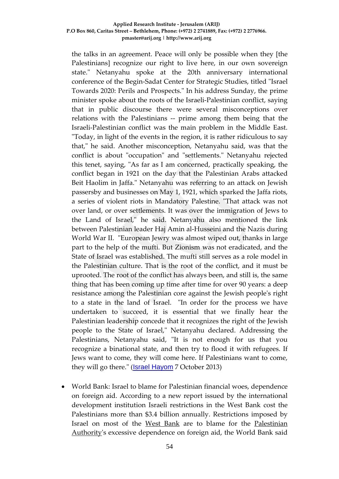the talks in an agreement. Peace will only be possible when they [the Palestinians] recognize our right to live here, in our own sovereign state." Netanyahu spoke at the 20th anniversary international conference of the Begin-Sadat Center for Strategic Studies, titled "Israel Towards 2020: Perils and Prospects." In his address Sunday, the prime minister spoke about the roots of the Israeli-Palestinian conflict, saying that in public discourse there were several misconceptions over relations with the Palestinians -- prime among them being that the Israeli-Palestinian conflict was the main problem in the Middle East. "Today, in light of the events in the region, it is rather ridiculous to say that," he said. Another misconception, Netanyahu said, was that the conflict is about "occupation" and "settlements." Netanyahu rejected this tenet, saying, "As far as I am concerned, practically speaking, the conflict began in 1921 on the day that the Palestinian Arabs attacked Beit Haolim in Jaffa." Netanyahu was referring to an attack on Jewish passersby and businesses on May 1, 1921, which sparked the Jaffa riots, a series of violent riots in Mandatory Palestine. "That attack was not over land, or over settlements. It was over the immigration of Jews to the Land of Israel," he said. Netanyahu also mentioned the link between Palestinian leader Haj Amin al-Husseini and the Nazis during World War II. "European Jewry was almost wiped out, thanks in large part to the help of the mufti. But Zionism was not eradicated, and the State of Israel was established. The mufti still serves as a role model in the Palestinian culture. That is the root of the conflict, and it must be uprooted. The root of the conflict has always been, and still is, the same thing that has been coming up time after time for over 90 years: a deep resistance among the Palestinian core against the Jewish people's right to a state in the land of Israel. "In order for the process we have undertaken to succeed, it is essential that we finally hear the Palestinian leadership concede that it recognizes the right of the Jewish people to the State of Israel," Netanyahu declared. Addressing the Palestinians, Netanyahu said, "It is not enough for us that you recognize a binational state, and then try to flood it with refugees. If Jews want to come, they will come here. If Palestinians want to come, they will go there." (**[Israel Hayom](http://www.israelhayom.com/site/newsletter_article.php?id=12405)** 7 October 2013)

• World Bank: Israel to blame for Palestinian financial woes, dependence on foreign aid. According to a new report issued by the international development institution Israeli restrictions in the West Bank cost the Palestinians more than \$3.4 billion annually. Restrictions imposed by Israel on most of the [West Bank](http://www.haaretz.com/misc/tags/West%20Bank-1.477132) are to blame for the [Palestinian](http://www.haaretz.com/misc/tags/Palestinian%20Authority-1.476790)  [Authority'](http://www.haaretz.com/misc/tags/Palestinian%20Authority-1.476790)s excessive dependence on foreign aid, the World Bank said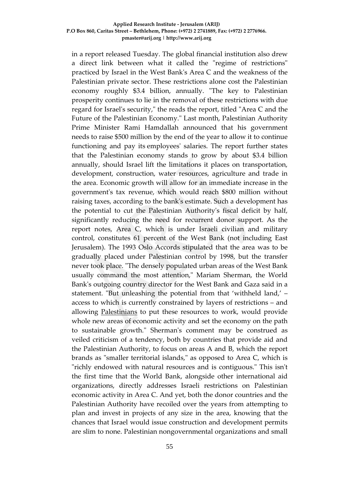in a report released Tuesday. The global financial institution also drew a direct link between what it called the "regime of restrictions" practiced by Israel in the West Bank's Area C and the weakness of the Palestinian private sector. These restrictions alone cost the Palestinian economy roughly \$3.4 billion, annually. "The key to Palestinian prosperity continues to lie in the removal of these restrictions with due regard for Israel's security," the reads the report, titled "Area C and the Future of the Palestinian Economy." Last month, Palestinian Authority Prime Minister Rami Hamdallah announced that his government needs to raise \$500 million by the end of the year to allow it to continue functioning and pay its employees' salaries. The report further states that the Palestinian economy stands to grow by about \$3.4 billion annually, should Israel lift the limitations it places on transportation, development, construction, water resources, agriculture and trade in the area. Economic growth will allow for an immediate increase in the government's tax revenue, which would reach \$800 million without raising taxes, according to the bank's estimate. Such a development has the potential to cut the Palestinian Authority's fiscal deficit by half, significantly reducing the need for recurrent donor support. As the report notes, Area C, which is under Israeli civilian and military control, constitutes 61 percent of the West Bank (not including East Jerusalem). The 1993 Oslo Accords stipulated that the area was to be gradually placed under Palestinian control by 1998, but the transfer never took place. "The densely populated urban areas of the West Bank usually command the most attention," Mariam Sherman, the World Bank's outgoing country director for the West Bank and Gaza said in a statement. "But unleashing the potential from that 'withheld land,' – access to which is currently constrained by layers of restrictions – and allowing [Palestinians](http://www.haaretz.com/misc/tags/Palestinians-1.477125) to put these resources to work, would provide whole new areas of economic activity and set the economy on the path to sustainable growth." Sherman's comment may be construed as veiled criticism of a tendency, both by countries that provide aid and the Palestinian Authority, to focus on areas A and B, which the report brands as "smaller territorial islands," as opposed to Area C, which is "richly endowed with natural resources and is contiguous." This isn't the first time that the World Bank, alongside other international aid organizations, directly addresses Israeli restrictions on Palestinian economic activity in Area C. And yet, both the donor countries and the Palestinian Authority have recoiled over the years from attempting to plan and invest in projects of any size in the area, knowing that the chances that Israel would issue construction and development permits are slim to none. Palestinian nongovernmental organizations and small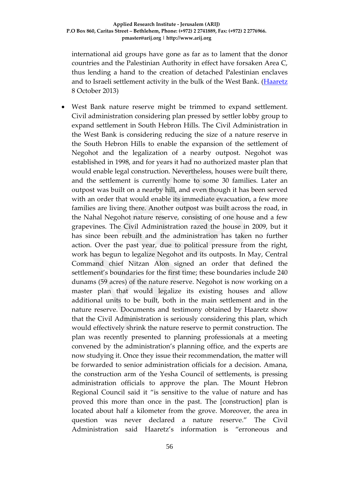international aid groups have gone as far as to lament that the donor countries and the Palestinian Authority in effect have forsaken Area C, thus lending a hand to the creation of detached Palestinian enclaves and to Israeli settlement activity in the bulk of the West Bank. [\(Haaretz](http://www.haaretz.com/news/diplomacy-defense/.premium-1.551149) 8 October 2013)

• West Bank nature reserve might be trimmed to expand settlement. Civil administration considering plan pressed by settler lobby group to expand settlement in South Hebron Hills. The Civil Administration in the West Bank is considering reducing the size of a nature reserve in the South Hebron Hills to enable the expansion of the settlement of Negohot and the legalization of a nearby outpost. Negohot was established in 1998, and for years it had no authorized master plan that would enable legal construction. Nevertheless, houses were built there, and the settlement is currently home to some 30 families. Later an outpost was built on a nearby hill, and even though it has been served with an order that would enable its immediate evacuation, a few more families are living there. Another outpost was built across the road, in the Nahal Negohot nature reserve, consisting of one house and a few grapevines. The Civil Administration razed the house in 2009, but it has since been rebuilt and the administration has taken no further action. Over the past year, due to political pressure from the right, work has begun to legalize Negohot and its outposts. In May, Central Command chief Nitzan Alon signed an order that defined the settlement's boundaries for the first time; these boundaries include 240 dunams (59 acres) of the nature reserve. Negohot is now working on a master plan that would legalize its existing houses and allow additional units to be built, both in the main settlement and in the nature reserve. Documents and testimony obtained by Haaretz show that the Civil Administration is seriously considering this plan, which would effectively shrink the nature reserve to permit construction. The plan was recently presented to planning professionals at a meeting convened by the administration's planning office, and the experts are now studying it. Once they issue their recommendation, the matter will be forwarded to senior administration officials for a decision. Amana, the construction arm of the Yesha Council of settlements, is pressing administration officials to approve the plan. The Mount Hebron Regional Council said it "is sensitive to the value of nature and has proved this more than once in the past. The [construction] plan is located about half a kilometer from the grove. Moreover, the area in question was never declared a nature reserve." The Civil Administration said Haaretz's information is "erroneous and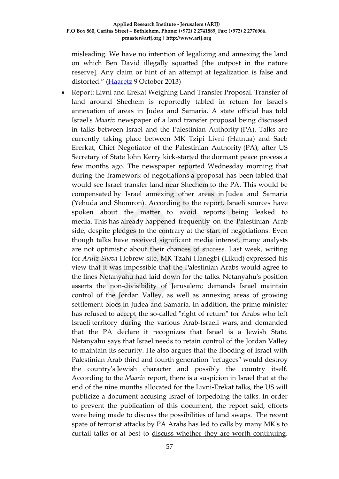misleading. We have no intention of legalizing and annexing the land on which Ben David illegally squatted [the outpost in the nature reserve]. Any claim or hint of an attempt at legalization is false and distorted." [\(Haaretz](http://www.haaretz.com/news/national/.premium-1.551286) 9 October 2013)

• Report: Livni and Erekat Weighing Land Transfer Proposal. Transfer of land around Shechem is reportedly tabled in return for Israel's annexation of areas in Judea and Samaria. A state official has told Israel's *Maariv* newspaper of a land transfer proposal being discussed in talks between Israel and the Palestinian Authority (PA). Talks are currently taking place between MK Tzipi Livni (Hatnua) and Saeb Ererkat, Chief Negotiator of the Palestinian Authority (PA), after US Secretary of State John Kerry kick-started the dormant peace process a few months ago. The newspaper reported Wednesday morning that during the framework of negotiations a proposal has been tabled that would see Israel transfer land near Shechem to the PA. This would be compensated by Israel annexing other areas in Judea and Samaria (Yehuda and Shomron). According to the report, Israeli sources have spoken about the matter to avoid reports being leaked to media. This has already happened frequently on the Palestinian Arab side, despite pledges to the contrary at the start of negotiations. Even though talks have received significant media interest, many analysts are not optimistic about their chances of success. Last week, writing for *Arutz Sheva* Hebrew site, MK Tzahi Hanegbi (Likud) expressed his view that it was impossible that the Palestinian Arabs would agree to the lines Netanyahu had laid down for the talks. Netanyahu's position asserts the non-divisibility of Jerusalem; demands Israel maintain control of the Jordan Valley, as well as annexing areas of growing settlement blocs in Judea and Samaria. In addition, the prime minister has refused to accept the so-called "right of return" for Arabs who left Israeli territory during the various Arab-Israeli wars, and demanded that the PA declare it recognizes that Israel is a Jewish State. Netanyahu says that Israel needs to retain control of the Jordan Valley to maintain its security. He also argues that the flooding of Israel with Palestinian Arab third and fourth generation "refugees" would destroy the country's Jewish character and possibly the country itself. According to the *Maariv* report, there is a suspicion in Israel that at the end of the nine months allocated for the Livni-Erekat talks, the US will publicize a document accusing Israel of torpedoing the talks. In order to prevent the publication of this document, the report said, efforts were being made to discuss the possibilities of land swaps. The recent spate of terrorist attacks by PA Arabs has led to calls by many MK's to curtail talks or at best to [discuss whether they are worth continuing.](http://www.israelnationalnews.com/News/News.aspx/172743)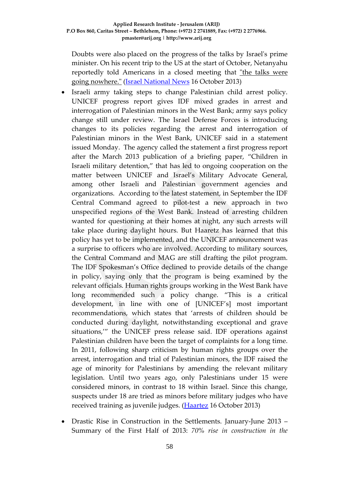Doubts were also placed on the progress of the talks by Israel's prime minister. On his recent trip to the US at the start of October, Netanyahu reportedly told Americans in a closed meeting that ["the talks were](http://www.israelnationalnews.com/News/News.aspx/172521)  [going nowhere."](http://www.israelnationalnews.com/News/News.aspx/172521) [\(Israel National News](http://www.israelnationalnews.com/News/News.aspx/172886) 16 October 2013)

- Israeli army taking steps to change Palestinian child arrest policy. UNICEF progress report gives IDF mixed grades in arrest and interrogation of Palestinian minors in the West Bank; army says policy change still under review. The Israel Defense Forces is introducing changes to its policies regarding the arrest and interrogation of Palestinian minors in the West Bank, UNICEF said in a statement issued Monday. The agency called the statement a first progress report after the March 2013 publication of a briefing paper, "Children in Israeli military detention," that has led to ongoing cooperation on the matter between UNICEF and Israel's Military Advocate General, among other Israeli and Palestinian government agencies and organizations. According to the latest statement, in September the IDF Central Command agreed to pilot-test a new approach in two unspecified regions of the West Bank. Instead of arresting children wanted for questioning at their homes at night, any such arrests will take place during daylight hours. But Haaretz has learned that this policy has yet to be implemented, and the UNICEF announcement was a surprise to officers who are involved. According to military sources, the Central Command and MAG are still drafting the pilot program. The IDF Spokesman's Office declined to provide details of the change in policy, saying only that the program is being examined by the relevant officials. Human rights groups working in the West Bank have long recommended such a policy change. "This is a critical development, in line with one of [UNICEF's] most important recommendations, which states that 'arrests of children should be conducted during daylight, notwithstanding exceptional and grave situations,'" the UNICEF press release said. IDF operations against Palestinian children have been the target of complaints for a long time. In 2011, following sharp criticism by human rights groups over the arrest, interrogation and trial of Palestinian minors, the IDF raised the age of minority for Palestinians by amending the relevant military legislation. Until two years ago, only Palestinians under 15 were considered minors, in contrast to 18 within Israel. Since this change, suspects under 18 are tried as minors before military judges who have received training as juvenile judges. [\(Haartez](http://www.haaretz.com/news/diplomacy-defense/1.552831) 16 October 2013)
- Drastic Rise in Construction in the Settlements. January-June 2013 Summary of the First Half of 2013: *70% rise in construction in the*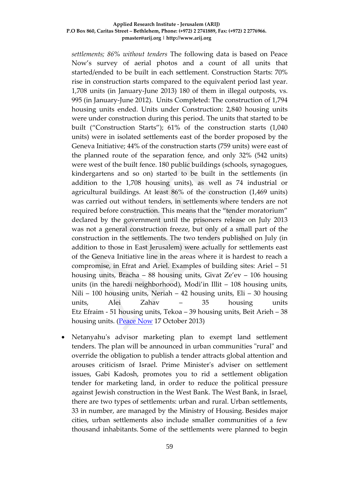*settlements; 86% without tenders* The following data is based on Peace Now's survey of aerial photos and a count of all units that started/ended to be built in each settlement. Construction Starts: 70% rise in construction starts compared to the equivalent period last year. 1,708 units (in January-June 2013) 180 of them in illegal outposts, vs. 995 (in January-June 2012). Units Completed: The construction of 1,794 housing units ended. Units under Construction: 2,840 housing units were under construction during this period. The units that started to be built ("Construction Starts"); 61% of the construction starts (1,040 units) were in isolated settlements east of the border proposed by the Geneva Initiative; 44% of the construction starts (759 units) were east of the planned route of the separation fence, and only 32% (542 units) were west of the built fence. 180 public buildings (schools, synagogues, kindergartens and so on) started to be built in the settlements (in addition to the 1,708 housing units), as well as 74 industrial or agricultural buildings. At least 86% of the construction (1,469 units) was carried out without tenders, in settlements where tenders are not required before construction. This means that the "tender moratorium" declared by the government until the prisoners release on July 2013 was not a general construction freeze, but only of a small part of the construction in the settlements. The two tenders published on July (in addition to those in East Jerusalem) were actually for settlements east of the Geneva Initiative line in the areas where it is hardest to reach a compromise, in Efrat and Ariel. Examples of building sites: Ariel – 51 housing units, Bracha – 88 housing units, Givat Ze'ev – 106 housing units (in the haredi neighborhood), Modi'in Illit – 108 housing units, Nili – 100 housing units, Neriah – 42 housing units, Eli – 30 housing units, Alei Zahav – 35 housing units Etz Efraim - 51 housing units, Tekoa – 39 housing units, Beit Arieh – 38 housing units. [\(Peace Now](http://peacenow.org.il/eng/Jan-Jun-2013) 17 October 2013)

• Netanyahu's advisor marketing plan to exempt land settlement tenders. The plan will be announced in urban communities "rural" and override the obligation to publish a tender attracts global attention and arouses criticism of Israel. Prime Minister's adviser on settlement issues, Gabi Kadosh, promotes you to rid a settlement obligation tender for marketing land, in order to reduce the political pressure against Jewish construction in the West Bank. The West Bank, in Israel, there are two types of settlements: urban and rural. Urban settlements, 33 in number, are managed by the Ministry of Housing. Besides major cities, urban settlements also include smaller communities of a few thousand inhabitants. Some of the settlements were planned to begin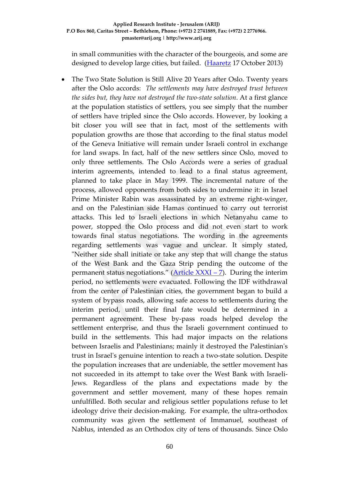in small communities with the character of the bourgeois, and some are designed to develop large cities, but failed. [\(Haaretz](http://www.haaretz.co.il/news/politics/.premium-1.2142536) 17 October 2013)

• The Two State Solution is Still Alive 20 Years after Oslo. Twenty years after the Oslo accords: *The settlements may have destroyed trust between the sides but, they have not destroyed the two-state solution*. At a first glance at the population statistics of settlers, you see simply that the number of settlers have tripled since the Oslo accords. However, by looking a bit closer you will see that in fact, most of the settlements with population growths are those that according to the final status model of the Geneva Initiative will remain under Israeli control in exchange for land swaps. In fact, half of the new settlers since Oslo, moved to only three settlements. The Oslo Accords were a series of gradual interim agreements, intended to lead to a final status agreement, planned to take place in May 1999. The incremental nature of the process, allowed opponents from both sides to undermine it: in Israel Prime Minister Rabin was assassinated by an extreme right-winger, and on the Palestinian side Hamas continued to carry out terrorist attacks. This led to Israeli elections in which Netanyahu came to power, stopped the Oslo process and did not even start to work towards final status negotiations. The wording in the agreements regarding settlements was vague and unclear. It simply stated, "Neither side shall initiate or take any step that will change the status of the West Bank and the Gaza Strip pending the outcome of the permanent status negotiations." ( $\triangle$ rticle  $XXXI - 7$ ). During the interim period, no settlements were evacuated. Following the IDF withdrawal from the center of Palestinian cities, the government began to build a system of bypass roads, allowing safe access to settlements during the interim period, until their final fate would be determined in a permanent agreement. These by-pass roads helped develop the settlement enterprise, and thus the Israeli government continued to build in the settlements. This had major impacts on the relations between Israelis and Palestinians; mainly it destroyed the Palestinian's trust in Israel's genuine intention to reach a two-state solution. Despite the population increases that are undeniable, the settler movement has not succeeded in its attempt to take over the West Bank with Israeli-Jews. Regardless of the plans and expectations made by the government and settler movement, many of these hopes remain unfulfilled. Both secular and religious settler populations refuse to let ideology drive their decision-making. For example, the ultra-orthodox community was given the settlement of Immanuel, southeast of Nablus, intended as an Orthodox city of tens of thousands. Since Oslo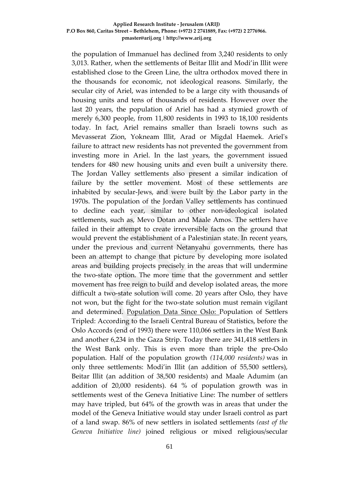the population of Immanuel has declined from 3,240 residents to only 3,013. Rather, when the settlements of Beitar Illit and Modi'in Illit were established close to the Green Line, the ultra orthodox moved there in the thousands for economic, not ideological reasons. Similarly, the secular city of Ariel, was intended to be a large city with thousands of housing units and tens of thousands of residents. However over the last 20 years, the population of Ariel has had a stymied growth of merely 6,300 people, from 11,800 residents in 1993 to 18,100 residents today. In fact, Ariel remains smaller than Israeli towns such as Mevasserat Zion, Yokneam Illit, Arad or Migdal Haemek. Ariel's failure to attract new residents has not prevented the government from investing more in Ariel. In the last years, the government issued tenders for 480 new housing units and even built a university there. The Jordan Valley settlements also present a similar indication of failure by the settler movement. Most of these settlements are inhabited by secular-Jews, and were built by the Labor party in the 1970s. The population of the Jordan Valley settlements has continued to decline each year, similar to other non-ideological isolated settlements, such as, Mevo Dotan and Maale Amos. The settlers have failed in their attempt to create irreversible facts on the ground that would prevent the establishment of a Palestinian state. In recent years, under the previous and current Netanyahu governments, there has been an attempt to change that picture by developing more isolated areas and building projects precisely in the areas that will undermine the two-state option. The more time that the government and settler movement has free reign to build and develop isolated areas, the more difficult a two-state solution will come. 20 years after Oslo, they have not won, but the fight for the two-state solution must remain vigilant and determined. Population Data Since Oslo: Population of Settlers Tripled: According to the Israeli Central Bureau of Statistics, before the Oslo Accords (end of 1993) there were 110,066 settlers in the West Bank and another 6,234 in the Gaza Strip. Today there are 341,418 settlers in the West Bank only. This is even more than triple the pre-Oslo population. Half of the population growth *(114,000 residents)* was in only three settlements: Modi'in Illit (an addition of 55,500 settlers), Beitar Illit (an addition of 38,500 residents) and Maale Adumim (an addition of 20,000 residents). 64 % of population growth was in settlements west of the Geneva Initiative Line: The number of settlers may have tripled, but 64% of the growth was in areas that under the model of the Geneva Initiative would stay under Israeli control as part of a land swap. 86% of new settlers in isolated settlements *(east of the Geneva Initiative line)* joined religious or mixed religious/secular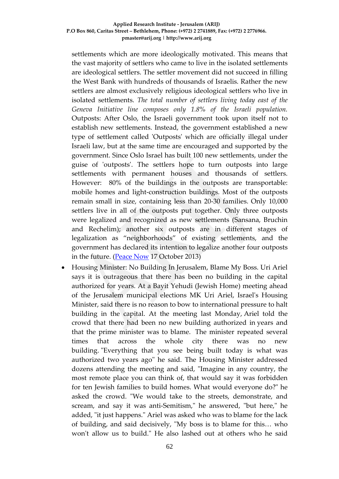settlements which are more ideologically motivated. This means that the vast majority of settlers who came to live in the isolated settlements are ideological settlers. The settler movement did not succeed in filling the West Bank with hundreds of thousands of Israelis. Rather the new settlers are almost exclusively religious ideological settlers who live in isolated settlements. *The total number of settlers living today east of the Geneva Initiative line composes only 1.8% of the Israeli population.* Outposts: After Oslo, the Israeli government took upon itself not to establish new settlements. Instead, the government established a new type of settlement called 'Outposts' which are officially illegal under Israeli law, but at the same time are encouraged and supported by the government. Since Oslo Israel has built 100 new settlements, under the guise of 'outposts'. The settlers hope to turn outposts into large settlements with permanent houses and thousands of settlers. However: 80% of the buildings in the outposts are transportable: mobile homes and light-construction buildings. Most of the outposts remain small in size, containing less than 20-30 families. Only 10,000 settlers live in all of the outposts put together. Only three outposts were legalized and recognized as new settlements (Sansana, Bruchin and Rechelim); another six outposts are in different stages of legalization as "neighborhoods" of existing settlements, and the government has declared its intention to legalize another four outposts in the future. [\(Peace Now](http://peacenow.org.il/eng/OsloSummary) 17 October 2013)

• Housing Minister: No Building In Jerusalem, Blame My Boss. Uri Ariel says it is outrageous that there has been no building in the capital authorized for years. At a Bayit Yehudi (Jewish Home) meeting ahead of the Jerusalem municipal elections MK Uri Ariel, Israel's Housing Minister, said there is no reason to bow to international pressure to halt building in the capital. At the meeting last Monday, Ariel told the crowd that there had been no new building authorized in years and that the prime minister was to blame. The minister repeated several times that across the whole city there was no new building. "Everything that you see being built today is what was authorized two years ago" he said. The Housing Minister addressed dozens attending the meeting and said, "Imagine in any country, the most remote place you can think of, that would say it was forbidden for ten Jewish families to build homes. What would everyone do?" he asked the crowd. "We would take to the streets, demonstrate, and scream, and say it was anti-Semitism," he answered, "but here," he added, "it just happens." Ariel was asked who was to blame for the lack of building, and said decisively, "My boss is to blame for this… who won't allow us to build." He also lashed out at others who he said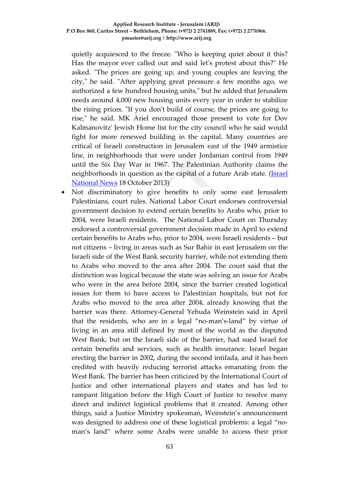quietly acquiesced to the freeze. "Who is keeping quiet about it this? Has the mayor ever called out and said let's protest about this?" He asked. "The prices are going up, and young couples are leaving the city," he said. "After applying great pressure a few months ago, we authorized a few hundred housing units," but he added that Jerusalem needs around 4,000 new housing units every year in order to stabilize the rising prices. "If you don't build of course, the prices are going to rise," he said. MK Ariel encouraged those present to vote for Dov Kalmanovitz' Jewish Home list for the city council who he said would fight for more renewed building in the capital. Many countries are critical of Israeli construction in Jerusalem east of the 1949 armistice line, in neighborhoods that were under Jordanian control from 1949 until the Six Day War in 1967. The Palestinian Authority claims the neighborhoods in question as the capital of a future Arab state. (*Israel* [National News](http://www.israelnationalnews.com/News/News.aspx/172967) 18 October 2013)

• Not discriminatory to give benefits to only some east Jerusalem Palestinians, court rules. National Labor Court endorses controversial government decision to extend certain benefits to Arabs who, prior to 2004, were Israeli residents. The National Labor Court on Thursday endorsed a controversial government decision made in April to extend certain benefits to Arabs who, prior to 2004, were Israeli residents – but not citizens – living in areas such as Sur Bahir in east Jerusalem on the Israeli side of the West Bank security barrier, while not extending them to Arabs who moved to the area after 2004. The court said that the distinction was logical because the state was solving an issue for Arabs who were in the area before 2004, since the barrier created logistical issues for them to have access to Palestinian hospitals, but not for Arabs who moved to the area after 2004, already knowing that the barrier was there. Attorney-General Yehuda Weinstein said in April that the residents, who are in a legal "no-man's-land" by virtue of living in an area still defined by most of the world as the disputed West Bank, but on the Israeli side of the barrier, had sued Israel for certain benefits and services, such as health insurance. Israel began erecting the barrier in 2002, during the second intifada, and it has been credited with heavily reducing terrorist attacks emanating from the West Bank. The barrier has been criticized by the International Court of Justice and other international players and states and has led to rampant litigation before the High Court of Justice to resolve many direct and indirect logistical problems that it created. Among other things, said a Justice Ministry spokesman, Weinstein's announcement was designed to address one of these logistical problems: a legal "noman's land" where some Arabs were unable to access their prior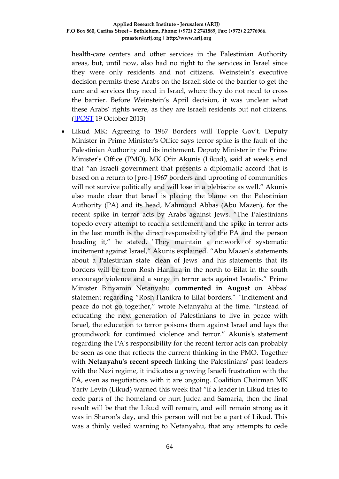health-care centers and other services in the Palestinian Authority areas, but, until now, also had no right to the services in Israel since they were only residents and not citizens. Weinstein's executive decision permits these Arabs on the Israeli side of the barrier to get the care and services they need in Israel, where they do not need to cross the barrier. Before Weinstein's April decision, it was unclear what these Arabs' rights were, as they are Israeli residents but not citizens. [\(JPOST](http://www.jpost.com/Diplomacy-and-Politics/Not-discriminatory-to-give-benefits-to-only-some-east-Jerusalem-Palestinians-court-rules-329083) 19 October 2013)

• Likud MK: Agreeing to 1967 Borders will Topple Gov't. Deputy Minister in Prime Minister's Office says terror spike is the fault of the Palestinian Authority and its incitement. Deputy Minister in the Prime Minister's Office (PMO), MK Ofir Akunis (Likud), said at week's end that "an Israeli government that presents a diplomatic accord that is based on a return to [pre-] 1967 borders and uprooting of communities will not survive politically and will lose in a plebiscite as well." Akunis also made clear that Israel is placing the blame on the Palestinian Authority (PA) and its head, Mahmoud Abbas (Abu Mazen), for the recent spike in terror acts by Arabs against Jews. "The Palestinians topedo every attempt to reach a settlement and the spike in terror acts in the last month is the direct responsibility of the PA and the person heading it," he stated. "They maintain a network of systematic incitement against Israel," Akunis explained. "Abu Mazen's statements about a Palestinian state 'clean of Jews' and his statements that its borders will be from Rosh Hanikra in the north to Eilat in the south encourage violence and a surge in terror acts against Israelis." Prime Minister Binyamin Netanyahu **[commented in August](http://www.israelnationalnews.com/News/News.aspx/170759)** on Abbas' statement regarding "Rosh Hanikra to Eilat borders." "Incitement and peace do not go together," wrote Netanyahu at the time. "Instead of educating the next generation of Palestinians to live in peace with Israel, the education to terror poisons them against Israel and lays the groundwork for continued violence and terror." Akunis's statement regarding the PA's responsibility for the recent terror acts can probably be seen as one that reflects the current thinking in the PMO. Together with **[Netanyahu's recent speech](http://www.israelnationalnews.com/News/News.aspx/172574)** linking the Palestinians' past leaders with the Nazi regime, it indicates a growing Israeli frustration with the PA, even as negotiations with it are ongoing. Coalition Chairman MK Yariv Levin (Likud) warned this week that "if a leader in Likud tries to cede parts of the homeland or hurt Judea and Samaria, then the final result will be that the Likud will remain, and will remain strong as it was in Sharon's day, and this person will not be a part of Likud. This was a thinly veiled warning to Netanyahu, that any attempts to cede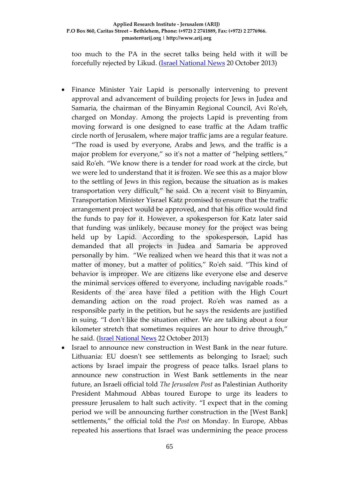too much to the PA in the secret talks being held with it will be forcefully rejected by Likud. [\(Israel National News](http://www.israelnationalnews.com/News/News.aspx/172985) 20 October 2013)

- Finance Minister Yair Lapid is personally intervening to prevent approval and advancement of building projects for Jews in Judea and Samaria, the chairman of the Binyamin Regional Council, Avi Ro'eh, charged on Monday. Among the projects Lapid is preventing from moving forward is one designed to ease traffic at the Adam traffic circle north of Jerusalem, where major traffic jams are a regular feature. "The road is used by everyone, Arabs and Jews, and the traffic is a major problem for everyone," so it's not a matter of "helping settlers," said Ro'eh. "We know there is a tender for road work at the circle, but we were led to understand that it is frozen. We see this as a major blow to the settling of Jews in this region, because the situation as is makes transportation very difficult," he said. On a recent visit to Binyamin, Transportation Minister Yisrael Katz promised to ensure that the traffic arrangement project would be approved, and that his office would find the funds to pay for it. However, a spokesperson for Katz later said that funding was unlikely, because money for the project was being held up by Lapid. According to the spokesperson, Lapid has demanded that all projects in Judea and Samaria be approved personally by him. "We realized when we heard this that it was not a matter of money, but a matter of politics," Ro'eh said. "This kind of behavior is improper. We are citizens like everyone else and deserve the minimal services offered to everyone, including navigable roads." Residents of the area have filed a petition with the High Court demanding action on the road project. Ro'eh was named as a responsible party in the petition, but he says the residents are justified in suing. "I don't like the situation either. We are talking about a four kilometer stretch that sometimes requires an hour to drive through," he said. ([Israel National News](http://www.israelnationalnews.com/News/News.aspx/173064) 22 October 2013)
- Israel to announce new construction in West Bank in the near future. Lithuania: EU doesn't see settlements as belonging to Israel; such actions by Israel impair the progress of peace talks. Israel plans to announce new construction in West Bank settlements in the near future, an Israeli official told *The Jerusalem Post* as Palestinian Authority President Mahmoud Abbas toured Europe to urge its leaders to pressure Jerusalem to halt such activity. "I expect that in the coming period we will be announcing further construction in the [West Bank] settlements," the official told the *Post* on Monday. In Europe, Abbas repeated his assertions that Israel was undermining the peace process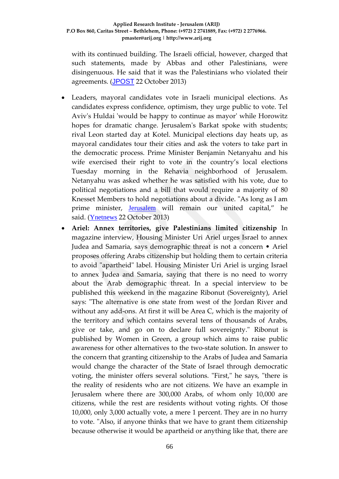with its continued building. The Israeli official, however, charged that such statements, made by Abbas and other Palestinians, were disingenuous. He said that it was the Palestinians who violated their agreements. ([JPOST](http://www.jpost.com/Diplomacy-and-Politics/Israel-to-announce-new-construction-in-West-Bank-in-the-near-future-329386) 22 October 2013)

- Leaders, mayoral candidates vote in Israeli municipal elections. As candidates express confidence, optimism, they urge public to vote. Tel Aviv's Huldai 'would be happy to continue as mayor' while Horowitz hopes for dramatic change. Jerusalem's Barkat spoke with students; rival Leon started day at Kotel. Municipal elections day heats up, as mayoral candidates tour their cities and ask the voters to take part in the democratic process. Prime Minister Benjamin Netanyahu and his wife exercised their right to vote in the country's local elections Tuesday morning in the Rehavia neighborhood of Jerusalem. Netanyahu was asked whether he was satisfied with his vote, due to political negotiations and a bill that would require a majority of 80 Knesset Members to hold negotiations about a divide. "As long as I am prime minister, [Jerusalem](http://www.ynetnews.com/articles/0,7340,L-4369851,00.html) will remain our united capital," he said. ([Ynetnews](http://www.ynetnews.com/articles/0,7340,L-4443996,00.html) 22 October 2013)
- **Ariel: Annex territories, give Palestinians limited citizenship** In magazine interview, Housing Minister Uri Ariel urges Israel to annex Judea and Samaria, says demographic threat is not a concern • Ariel proposes offering Arabs citizenship but holding them to certain criteria to avoid "apartheid" label. Housing Minister Uri Ariel is urging Israel to annex Judea and Samaria, saying that there is no need to worry about the Arab demographic threat. In a special interview to be published this weekend in the magazine Ribonut (Sovereignty), Ariel says: "The alternative is one state from west of the Jordan River and without any add-ons. At first it will be Area C, which is the majority of the territory and which contains several tens of thousands of Arabs, give or take, and go on to declare full sovereignty." Ribonut is published by Women in Green, a group which aims to raise public awareness for other alternatives to the two-state solution. In answer to the concern that granting citizenship to the Arabs of Judea and Samaria would change the character of the State of Israel through democratic voting, the minister offers several solutions. "First," he says, "there is the reality of residents who are not citizens. We have an example in Jerusalem where there are 300,000 Arabs, of whom only 10,000 are citizens, while the rest are residents without voting rights. Of those 10,000, only 3,000 actually vote, a mere 1 percent. They are in no hurry to vote. "Also, if anyone thinks that we have to grant them citizenship because otherwise it would be apartheid or anything like that, there are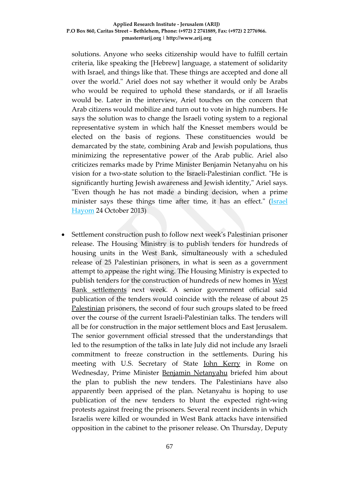solutions. Anyone who seeks citizenship would have to fulfill certain criteria, like speaking the [Hebrew] language, a statement of solidarity with Israel, and things like that. These things are accepted and done all over the world." Ariel does not say whether it would only be Arabs who would be required to uphold these standards, or if all Israelis would be. Later in the interview, Ariel touches on the concern that Arab citizens would mobilize and turn out to vote in high numbers. He says the solution was to change the Israeli voting system to a regional representative system in which half the Knesset members would be elected on the basis of regions. These constituencies would be demarcated by the state, combining Arab and Jewish populations, thus minimizing the representative power of the Arab public. Ariel also criticizes remarks made by Prime Minister Benjamin Netanyahu on his vision for a two-state solution to the Israeli-Palestinian conflict. "He is significantly hurting Jewish awareness and Jewish identity," Ariel says. "Even though he has not made a binding decision, when a prime minister says these things time after time, it has an effect." (Israel [Hayom](http://www.israelhayom.com/site/newsletter_article.php?id=12797) 24 October 2013)

• Settlement construction push to follow next week's Palestinian prisoner release. The Housing Ministry is to publish tenders for hundreds of housing units in the West Bank, simultaneously with a scheduled release of 25 Palestinian prisoners, in what is seen as a government attempt to appease the right wing. The Housing Ministry is expected to publish tenders for the construction of hundreds of new homes in [West](http://www.haaretz.com/misc/tags/Israel%20settlements-1.477056)  [Bank settlements](http://www.haaretz.com/misc/tags/Israel%20settlements-1.477056) next week. A senior government official said publication of the tenders would coincide with the release of about 25 [Palestinian](http://www.haaretz.com/misc/tags/Palestinians-1.477125) prisoners, the second of four such groups slated to be freed over the course of the current Israeli-Palestinian talks. The tenders will all be for construction in the major settlement blocs and East Jerusalem. The senior government official stressed that the understandings that led to the resumption of the talks in late July did not include any Israeli commitment to freeze construction in the settlements. During his meeting with U.S. Secretary of State [John Kerry](http://www.haaretz.com/misc/tags/John%20Kerry%20-1.507474) in Rome on Wednesday, Prime Minister [Benjamin Netanyahu](http://www.haaretz.com/misc/tags/Benjamin%20Netanyahu-1.476753) briefed him about the plan to publish the new tenders. The Palestinians have also apparently been apprised of the plan. Netanyahu is hoping to use publication of the new tenders to blunt the expected right-wing protests against freeing the prisoners. Several recent incidents in which Israelis were killed or wounded in West Bank attacks have intensified opposition in the cabinet to the prisoner release. On Thursday, Deputy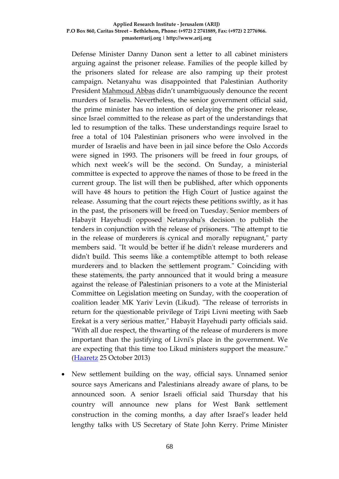Defense Minister Danny Danon sent a letter to all cabinet ministers arguing against the prisoner release. Families of the people killed by the prisoners slated for release are also ramping up their protest campaign. Netanyahu was disappointed that Palestinian Authority President [Mahmoud Abbas](http://www.haaretz.com/misc/tags/Tag/Second%2525252525252525252525252525252525252525252525252525252525252525252525252525252525252525252525252525252525252525252525252525252520Lebanon%252525252525252525252525252525252525252525252525252525252525252525252525/Mahmoud%20Abbas-1.477128) didn't unambiguously denounce the recent murders of Israelis. Nevertheless, the senior government official said, the prime minister has no intention of delaying the prisoner release, since Israel committed to the release as part of the understandings that led to resumption of the talks. These understandings require Israel to free a total of 104 Palestinian prisoners who were involved in the murder of Israelis and have been in jail since before the Oslo Accords were signed in 1993. The prisoners will be freed in four groups, of which next week's will be the second. On Sunday, a ministerial committee is expected to approve the names of those to be freed in the current group. The list will then be published, after which opponents will have 48 hours to petition the High Court of Justice against the release. Assuming that the court rejects these petitions swiftly, as it has in the past, the prisoners will be freed on Tuesday. Senior members of Habayit Hayehudi opposed Netanyahu's decision to publish the tenders in conjunction with the release of prisoners. "The attempt to tie in the release of murderers is cynical and morally repugnant," party members said. "It would be better if he didn't release murderers and didn't build. This seems like a contemptible attempt to both release murderers and to blacken the settlement program." Coinciding with these statements, the party announced that it would bring a measure against the release of Palestinian prisoners to a vote at the Ministerial Committee on Legislation meeting on Sunday, with the cooperation of coalition leader MK Yariv Levin (Likud). "The release of terrorists in return for the questionable privilege of Tzipi Livni meeting with Saeb Erekat is a very serious matter," Habayit Hayehudi party officials said. "With all due respect, the thwarting of the release of murderers is more important than the justifying of Livni's place in the government. We are expecting that this time too Likud ministers support the measure." [\(Haaretz](http://www.haaretz.com/news/diplomacy-defense/.premium-1.554336) 25 October 2013)

• New settlement building on the way, official says. Unnamed senior source says Americans and Palestinians already aware of plans, to be announced soon. A senior Israeli official said Thursday that his country will announce new plans for West Bank settlement construction in the coming months, a day after Israel's leader held lengthy talks with US Secretary of State John Kerry. Prime Minister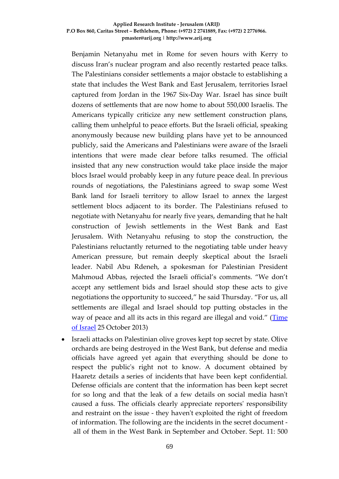Benjamin Netanyahu met in Rome for seven hours with Kerry to discuss Iran's nuclear program and also recently restarted peace talks. The Palestinians consider settlements a major obstacle to establishing a state that includes the West Bank and East Jerusalem, territories Israel captured from Jordan in the 1967 Six-Day War. Israel has since built dozens of settlements that are now home to about 550,000 Israelis. The Americans typically criticize any new settlement construction plans, calling them unhelpful to peace efforts. But the Israeli official, speaking anonymously because new building plans have yet to be announced publicly, said the Americans and Palestinians were aware of the Israeli intentions that were made clear before talks resumed. The official insisted that any new construction would take place inside the major blocs Israel would probably keep in any future peace deal. In previous rounds of negotiations, the Palestinians agreed to swap some West Bank land for Israeli territory to allow Israel to annex the largest settlement blocs adjacent to its border. The Palestinians refused to negotiate with Netanyahu for nearly five years, demanding that he halt construction of Jewish settlements in the West Bank and East Jerusalem. With Netanyahu refusing to stop the construction, the Palestinians reluctantly returned to the negotiating table under heavy American pressure, but remain deeply skeptical about the Israeli leader. Nabil Abu Rdeneh, a spokesman for Palestinian President Mahmoud Abbas, rejected the Israeli official's comments. "We don't accept any settlement bids and Israel should stop these acts to give negotiations the opportunity to succeed," he said Thursday. "For us, all settlements are illegal and Israel should top putting obstacles in the way of peace and all its acts in this regard are illegal and void." (Time [of Israel](http://www.timesofisrael.com/new-settlement-building-on-the-way-official-says/) 25 October 2013)

• Israeli attacks on Palestinian olive groves kept top secret by state. Olive orchards are being destroyed in the West Bank, but defense and media officials have agreed yet again that everything should be done to respect the public's right not to know. A document obtained by Haaretz details a [series of incidents](http://www.haaretz.com/news/middle-east/.premium-1.553291) that have been kept confidential. Defense officials are content that the information has been kept secret for so long and that the leak of a few details on social media hasn't caused a fuss. The officials clearly appreciate reporters' responsibility and restraint on the issue - they haven't exploited the right of freedom of information. The following are the incidents in the secret document all of them in the West Bank in September and October. Sept. 11: 500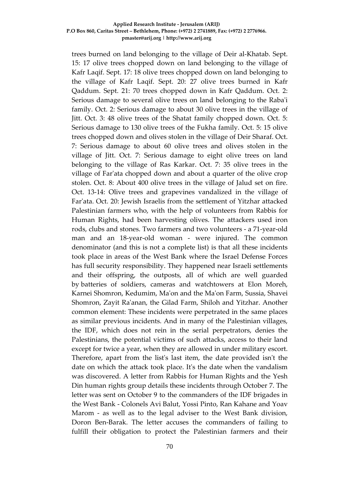trees burned on land belonging to the village of Deir al-Khatab. Sept. 15: 17 olive trees chopped down on land belonging to the village of Kafr Laqif. Sept. 17: 18 olive trees chopped down on land belonging to the village of Kafr Laqif. Sept. 20: 27 olive trees burned in Kafr Qaddum. Sept. 21: 70 trees chopped down in Kafr Qaddum. Oct. 2: Serious damage to several olive trees on land belonging to the Raba'i family. Oct. 2: Serious damage to about 30 olive trees in the village of Jitt. Oct. 3: 48 olive trees of the Shatat family chopped down. Oct. 5: Serious damage to 130 olive trees of the Fukha family. Oct. 5: 15 olive trees chopped down and olives stolen in the village of Deir Sharaf. Oct. 7: Serious damage to about 60 olive trees and olives stolen in the village of Jitt. Oct. 7: Serious damage to eight olive trees on land belonging to the village of Ras Karkar. Oct. 7: 35 olive trees in the village of Far'ata chopped down and about a quarter of the olive crop stolen. Oct. 8: About 400 olive trees in the village of Jalud set on fire. Oct. 13-14: Olive trees and grapevines vandalized in the village of Far'ata. Oct. 20: Jewish Israelis from the settlement of Yitzhar attacked Palestinian farmers who, with the help of volunteers from Rabbis for Human Rights, had been harvesting olives. The attackers used iron rods, clubs and stones. Two farmers and two volunteers - a 71-year-old man and an 18-year-old woman - were injured. The common denominator (and this is not a complete list) is that all these incidents took place in areas of the West Bank where the Israel Defense Forces has full security responsibility. They happened near Israeli settlements and their offspring, the outposts, all of which are well guarded by batteries of soldiers, cameras and watchtowers at Elon Moreh, Karnei Shomron, Kedumim, Ma'on and the Ma'on Farm, Sussia, Shavei Shomron, Zayit Ra'anan, the Gilad Farm, Shiloh and Yitzhar. Another common element: These incidents were perpetrated in the same places as similar previous incidents. And in many of the Palestinian villages, the IDF, which does not rein in the serial perpetrators, denies the Palestinians, the potential victims of such attacks, access to their land except for twice a year, when they are allowed in under military escort. Therefore, apart from the list's last item, the date provided isn't the date on which the attack took place. It's the date when the vandalism was discovered. A letter from Rabbis for Human Rights and the Yesh Din human rights group details these incidents through October 7. The letter was sent on October 9 to the commanders of the IDF brigades in the West Bank - Colonels Avi Balut, Yossi Pinto, Ran Kahane and Yoav Marom - as well as to the legal adviser to the West Bank division, Doron Ben-Barak. The letter accuses the commanders of failing to fulfill their obligation to protect the Palestinian farmers and their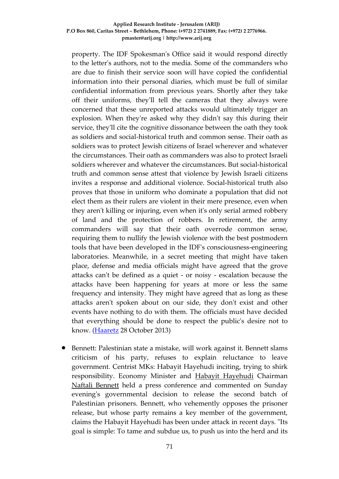property. The IDF Spokesman's Office said it would respond directly to the letter's authors, not to the media. Some of the commanders who are due to finish their service soon will have copied the confidential information into their personal diaries, which must be full of similar confidential information from previous years. Shortly after they take off their uniforms, they'll tell the cameras that they always were concerned that these unreported attacks would ultimately trigger an explosion. When they're asked why they didn't say this during their service, they'll cite the cognitive dissonance between the oath they took as soldiers and social-historical truth and common sense. Their oath as soldiers was to protect Jewish citizens of Israel wherever and whatever the circumstances. Their oath as commanders was also to protect Israeli soldiers wherever and whatever the circumstances. But social-historical truth and common sense attest that violence by Jewish Israeli citizens invites a response and additional violence. Social-historical truth also proves that those in uniform who dominate a population that did not elect them as their rulers are violent in their mere presence, even when they aren't killing or injuring, even when it's only serial armed robbery of land and the protection of robbers. In retirement, the army commanders will say that their oath overrode common sense, requiring them to nullify the Jewish violence with the best postmodern tools that have been developed in the IDF's consciousness-engineering laboratories. Meanwhile, in a secret meeting that might have taken place, defense and media officials might have agreed that the grove attacks can't be defined as a quiet - or noisy - escalation because the attacks have been happening for years at more or less the same frequency and intensity. They might have agreed that as long as these attacks aren't spoken about on our side, they don't exist and other events have nothing to do with them. The officials must have decided that everything should be done to respect the public's desire not to know. [\(Haaretz](http://www.haaretz.com/news/diplomacy-defense/.premium-1.554690) 28 October 2013)

• Bennett: Palestinian state a mistake, will work against it. Bennett slams criticism of his party, refuses to explain reluctance to leave government. Centrist MKs: Habayit Hayehudi inciting, trying to shirk responsibility. Economy Minister and [Habayit Hayehudi](http://www.ynetnews.com/articles/0,7340,L-3666222,00.html) Chairman [Naftali Bennett](http://www.ynetnews.com/articles/0,7340,L-4432385,00.html) held a press conference and commented on Sunday evening's governmental decision to release the second batch of Palestinian prisoners. Bennett, who vehemently opposes the prisoner release, but whose party remains a key member of the government, claims the Habayit Hayehudi has been under attack in recent days. "Its goal is simple: To tame and subdue us, to push us into the herd and its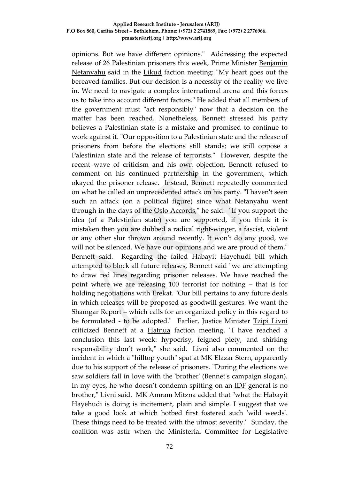opinions. But we have different opinions." Addressing the expected release of 26 Palestinian prisoners this week, Prime Minister [Benjamin](http://www.ynetnews.com/articles/0,7340,L-4187902,00.html)  [Netanyahu](http://www.ynetnews.com/articles/0,7340,L-4187902,00.html) said in the [Likud](http://www.ynetnews.com/articles/0,7340,L-3498238,00.html) faction meeting: "My heart goes out the bereaved families. But our decision is a necessity of the reality we live in. We need to navigate a complex international arena and this forces us to take into account different factors." He added that all members of the government must "act responsibly" now that a decision on the matter has been reached. Nonetheless, Bennett stressed his party believes a Palestinian state is a mistake and promised to continue to work against it. "Our opposition to a Palestinian state and the release of prisoners from before the elections still stands; we still oppose a Palestinian state and the release of terrorists." However, despite the recent wave of criticism and his own objection, Bennett refused to comment on his continued partnership in the government, which okayed the prisoner release. Instead, Bennett repeatedly commented on what he called an unprecedented attack on his party. "I haven't seen such an attack (on a political figure) since what Netanyahu went through in the days of the [Oslo Accords,](http://www.ynetnews.com/articles/0,7340,L-3064378,00.html)" he said. "If you support the idea (of a Palestinian state) you are supported, if you think it is mistaken then you are dubbed a radical right-winger, a fascist, violent or any other slur thrown around recently. It won't do any good, we will not be silenced. We have our opinions and we are proud of them," Bennett said. Regarding the failed Habayit Hayehudi bill which attempted to block all future releases, Bennett said "we are attempting to draw red lines regarding prisoner releases. We have reached the point where we are releasing 100 terrorist for nothing – that is for holding negotiations with Erekat. "Our bill pertains to any future deals in which releases will be proposed as goodwill gestures. We want the Shamgar Report – which calls for an organized policy in this regard to be formulated - to be adopted." Earlier, Justice Minister [Tzipi Livni](http://www.ynetnews.com/articles/0,7340,L-3525610,00.html) criticized Bennett at a [Hatnua](http://www.ynetnews.com/articles/0,7340,L-4353174,00.html) faction meeting. "I have reached a conclusion this last week: hypocrisy, feigned piety, and shirking responsibility don't work," she said. Livni also commented on the incident in which a "hilltop youth" spat at MK Elazar Stern, apparently due to his support of the release of prisoners. "During the elections we saw soldiers fall in love with the 'brother' (Bennet's campaign slogan). In my eyes, he who doesn't condemn spitting on an [IDF](http://www.ynetnews.com/articles/0,7340,L-4117583,00.html) general is no brother," Livni said. MK Amram Mitzna added that "what the Habayit Hayehudi is doing is incitement, plain and simple. I suggest that we take a good look at which hotbed first fostered such 'wild weeds'. These things need to be treated with the utmost severity." Sunday, the coalition was astir when the Ministerial Committee for Legislative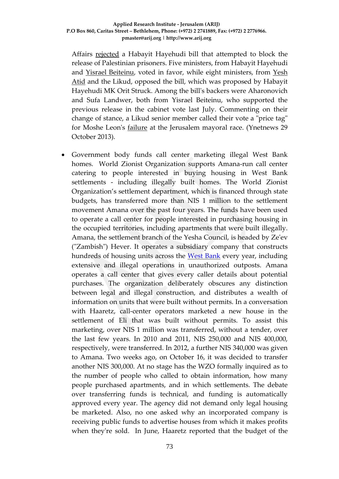Affairs [rejected](http://www.ynetnews.com/articles/0,7340,L-4446196,00.html) a Habayit Hayehudi bill that attempted to block the release of Palestinian prisoners. Five ministers, from Habayit Hayehudi and [Yisrael Beiteinu,](http://www.ynetnews.com/articles/0,7340,L-3499234,00.html) voted in favor, while eight ministers, from [Yesh](http://www.ynetnews.com/articles/0,7340,L-4353205,00.html)  [Atid](http://www.ynetnews.com/articles/0,7340,L-4353205,00.html) and the Likud, opposed the bill, which was proposed by Habayit Hayehudi MK Orit Struck. Among the bill's backers were Aharonovich and Sufa Landwer, both from Yisrael Beiteinu, who supported the previous release in the cabinet vote last July. Commenting on their change of stance, a Likud senior member called their vote a "price tag" for Moshe Leon's [failure](http://www.ynetnews.com/articles/0,7340,L-4444359,00.html) at the Jerusalem mayoral race. (Ynetnews 29 October 2013).

• Government body funds call center marketing illegal West Bank homes. World Zionist Organization supports Amana-run call center catering to people interested in buying housing in West Bank settlements - including illegally built homes. The World Zionist Organization's settlement department, which is financed through state budgets, has transferred more than NIS 1 million to the settlement movement Amana over the past four years. The funds have been used to operate a call center for people interested in purchasing housing in the occupied territories, including apartments that were built illegally. Amana, the settlement branch of the Yesha Council, is headed by Ze'ev ("Zambish") Hever. It operates a subsidiary company that constructs hundreds of housing units across the [West Bank](http://www.haaretz.com/misc/tags/West%20Bank-1.477132) every year, including extensive and illegal operations in unauthorized outposts. Amana operates a call center that gives every caller details about potential purchases. The organization deliberately obscures any distinction between legal and illegal construction, and distributes a wealth of information on units that were built without permits. In a conversation with Haaretz, call-center operators marketed a new house in the settlement of Eli that was built without permits. To assist this marketing, over NIS 1 million was transferred, without a tender, over the last few years. In 2010 and 2011, NIS 250,000 and NIS 400,000, respectively, were transferred. In 2012, a further NIS 340,000 was given to Amana. Two weeks ago, on October 16, it was decided to transfer another NIS 300,000. At no stage has the WZO formally inquired as to the number of people who called to obtain information, how many people purchased apartments, and in which settlements. The debate over transferring funds is technical, and funding is automatically approved every year. The agency did not demand only legal housing be marketed. Also, no one asked why an incorporated company is receiving public funds to advertise houses from which it makes profits when they're sold. In June, Haaretz reported that the budget of the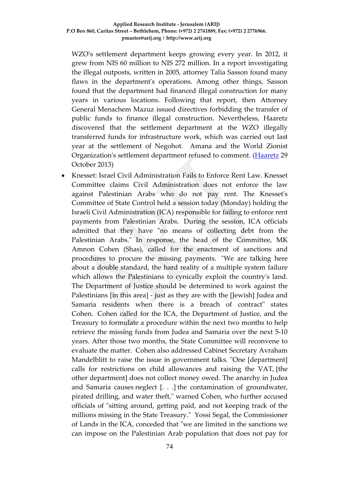WZO's settlement department keeps growing every year. In 2012, it grew from NIS 60 million to NIS 272 million. In a report investigating the illegal outposts, written in 2005, attorney Talia Sasson found many flaws in the department's operations. Among other things, Sasson found that the department had financed illegal construction for many years in various locations. Following that report, then Attorney General Menachem Mazuz issued directives forbidding the transfer of public funds to finance illegal construction. Nevertheless, Haaretz discovered that the settlement department at the WZO illegally transferred funds for infrastructure work, which was carried out last year at the settlement of Negohot. Amana and the World Zionist Organization's settlement department refused to comment. [\(Haaretz](http://www.bezecom.com/bezecomlp/LongDistanceEn.aspx?af=ynet$5august) 29 October 2013)

• Knesset: Israel Civil Administration Fails to Enforce Rent Law. Knesset Committee claims Civil Administration does not enforce the law against Palestinian Arabs who do not pay rent. The Knesset's Committee of State Control held a session today (Monday) holding the Israeli Civil Administration (ICA) responsible for failing to enforce rent payments from Palestinian Arabs. During the session, ICA officials admitted that they have "no means of collecting debt from the Palestinian Arabs." In response, the head of the Committee, MK Amnon Cohen (Shas), called for the enactment of sanctions and procedures to procure the missing payments. "We are talking here about a double standard, the hard reality of a multiple system failure which allows the Palestinians to cynically exploit the country's land. The Department of Justice should be determined to work against the Palestinians [in this area] - just as they are with the [Jewish] Judea and Samaria residents when there is a breach of contract" states Cohen. Cohen called for the ICA, the Department of Justice, and the Treasury to formulate a procedure within the next two months to help retrieve the missing funds from Judea and Samaria over the next 5-10 years. After those two months, the State Committee will reconvene to evaluate the matter. Cohen also addressed Cabinet Secretary Avraham Mandelblitt to raise the issue in government talks. "One [department] calls for restrictions on child allowances and raising the VAT, [the other department] does not collect money owed. The anarchy in Judea and Samaria causes neglect [. . .] the contamination of groundwater, pirated drilling, and water theft," warned Cohen, who further accused officials of "sitting around, getting paid, and not keeping track of the millions missing in the State Treasury." Yossi Segal, the Commissioner of Lands in the ICA, conceded that "we are limited in the sanctions we can impose on the Palestinian Arab population that does not pay for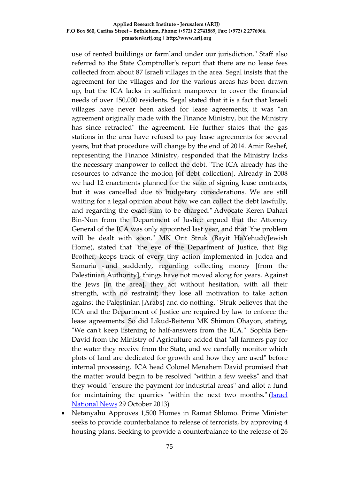use of rented buildings or farmland under our jurisdiction." Staff also referred to the State Comptroller's report that there are no lease fees collected from about 87 Israeli villages in the area. Segal insists that the agreement for the villages and for the various areas has been drawn up, but the ICA lacks in sufficient manpower to cover the financial needs of over 150,000 residents. Segal stated that it is a fact that Israeli villages have never been asked for lease agreements; it was "an agreement originally made with the Finance Ministry, but the Ministry has since retracted" the agreement. He further states that the gas stations in the area have refused to pay lease agreements for several years, but that procedure will change by the end of 2014. Amir Reshef, representing the Finance Ministry, responded that the Ministry lacks the necessary manpower to collect the debt. "The ICA already has the resources to advance the motion [of debt collection]. Already in 2008 we had 12 enactments planned for the sake of signing lease contracts, but it was cancelled due to budgetary considerations. We are still waiting for a legal opinion about how we can collect the debt lawfully, and regarding the exact sum to be charged." Advocate Keren Dahari Bin-Nun from the Department of Justice argued that the Attorney General of the ICA was only appointed last year, and that "the problem will be dealt with soon." MK Orit Struk (Bayit HaYehudi/Jewish Home), stated that "the eye of the Department of Justice, that Big Brother, keeps track of every tiny action implemented in Judea and Samaria - and suddenly, regarding collecting money [from the Palestinian Authority], things have not moved along for years. Against the Jews [in the area], they act without hesitation, with all their strength, with no restraint; they lose all motivation to take action against the Palestinian [Arabs] and do nothing." Struk believes that the ICA and the Department of Justice are required by law to enforce the lease agreements. So did Likud-Beitenu MK Shimon Ohayon, stating, "We can't keep listening to half-answers from the ICA." Sophia Ben-David from the Ministry of Agriculture added that "all farmers pay for the water they receive from the State, and we carefully monitor which plots of land are dedicated for growth and how they are used" before internal processing. ICA head Colonel Menahem David promised that the matter would begin to be resolved "within a few weeks" and that they would "ensure the payment for industrial areas" and allot a fund for maintaining the quarries "within the next two months." [\(Israel](http://www.israelnationalnews.com/News/News.aspx/173306)  [National News](http://www.israelnationalnews.com/News/News.aspx/173306) 29 October 2013)

• Netanyahu Approves 1,500 Homes in Ramat Shlomo. Prime Minister seeks to provide counterbalance to release of terrorists, by approving 4 housing plans. Seeking to provide a counterbalance to the release of 26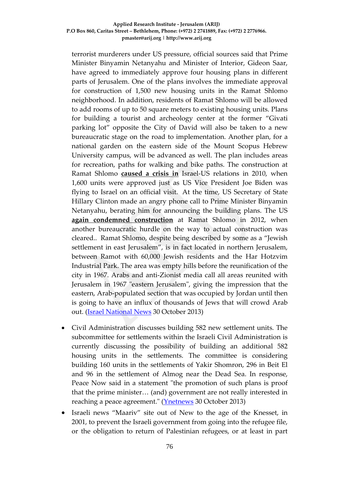terrorist murderers under US pressure, official sources said that Prime Minister Binyamin Netanyahu and Minister of Interior, Gideon Saar, have agreed to immediately approve four housing plans in different parts of Jerusalem. One of the plans involves the immediate approval for construction of 1,500 new housing units in the Ramat Shlomo neighborhood. In addition, residents of Ramat Shlomo will be allowed to add rooms of up to 50 square meters to existing housing units. Plans for building a tourist and archeology center at the former "Givati parking lot" opposite the City of David will also be taken to a new bureaucratic stage on the road to implementation. Another plan, for a national garden on the eastern side of the Mount Scopus Hebrew University campus, will be advanced as well. The plan includes areas for recreation, paths for walking and bike paths. The construction at Ramat Shlomo **[caused a crisis in](http://www.israelnationalnews.com/News/News.aspx/136488)** Israel-US relations in 2010, when 1,600 units were approved just as US Vice President Joe Biden was flying to Israel on an official visit. At the time, US Secretary of State Hillary Clinton made an angry phone call to Prime Minister Binyamin Netanyahu, berating him for announcing the building plans. The US **[again condemned construction](http://www.israelnationalnews.com/News/News.aspx/163264)** at Ramat Shlomo in 2012, when another bureaucratic hurdle on the way to actual construction was cleared.. Ramat Shlomo, despite being described by some as a "Jewish settlement in east Jerusalem", is in fact located in northern Jerusalem, between Ramot with 60,000 Jewish residents and the Har Hotzvim Industrial Park. The area was empty hills before the reunification of the city in 1967. Arabs and anti-Zionist media call all areas reunited with Jerusalem in 1967 "eastern Jerusalem", giving the impression that the eastern, Arab-populated section that was occupied by Jordan until then is going to have an influx of thousands of Jews that will crowd Arab out. [\(Israel National News](http://www.israelnationalnews.com/News/News.aspx/173394) 30 October 2013)

- Civil Administration discusses building 582 new settlement units. The subcommittee for settlements within the Israeli Civil Administration is currently discussing the possibility of building an additional 582 housing units in the settlements. The committee is considering building 160 units in the settlements of Yakir Shomron, 296 in Beit El and 96 in the settlement of Almog near the Dead Sea. In response, Peace Now said in a statement "the promotion of such plans is proof that the prime minister… (and) government are not really interested in reaching a peace agreement." [\(Ynetnews](http://www.ynetnews.com/articles/0,7340,L-4447432,00.html) 30 October 2013)
- Israeli news "Maariv" site out of New to the age of the Knesset, in 2001, to prevent the Israeli government from going into the refugee file, or the obligation to return of Palestinian refugees, or at least in part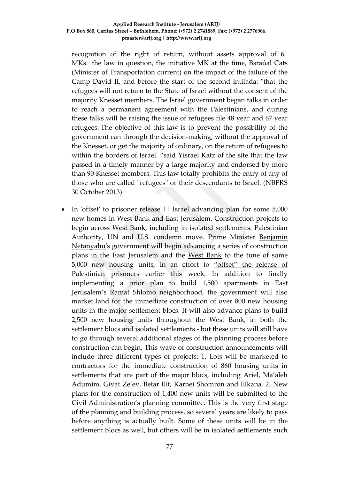recognition of the right of return, without assets approval of 61 MKs. the law in question, the initiative MK at the time, Bsraúal Cats (Minister of Transportation current) on the impact of the failure of the Camp David II, and before the start of the second intifada: "that the refugees will not return to the State of Israel without the consent of the majority Knesset members. The Israel government began talks in order to reach a permanent agreement with the Palestinians, and during these talks will be raising the issue of refugees file 48 year and 67 year refugees. The objective of this law is to prevent the possibility of the government can through the decision-making, without the approval of the Knesset, or get the majority of ordinary, on the return of refugees to within the borders of Israel. "said Yisrael Katz of the site that the law passed in a timely manner by a large majority and endorsed by more than 90 Knesset members. This law totally prohibits the entry of any of those who are called "refugees" or their descendants to Israel. (NBPRS 30 October 2013)

In 'offset' to prisoner release || Israel advancing plan for some 5,000 new homes in West Bank and East Jerusalem. Construction projects to begin across West Bank, including in isolated settlements. Palestinian Authority, UN and U.S. condemn move. Prime Minister [Benjamin](http://www.haaretz.com/misc/tags/Tag/Second%2520Lebanon%2520Wa29AEr-1.477718/Benjamin%20Netanyahu-1.476753)  [Netanyahu'](http://www.haaretz.com/misc/tags/Tag/Second%2520Lebanon%2520Wa29AEr-1.477718/Benjamin%20Netanyahu-1.476753)s government will begin advancing a series of construction plans in the East Jerusalem and the [West Bank](http://www.haaretz.com/misc/tags/West%20Bank-1.477132) to the tune of some 5,000 new housing units, in an effort to ["offset" the release of](http://www.haaretz.com/news/diplomacy-defense/.premium-1.555232)  [Palestinian prisoners](http://www.haaretz.com/news/diplomacy-defense/.premium-1.555232) earlier this week. In addition to finally implementing a prior plan to build 1,500 apartments in East Jerusalem's Ramat Shlomo neighborhood, the government will also market land for the immediate construction of over 800 new housing units in the major settlement blocs. It will also advance plans to build 2,500 new housing units throughout the West Bank, in both the settlement blocs and isolated settlements - but these units will still have to go through several additional stages of the planning process before construction can begin. This wave of construction announcements will include three different types of projects: 1. Lots will be marketed to contractors for the immediate construction of 860 housing units in settlements that are part of the major blocs, including Ariel, Ma'aleh Adumim, Givat Ze'ev, Betar Ilit, Karnei Shomron and Elkana. 2. New plans for the construction of 1,400 new units will be submitted to the Civil Administration's planning committee. This is the very first stage of the planning and building process, so several years are likely to pass before anything is actually built. Some of these units will be in the settlement blocs as well, but others will be in isolated settlements such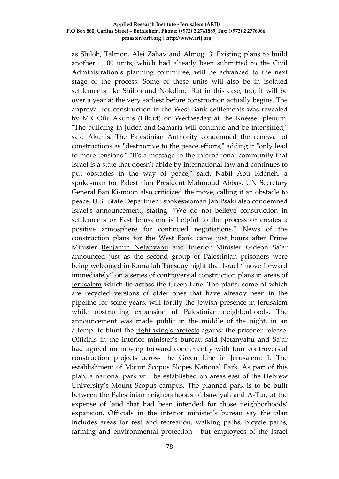as Shiloh, Talmon, Alei Zahav and Almog. 3. Existing plans to build another 1,100 units, which had already been submitted to the Civil Administration's planning committee, will be advanced to the next stage of the process. Some of these units will also be in isolated settlements like Shiloh and Nokdim. But in this case, too, it will be over a year at the very earliest before construction actually begins. The approval for construction in the West Bank settlements was revealed by MK Ofir Akunis (Likud) on Wednesday at the Knesset plenum. "The building in Judea and Samaria will continue and be intensified," said Akunis. The Palestinian Authority condemned the renewal of constructions as "destructive to the peace efforts," adding it "only lead to more tensions." "It's a message to the international community that Israel is a state that doesn't abide by international law and continues to put obstacles in the way of peace," said. Nabil Abu Rdeneh, a spokesman for Palestinian President Mahmoud Abbas. UN Secretary General Ban Ki-moon also criticized the move, calling it an obstacle to peace. U.S. State Department spokeswoman Jan Psaki also condemned Israel's announcement, stating: "We do not believe construction in settlements or East Jerusalem is helpful to the process or creates a positive atmosphere for continued negotiations." News of the construction plans for the West Bank came just hours after Prime Minister [Benjamin Netanyahu](http://www.haaretz.com/misc/tags/Benjamin%20Netanyahu-1.476753) and Interior Minister Gideon Sa'ar announced just as the second group of Palestinian prisoners were being [welcomed in Ramallah T](http://www.haaretz.com/news/diplomacy-defense/1.555196)uesday night that Israel "move forward immediately" on a series of controversial construction plans in areas of [Jerusalem](http://www.haaretz.com/misc/tags/Tag/Second407927859/Jerusalem-1.477062) which lie across the Green Line. The plans, some of which are recycled versions of older ones that have already been in the pipeline for some years, will fortify the Jewish presence in Jerusalem while obstructing expansion of Palestinian neighborhoods. The announcement was made public in the middle of the night, in an attempt to blunt the [right wing's protests](http://www.haaretz.com/news/diplomacy-defense/.premium-1.554925) against the prisoner release. Officials in the interior minister's bureau said Netanyahu and Sa'ar had agreed on moving forward concurrently with four controversial construction projects across the Green Line in Jerusalem: 1. The establishment of [Mount Scopus Slopes National Park.](http://www.haaretz.com/opinion/1.550048) As part of this plan, a national park will be established on areas east of the Hebrew University's Mount Scopus campus. The planned park is to be built between the Palestinian neighborhoods of Isawiyah and A-Tur, at the expense of land that had been intended for those neighborhoods' expansion. Officials in the interior minister's bureau say the plan includes areas for rest and recreation, walking paths, bicycle paths, farming and environmental protection - but employees of the Israel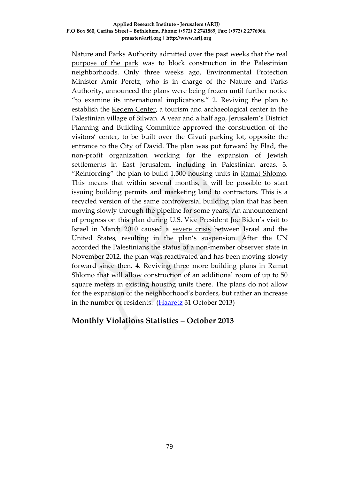Nature and Parks Authority admitted over the past weeks that the real [purpose of the park](http://www.haaretz.com/news/diplomacy-defense/.premium-1.549586) was to block construction in the Palestinian neighborhoods. Only three weeks ago, Environmental Protection Minister Amir Peretz, who is in charge of the Nature and Parks Authority, announced the plans were [being frozen](http://www.haaretz.com/news/national/.premium-1.550233) until further notice "to examine its international implications." 2. Reviving the plan to establish the [Kedem Center,](http://www.haaretz.com/print-edition/news/interior-min-approves-plan-for-city-of-david-visitors-center-1.412735) a tourism and archaeological center in the Palestinian village of Silwan. A year and a half ago, Jerusalem's District Planning and Building Committee approved the construction of the visitors' center, to be built over the Givati parking lot, opposite the entrance to the City of David. The plan was put forward by Elad, the non-profit organization working for the expansion of Jewish settlements in East Jerusalem, including in Palestinian areas. 3. "Reinforcing" the plan to build 1,500 housing units in [Ramat Shlomo.](http://www.haaretz.com/news/diplomacy-defense/israel-to-build-thousands-of-new-housing-units-in-east-jerusalem-1.378146) This means that within several months, it will be possible to start issuing building permits and marketing land to contractors. This is a recycled version of the same controversial building plan that has been moving slowly through the pipeline for some years. An announcement of progress on this plan during U.S. Vice President Joe Biden's visit to Israel in March 2010 caused a [severe crisis](http://www.haaretz.com/print-edition/news/u-s-orchestrating-ramat-shlomo-crisis-pm-s-office-suggests-1.266494) between Israel and the United States, resulting in the plan's suspension. After the UN accorded the Palestinians the status of a non-member observer state in November 2012, the plan was reactivated and has been moving slowly forward since then. 4. Reviving three more building plans in Ramat Shlomo that will allow construction of an additional room of up to 50 square meters in existing housing units there. The plans do not allow for the expansion of the neighborhood's borders, but rather an increase in the number of residents. [\(Haaretz](http://www.haaretz.com/news/diplomacy-defense/.premium-1.555373) 31 October 2013)

# **Monthly Violations Statistics** – **October 2013**